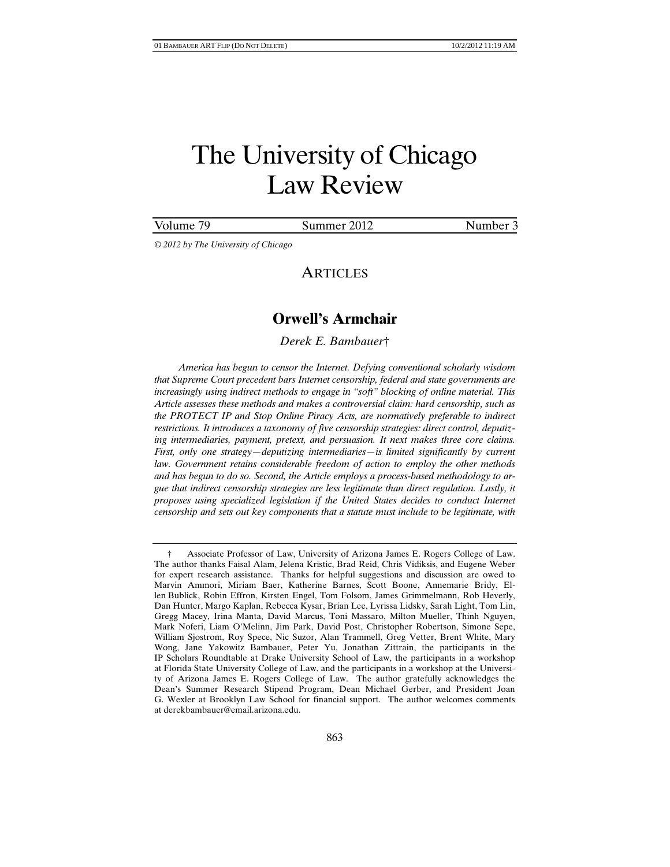# Volume 79 Summer 2012 Number 3

*© 2012 by The University of Chicago* 

# ARTICLES

# **Orwell's Armchair**

# *Derek E. Bambauer*†

*America has begun to censor the Internet. Defying conventional scholarly wisdom that Supreme Court precedent bars Internet censorship, federal and state governments are increasingly using indirect methods to engage in "soft" blocking of online material. This Article assesses these methods and makes a controversial claim: hard censorship, such as the PROTECT IP and Stop Online Piracy Acts, are normatively preferable to indirect restrictions. It introduces a taxonomy of five censorship strategies: direct control, deputizing intermediaries, payment, pretext, and persuasion. It next makes three core claims. First, only one strategy—deputizing intermediaries—is limited significantly by current law. Government retains considerable freedom of action to employ the other methods and has begun to do so. Second, the Article employs a process-based methodology to argue that indirect censorship strategies are less legitimate than direct regulation. Lastly, it proposes using specialized legislation if the United States decides to conduct Internet censorship and sets out key components that a statute must include to be legitimate, with* 

 <sup>†</sup> Associate Professor of Law, University of Arizona James E. Rogers College of Law. The author thanks Faisal Alam, Jelena Kristic, Brad Reid, Chris Vidiksis, and Eugene Weber for expert research assistance. Thanks for helpful suggestions and discussion are owed to Marvin Ammori, Miriam Baer, Katherine Barnes, Scott Boone, Annemarie Bridy, Ellen Bublick, Robin Effron, Kirsten Engel, Tom Folsom, James Grimmelmann, Rob Heverly, Dan Hunter, Margo Kaplan, Rebecca Kysar, Brian Lee, Lyrissa Lidsky, Sarah Light, Tom Lin, Gregg Macey, Irina Manta, David Marcus, Toni Massaro, Milton Mueller, Thinh Nguyen, Mark Noferi, Liam O'Melinn, Jim Park, David Post, Christopher Robertson, Simone Sepe, William Sjostrom, Roy Spece, Nic Suzor, Alan Trammell, Greg Vetter, Brent White, Mary Wong, Jane Yakowitz Bambauer, Peter Yu, Jonathan Zittrain, the participants in the IP Scholars Roundtable at Drake University School of Law, the participants in a workshop at Florida State University College of Law, and the participants in a workshop at the University of Arizona James E. Rogers College of Law. The author gratefully acknowledges the Dean's Summer Research Stipend Program, Dean Michael Gerber, and President Joan G. Wexler at Brooklyn Law School for financial support. The author welcomes comments at derekbambauer@email.arizona.edu.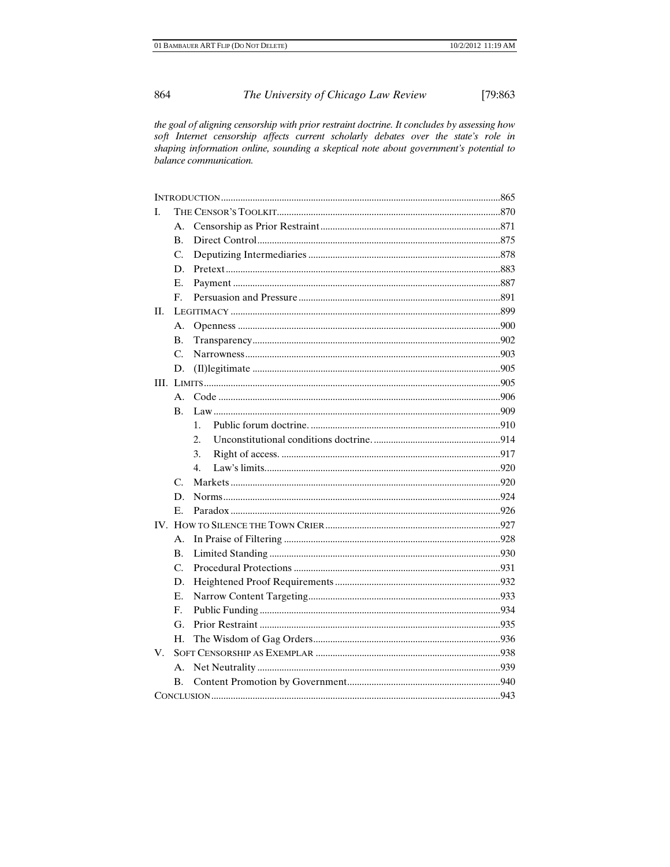the goal of aligning censorship with prior restraint doctrine. It concludes by assessing how soft Internet censorship affects current scholarly debates over the state's role in shaping information online, sounding a skeptical note about government's potential to balance communication.

| L  |                      |                  |  |
|----|----------------------|------------------|--|
|    | А.                   |                  |  |
|    | $\mathbf{B}$ .       |                  |  |
|    | C.                   |                  |  |
|    | D.                   |                  |  |
|    | E.                   |                  |  |
|    | $\mathbf{F}_{\cdot}$ |                  |  |
| H. |                      |                  |  |
|    | Α.                   |                  |  |
|    | <b>B.</b>            |                  |  |
|    | $\mathcal{C}$ .      |                  |  |
|    | D.                   |                  |  |
|    |                      |                  |  |
|    | А.                   |                  |  |
|    | <b>B.</b>            |                  |  |
|    |                      | $\mathbf{1}$ .   |  |
|    |                      | 2.               |  |
|    |                      | 3.               |  |
|    |                      | $\overline{4}$ . |  |
|    | $\mathcal{C}$        |                  |  |
|    | D.                   |                  |  |
|    | $E_{\rm{L}}$         |                  |  |
|    |                      |                  |  |
|    | Α.                   |                  |  |
|    | $\mathbf{B}$ .       |                  |  |
|    | $\mathcal{C}$ .      |                  |  |
|    | D.                   |                  |  |
|    | Е.                   |                  |  |
|    | F.                   |                  |  |
|    | G.                   |                  |  |
|    | Н.                   |                  |  |
| V. |                      |                  |  |
|    | А.                   |                  |  |
|    | В.                   |                  |  |
|    |                      |                  |  |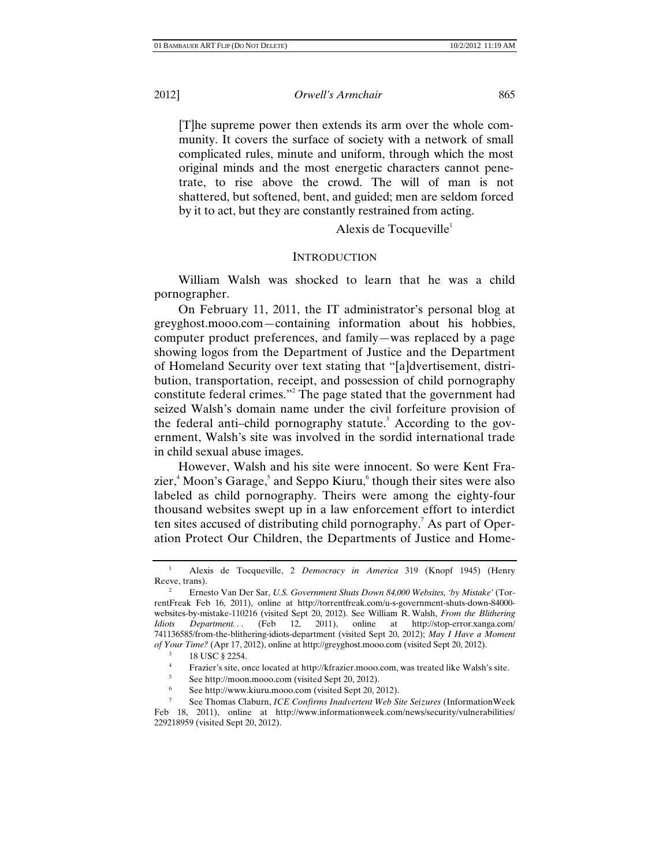[T]he supreme power then extends its arm over the whole community. It covers the surface of society with a network of small complicated rules, minute and uniform, through which the most original minds and the most energetic characters cannot penetrate, to rise above the crowd. The will of man is not shattered, but softened, bent, and guided; men are seldom forced by it to act, but they are constantly restrained from acting.

Alexis de Tocqueville<sup>1</sup>

# **INTRODUCTION**

William Walsh was shocked to learn that he was a child pornographer.

On February 11, 2011, the IT administrator's personal blog at greyghost.mooo.com—containing information about his hobbies, computer product preferences, and family—was replaced by a page showing logos from the Department of Justice and the Department of Homeland Security over text stating that "[a]dvertisement, distribution, transportation, receipt, and possession of child pornography constitute federal crimes."<sup>2</sup> The page stated that the government had seized Walsh's domain name under the civil forfeiture provision of the federal anti-child pornography statute.<sup>3</sup> According to the government, Walsh's site was involved in the sordid international trade in child sexual abuse images.

However, Walsh and his site were innocent. So were Kent Frazier,<sup>4</sup> Moon's Garage,<sup>5</sup> and Seppo Kiuru,<sup>6</sup> though their sites were also labeled as child pornography. Theirs were among the eighty-four thousand websites swept up in a law enforcement effort to interdict ten sites accused of distributing child pornography.<sup>7</sup> As part of Operation Protect Our Children, the Departments of Justice and Home-

6 See http://www.kiuru.mooo.com (visited Sept 20, 2012).

<sup>1</sup> Alexis de Tocqueville, 2 *Democracy in America* 319 (Knopf 1945) (Henry Reeve, trans).

<sup>2</sup> Ernesto Van Der Sar, *U.S. Government Shuts Down 84,000 Websites, 'by Mistake'* (TorrentFreak Feb 16, 2011), online at http://torrentfreak.com/u-s-government-shuts-down-84000 websites-by-mistake-110216 (visited Sept 20, 2012). See William R. Walsh, *From the Blithering Idiots Department...* (Feb 12, 2011), online at http://stop-error.xanga.com/ 741136585/from-the-blithering-idiots-department (visited Sept 20, 2012); *May I Have a Moment of Your Time?* (Apr 17, 2012), online at http://greyghost.mooo.com (visited Sept 20, 2012).

<sup>3</sup> 18 USC § 2254.

<sup>4</sup> Frazier's site, once located at http://kfrazier.mooo.com, was treated like Walsh's site.

<sup>5</sup> See http://moon.mooo.com (visited Sept 20, 2012).

See Thomas Claburn, *ICE Confirms Inadvertent Web Site Seizures* (InformationWeek Feb 18, 2011), online at http://www.informationweek.com/news/security/vulnerabilities/ 229218959 (visited Sept 20, 2012).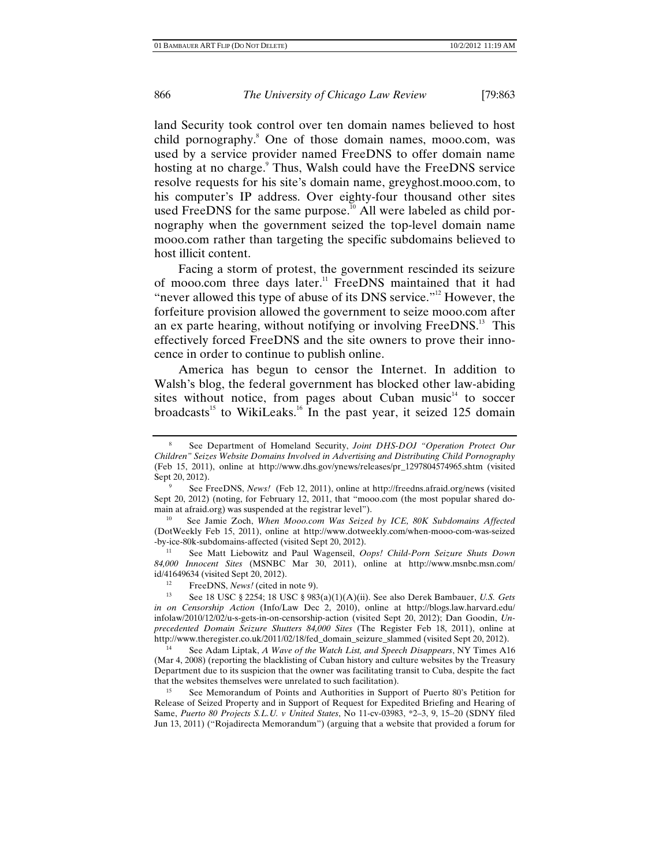land Security took control over ten domain names believed to host child pornography.<sup>8</sup> One of those domain names, mooo.com, was used by a service provider named FreeDNS to offer domain name hosting at no charge.<sup>9</sup> Thus, Walsh could have the FreeDNS service resolve requests for his site's domain name, greyghost.mooo.com, to his computer's IP address. Over eighty-four thousand other sites used FreeDNS for the same purpose.<sup>10</sup> All were labeled as child pornography when the government seized the top-level domain name mooo.com rather than targeting the specific subdomains believed to host illicit content.

Facing a storm of protest, the government rescinded its seizure of mooo.com three days later.<sup>11</sup> FreeDNS maintained that it had "never allowed this type of abuse of its DNS service."<sup>12</sup> However, the forfeiture provision allowed the government to seize mooo.com after an ex parte hearing, without notifying or involving FreeDNS.<sup>13</sup> This effectively forced FreeDNS and the site owners to prove their innocence in order to continue to publish online.

America has begun to censor the Internet. In addition to Walsh's blog, the federal government has blocked other law-abiding sites without notice, from pages about Cuban music $14$  to soccer broadcasts<sup>15</sup> to WikiLeaks.<sup>16</sup> In the past year, it seized 125 domain

(DotWeekly Feb 15, 2011), online at http://www.dotweekly.com/when-mooo-com-was-seized -by-ice-80k-subdomains-affected (visited Sept 20, 2012). 11 See Matt Liebowitz and Paul Wagenseil, *Oops! Child-Porn Seizure Shuts Down* 

*84,000 Innocent Sites* (MSNBC Mar 30, 2011), online at http://www.msnbc.msn.com/ id/41649634 (visited Sept 20, 2012). 12 FreeDNS, *News!* (cited in note 9). 13 See 18 USC § 2254; 18 USC § 983(a)(1)(A)(ii). See also Derek Bambauer, *U.S. Gets* 

14 See Adam Liptak, *A Wave of the Watch List, and Speech Disappears*, NY Times A16 (Mar 4, 2008) (reporting the blacklisting of Cuban history and culture websites by the Treasury Department due to its suspicion that the owner was facilitating transit to Cuba, despite the fact that the websites themselves were unrelated to such facilitation).

See Memorandum of Points and Authorities in Support of Puerto 80's Petition for Release of Seized Property and in Support of Request for Expedited Briefing and Hearing of Same, *Puerto 80 Projects S.L.U. v United States*, No 11-cv-03983, \*2–3, 9, 15–20 (SDNY filed Jun 13, 2011) ("Rojadirecta Memorandum") (arguing that a website that provided a forum for

<sup>8</sup> See Department of Homeland Security, *Joint DHS-DOJ "Operation Protect Our Children" Seizes Website Domains Involved in Advertising and Distributing Child Pornography* (Feb 15, 2011), online at http://www.dhs.gov/ynews/releases/pr\_1297804574965.shtm (visited Sept 20, 2012).

See FreeDNS, *News!* (Feb 12, 2011), online at http://freedns.afraid.org/news (visited Sept 20, 2012) (noting, for February 12, 2011, that "mooo.com (the most popular shared domain at afraid.org) was suspended at the registrar level").<br><sup>10</sup> See Jamie Zoch, *When Mooo.com Was Seized by ICE, 80K Subdomains Affected* 

*in on Censorship Action* (Info/Law Dec 2, 2010), online at http://blogs.law.harvard.edu/ infolaw/2010/12/02/u-s-gets-in-on-censorship-action (visited Sept 20, 2012); Dan Goodin, *Unprecedented Domain Seizure Shutters 84,000 Sites* (The Register Feb 18, 2011), online at http://www.theregister.co.uk/2011/02/18/fed\_domain\_seizure\_slammed (visited Sept 20, 2012).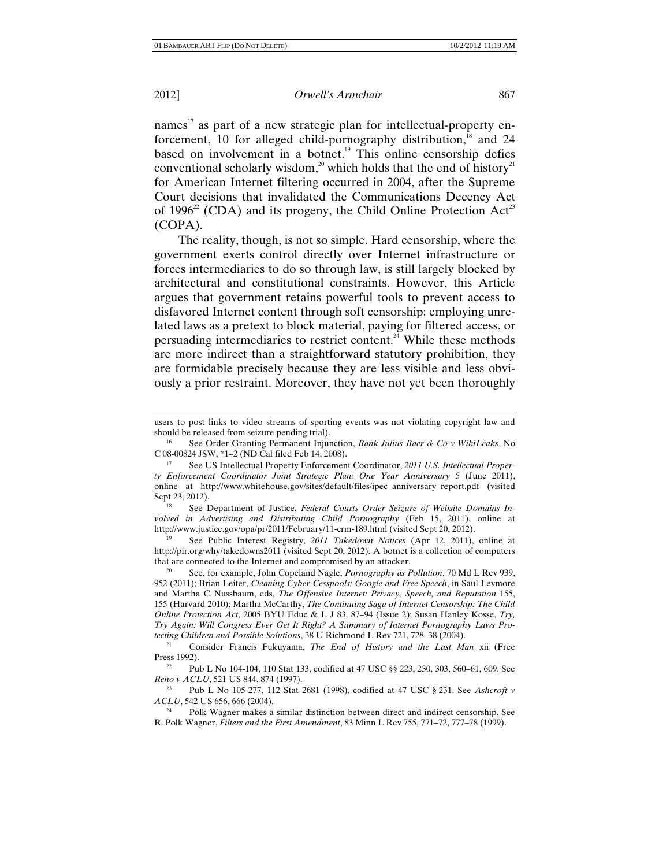names<sup>17</sup> as part of a new strategic plan for intellectual-property enforcement, 10 for alleged child-pornography distribution, $18$  and 24 based on involvement in a botnet.<sup>19</sup> This online censorship defies conventional scholarly wisdom,<sup>20</sup> which holds that the end of history<sup>21</sup> for American Internet filtering occurred in 2004, after the Supreme Court decisions that invalidated the Communications Decency Act of 1996<sup>22</sup> (CDA) and its progeny, the Child Online Protection Act<sup>23</sup> (COPA).

The reality, though, is not so simple. Hard censorship, where the government exerts control directly over Internet infrastructure or forces intermediaries to do so through law, is still largely blocked by architectural and constitutional constraints. However, this Article argues that government retains powerful tools to prevent access to disfavored Internet content through soft censorship: employing unrelated laws as a pretext to block material, paying for filtered access, or persuading intermediaries to restrict content.<sup>24</sup> While these methods are more indirect than a straightforward statutory prohibition, they are formidable precisely because they are less visible and less obviously a prior restraint. Moreover, they have not yet been thoroughly

*volved in Advertising and Distributing Child Pornography* (Feb 15, 2011), online at http://www.justice.gov/opa/pr/2011/February/11-crm-189.html (visited Sept 20, 2012).

See Public Interest Registry, 2011 Takedown Notices (Apr 12, 2011), online at http://pir.org/why/takedowns2011 (visited Sept 20, 2012). A botnet is a collection of computers that are connected to the Internet and compromised by an attacker.

20 See, for example, John Copeland Nagle, *Pornography as Pollution*, 70 Md L Rev 939, 952 (2011); Brian Leiter, *Cleaning Cyber-Cesspools: Google and Free Speech*, in Saul Levmore and Martha C. Nussbaum, eds, *The Offensive Internet: Privacy, Speech, and Reputation* 155, 155 (Harvard 2010); Martha McCarthy, *The Continuing Saga of Internet Censorship: The Child Online Protection Act*, 2005 BYU Educ & L J 83, 87–94 (Issue 2); Susan Hanley Kosse, *Try, Try Again: Will Congress Ever Get It Right? A Summary of Internet Pornography Laws Pro-*

*tecting Children and Possible Solutions*, 38 U Richmond L Rev 721, 728–38 (2004).<br><sup>21</sup> Consider Francis Fukuyama, *The End of History and the Last Man* xii (Free<br>Press 1992).

<sup>22</sup> Pub L No 104-104, 110 Stat 133, codified at 47 USC §§ 223, 230, 303, 560–61, 609. See *Reno v ACLU*, 521 US 844, 874 (1997).

23 Pub L No 105-277, 112 Stat 2681 (1998), codified at 47 USC § 231. See *Ashcroft v ACLU*, 542 US 656, 666 (2004).<br><sup>24</sup> Polk Wagner makes a similar distinction between direct and indirect censorship. See

R. Polk Wagner, *Filters and the First Amendment*, 83 Minn L Rev 755, 771–72, 777–78 (1999).

users to post links to video streams of sporting events was not violating copyright law and should be released from seizure pending trial). 16 See Order Granting Permanent Injunction, *Bank Julius Baer & Co v WikiLeaks*, No

C 08-00824 JSW, \*1–2 (ND Cal filed Feb 14, 2008). 17 See US Intellectual Property Enforcement Coordinator, *2011 U.S. Intellectual Proper-*

*ty Enforcement Coordinator Joint Strategic Plan: One Year Anniversary* 5 (June 2011), online at http://www.whitehouse.gov/sites/default/files/ipec\_anniversary\_report.pdf (visited Sept 23, 2012). 18 See Department of Justice, *Federal Courts Order Seizure of Website Domains In-*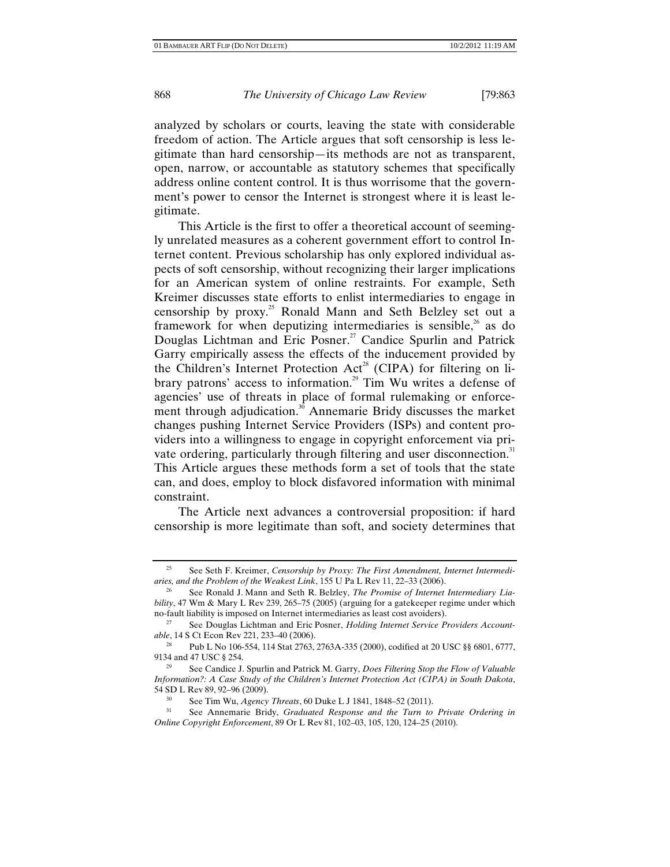analyzed by scholars or courts, leaving the state with considerable freedom of action. The Article argues that soft censorship is less legitimate than hard censorship—its methods are not as transparent, open, narrow, or accountable as statutory schemes that specifically address online content control. It is thus worrisome that the government's power to censor the Internet is strongest where it is least legitimate.

This Article is the first to offer a theoretical account of seemingly unrelated measures as a coherent government effort to control Internet content. Previous scholarship has only explored individual aspects of soft censorship, without recognizing their larger implications for an American system of online restraints. For example, Seth Kreimer discusses state efforts to enlist intermediaries to engage in censorship by proxy.<sup>25</sup> Ronald Mann and Seth Belzley set out a framework for when deputizing intermediaries is sensible,<sup>26</sup> as do Douglas Lichtman and Eric Posner.<sup>27</sup> Candice Spurlin and Patrick Garry empirically assess the effects of the inducement provided by the Children's Internet Protection Act<sup>28</sup> (CIPA) for filtering on library patrons' access to information.<sup>29</sup> Tim Wu writes a defense of agencies' use of threats in place of formal rulemaking or enforcement through adjudication.<sup>30</sup> Annemarie Bridy discusses the market changes pushing Internet Service Providers (ISPs) and content providers into a willingness to engage in copyright enforcement via private ordering, particularly through filtering and user disconnection.<sup>31</sup> This Article argues these methods form a set of tools that the state can, and does, employ to block disfavored information with minimal constraint.

The Article next advances a controversial proposition: if hard censorship is more legitimate than soft, and society determines that

<sup>25</sup> See Seth F. Kreimer, *Censorship by Proxy: The First Amendment, Internet Intermediaries, and the Problem of the Weakest Link*, 155 U Pa L Rev 11, 22–33 (2006).

See Ronald J. Mann and Seth R. Belzley, *The Promise of Internet Intermediary Liability*, 47 Wm & Mary L Rev 239, 265–75 (2005) (arguing for a gatekeeper regime under which no-fault liability is imposed on Internet intermediaries as least cost avoiders).

See Douglas Lichtman and Eric Posner, *Holding Internet Service Providers Accountable*, 14 S Ct Econ Rev 221, 233–40 (2006).

<sup>&</sup>lt;sup>28</sup> Pub L No 106-554, 114 Stat 2763, 2763A-335 (2000), codified at 20 USC §§ 6801, 6777, 9134 and 47 USC § 254.

<sup>&</sup>lt;sup>29</sup> See Candice J. Spurlin and Patrick M. Garry, *Does Filtering Stop the Flow of Valuable Information?: A Case Study of the Children's Internet Protection Act (CIPA) in South Dakota*, 54 SD L Rev 89, 92–96 (2009). 30 See Tim Wu, *Agency Threats*, 60 Duke L J 1841, 1848–52 (2011). 31 See Annemarie Bridy, *Graduated Response and the Turn to Private Ordering in* 

*Online Copyright Enforcement*, 89 Or L Rev 81, 102–03, 105, 120, 124–25 (2010).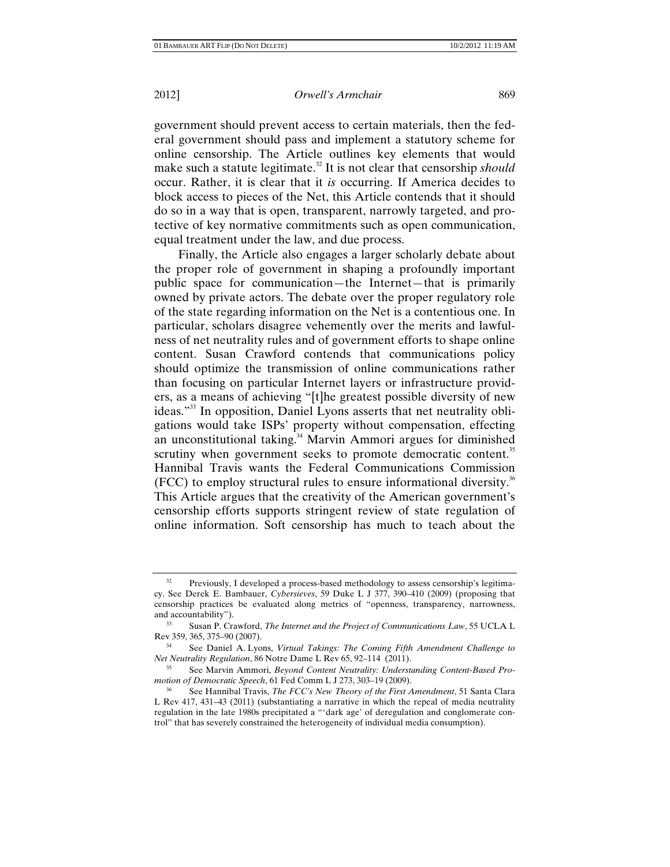government should prevent access to certain materials, then the federal government should pass and implement a statutory scheme for online censorship. The Article outlines key elements that would make such a statute legitimate.<sup>32</sup> It is not clear that censorship *should* occur. Rather, it is clear that it *is* occurring. If America decides to block access to pieces of the Net, this Article contends that it should do so in a way that is open, transparent, narrowly targeted, and protective of key normative commitments such as open communication, equal treatment under the law, and due process.

Finally, the Article also engages a larger scholarly debate about the proper role of government in shaping a profoundly important public space for communication—the Internet—that is primarily owned by private actors. The debate over the proper regulatory role of the state regarding information on the Net is a contentious one. In particular, scholars disagree vehemently over the merits and lawfulness of net neutrality rules and of government efforts to shape online content. Susan Crawford contends that communications policy should optimize the transmission of online communications rather than focusing on particular Internet layers or infrastructure providers, as a means of achieving "[t]he greatest possible diversity of new ideas."33 In opposition, Daniel Lyons asserts that net neutrality obligations would take ISPs' property without compensation, effecting an unconstitutional taking.<sup>34</sup> Marvin Ammori argues for diminished scrutiny when government seeks to promote democratic content.<sup>35</sup> Hannibal Travis wants the Federal Communications Commission  $(FCC)$  to employ structural rules to ensure informational diversity.<sup>36</sup> This Article argues that the creativity of the American government's censorship efforts supports stringent review of state regulation of online information. Soft censorship has much to teach about the

Previously, I developed a process-based methodology to assess censorship's legitimacy. See Derek E. Bambauer, *Cybersieves*, 59 Duke L J 377, 390–410 (2009) (proposing that censorship practices be evaluated along metrics of "openness, transparency, narrowness, and accountability").

<sup>33</sup> Susan P. Crawford, *The Internet and the Project of Communications Law*, 55 UCLA L Rev 359, 365, 375–90 (2007).

<sup>34</sup> See Daniel A. Lyons, *Virtual Takings: The Coming Fifth Amendment Challenge to Net Neutrality Regulation*, 86 Notre Dame L Rev 65, 92–114 (2011).<br><sup>35</sup> See Marvin Ammori, *Beyond Content Neutrality: Understanding Content-Based Pro-*

*motion of Democratic Speech*, 61 Fed Comm L J 273, 303–19 (2009).

<sup>36</sup> See Hannibal Travis, *The FCC's New Theory of the First Amendment*, 51 Santa Clara L Rev 417, 431–43 (2011) (substantiating a narrative in which the repeal of media neutrality regulation in the late 1980s precipitated a "'dark age' of deregulation and conglomerate control" that has severely constrained the heterogeneity of individual media consumption).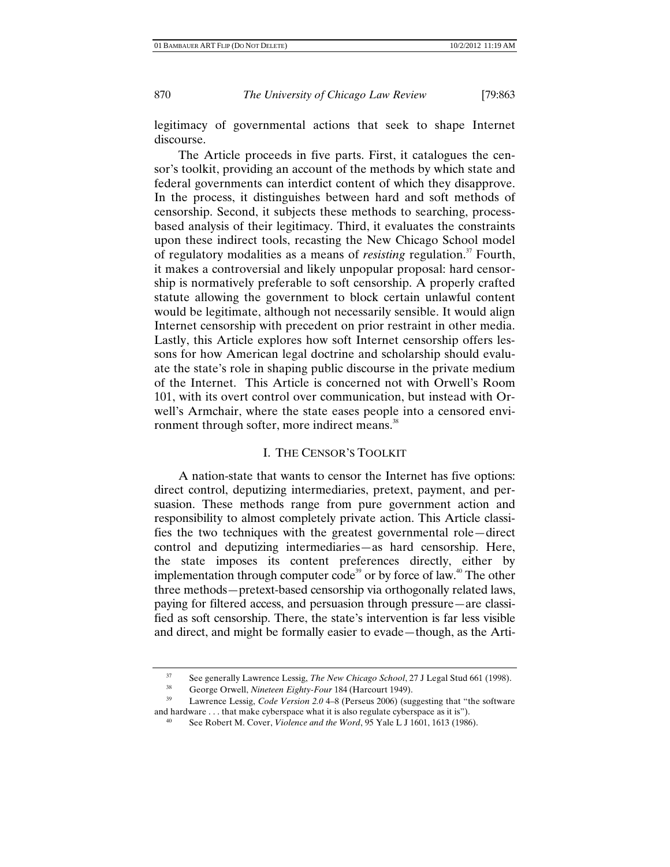legitimacy of governmental actions that seek to shape Internet discourse.

The Article proceeds in five parts. First, it catalogues the censor's toolkit, providing an account of the methods by which state and federal governments can interdict content of which they disapprove. In the process, it distinguishes between hard and soft methods of censorship. Second, it subjects these methods to searching, processbased analysis of their legitimacy. Third, it evaluates the constraints upon these indirect tools, recasting the New Chicago School model of regulatory modalities as a means of *resisting* regulation.<sup>37</sup> Fourth, it makes a controversial and likely unpopular proposal: hard censorship is normatively preferable to soft censorship. A properly crafted statute allowing the government to block certain unlawful content would be legitimate, although not necessarily sensible. It would align Internet censorship with precedent on prior restraint in other media. Lastly, this Article explores how soft Internet censorship offers lessons for how American legal doctrine and scholarship should evaluate the state's role in shaping public discourse in the private medium of the Internet. This Article is concerned not with Orwell's Room 101, with its overt control over communication, but instead with Orwell's Armchair, where the state eases people into a censored environment through softer, more indirect means.<sup>38</sup>

# I. THE CENSOR'S TOOLKIT

A nation-state that wants to censor the Internet has five options: direct control, deputizing intermediaries, pretext, payment, and persuasion. These methods range from pure government action and responsibility to almost completely private action. This Article classifies the two techniques with the greatest governmental role—direct control and deputizing intermediaries—as hard censorship. Here, the state imposes its content preferences directly, either by implementation through computer code<sup>39</sup> or by force of law.<sup>40</sup> The other three methods—pretext-based censorship via orthogonally related laws, paying for filtered access, and persuasion through pressure—are classified as soft censorship. There, the state's intervention is far less visible and direct, and might be formally easier to evade—though, as the Arti-

<sup>&</sup>lt;sup>37</sup> See generally Lawrence Lessig, *The New Chicago School*, 27 J Legal Stud 661 (1998).<br><sup>38</sup> Coorge Orwell, Ningteen Fighty Four 184 (Hereourt 1949).

George Orwell, *Nineteen Eighty-Four* 184 (Harcourt 1949).<br>Lawrence Lessig, *Code Version 2.0* 4–8 (Perseus 2006) (suggesting that "the software and hardware . . . that make cyberspace what it is also regulate cyberspace as it is").

See Robert M. Cover, *Violence and the Word*, 95 Yale L J 1601, 1613 (1986).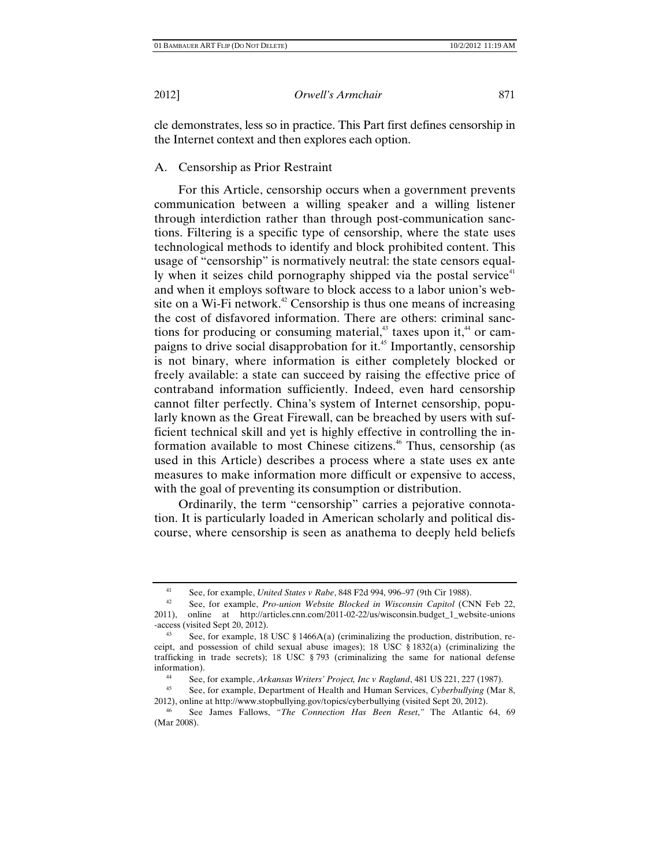cle demonstrates, less so in practice. This Part first defines censorship in the Internet context and then explores each option.

A. Censorship as Prior Restraint

For this Article, censorship occurs when a government prevents communication between a willing speaker and a willing listener through interdiction rather than through post-communication sanctions. Filtering is a specific type of censorship, where the state uses technological methods to identify and block prohibited content. This usage of "censorship" is normatively neutral: the state censors equally when it seizes child pornography shipped via the postal service<sup>41</sup> and when it employs software to block access to a labor union's website on a Wi-Fi network.<sup>42</sup> Censorship is thus one means of increasing the cost of disfavored information. There are others: criminal sanctions for producing or consuming material, $43$  taxes upon it, $44$  or campaigns to drive social disapprobation for it.<sup>45</sup> Importantly, censorship is not binary, where information is either completely blocked or freely available: a state can succeed by raising the effective price of contraband information sufficiently. Indeed, even hard censorship cannot filter perfectly. China's system of Internet censorship, popularly known as the Great Firewall, can be breached by users with sufficient technical skill and yet is highly effective in controlling the information available to most Chinese citizens.<sup>46</sup> Thus, censorship (as used in this Article) describes a process where a state uses ex ante measures to make information more difficult or expensive to access, with the goal of preventing its consumption or distribution.

Ordinarily, the term "censorship" carries a pejorative connotation. It is particularly loaded in American scholarly and political discourse, where censorship is seen as anathema to deeply held beliefs

<sup>41</sup> See, for example, *United States v Rabe*, 848 F2d 994, 996–97 (9th Cir 1988). 42 See, for example, *Pro-union Website Blocked in Wisconsin Capitol* (CNN Feb 22,

<sup>2011),</sup> online at http://articles.cnn.com/2011-02-22/us/wisconsin.budget\_1\_website-unions

<sup>-</sup>access (visited Sept 20, 2012).<br><sup>43</sup> See, for example, 18 USC § 1466A(a) (criminalizing the production, distribution, receipt, and possession of child sexual abuse images); 18 USC § 1832(a) (criminalizing the trafficking in trade secrets); 18 USC § 793 (criminalizing the same for national defense information).<br><sup>44</sup> See, for example, *Arkansas Writers' Project, Inc v Ragland*, 481 US 221, 227 (1987).<br><sup>45</sup> See, for example, Department of Health and Human Services, *Cyberbullying* (Mar 8,

<sup>2012),</sup> online at http://www.stopbullying.gov/topics/cyberbullying (visited Sept 20, 2012). 46 See James Fallows, *"The Connection Has Been Reset*,*"* The Atlantic 64, 69

<sup>(</sup>Mar 2008).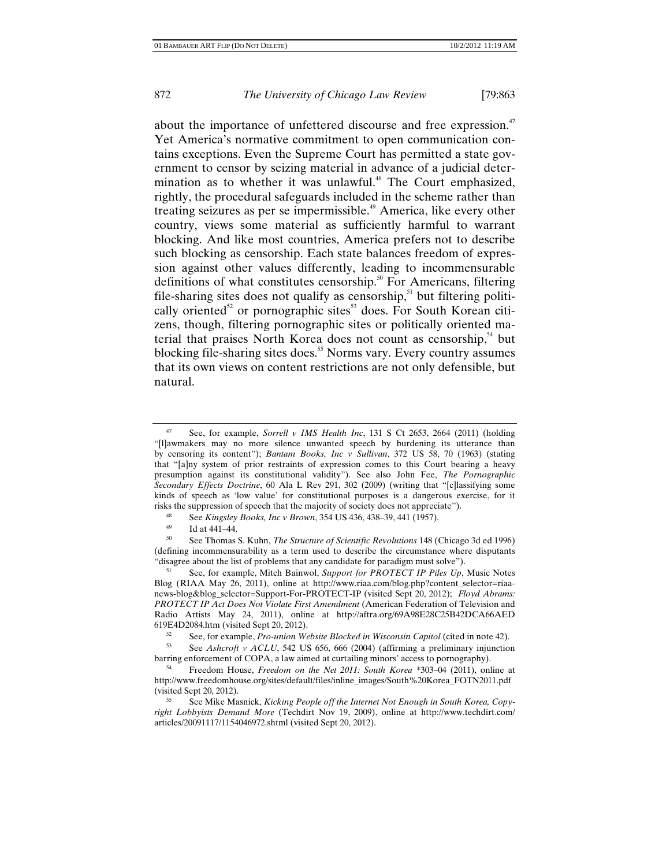about the importance of unfettered discourse and free expression.<sup>47</sup> Yet America's normative commitment to open communication contains exceptions. Even the Supreme Court has permitted a state government to censor by seizing material in advance of a judicial determination as to whether it was unlawful.<sup>48</sup> The Court emphasized, rightly, the procedural safeguards included in the scheme rather than treating seizures as per se impermissible.<sup>49</sup> America, like every other country, views some material as sufficiently harmful to warrant blocking. And like most countries, America prefers not to describe such blocking as censorship. Each state balances freedom of expression against other values differently, leading to incommensurable definitions of what constitutes censorship.<sup>50</sup> For Americans, filtering file-sharing sites does not qualify as censorship, $51$  but filtering politically oriented<sup>52</sup> or pornographic sites<sup>53</sup> does. For South Korean citizens, though, filtering pornographic sites or politically oriented material that praises North Korea does not count as censorship,<sup>54</sup> but blocking file-sharing sites does.<sup>55</sup> Norms vary. Every country assumes that its own views on content restrictions are not only defensible, but natural.

<sup>47</sup> See, for example, *Sorrell v IMS Health Inc*, 131 S Ct 2653, 2664 (2011) (holding "[l]awmakers may no more silence unwanted speech by burdening its utterance than by censoring its content"); *Bantam Books, Inc v Sullivan*, 372 US 58, 70 (1963) (stating that "[a]ny system of prior restraints of expression comes to this Court bearing a heavy presumption against its constitutional validity"). See also John Fee, *The Pornographic Secondary Effects Doctrine*, 60 Ala L Rev 291, 302 (2009) (writing that "[c]lassifying some kinds of speech as 'low value' for constitutional purposes is a dangerous exercise, for it risks the suppression of speech that the majority of society does not appreciate").<br><sup>48</sup> See *Vingday Books, Ino.y Brown*, 254 US 426, 428, 20, 441 (1957).

<sup>48</sup> See *Kingsley Books, Inc v Brown*, 354 US 436, 438–39, 441 (1957).

 $^{49}$  Id at 441–44.

<sup>50</sup> See Thomas S. Kuhn, *The Structure of Scientific Revolutions* 148 (Chicago 3d ed 1996) (defining incommensurability as a term used to describe the circumstance where disputants "disagree about the list of problems that any candidate for paradigm must solve").

<sup>51</sup> See, for example, Mitch Bainwol, *Support for PROTECT IP Piles Up*, Music Notes Blog (RIAA May 26, 2011), online at http://www.riaa.com/blog.php?content\_selector=riaanews-blog&blog\_selector=Support-For-PROTECT-IP (visited Sept 20, 2012); *Floyd Abrams: PROTECT IP Act Does Not Violate First Amendment* (American Federation of Television and Radio Artists May 24, 2011), online at http://aftra.org/69A98E28C25B42DCA66AED

<sup>52</sup> See, for example, *Pro-union Website Blocked in Wisconsin Capitol* (cited in note 42).<br>53 See, debarati u. ACLU 542 US 656, 666, (2004) (efficing a prolining in invasion

<sup>53</sup> See *Ashcroft v ACLU*, 542 US 656, 666 (2004) (affirming a preliminary injunction barring enforcement of COPA, a law aimed at curtailing minors' access to pornography). 54 Freedom House, *Freedom on the Net 2011: South Korea* \*303–04 (2011), online at

http://www.freedomhouse.org/sites/default/files/inline\_images/South%20Korea\_FOTN2011.pdf (visited Sept 20, 2012). 55 See Mike Masnick, *Kicking People off the Internet Not Enough in South Korea, Copy-*

*right Lobbyists Demand More* (Techdirt Nov 19, 2009), online at http://www.techdirt.com/ articles/20091117/1154046972.shtml (visited Sept 20, 2012).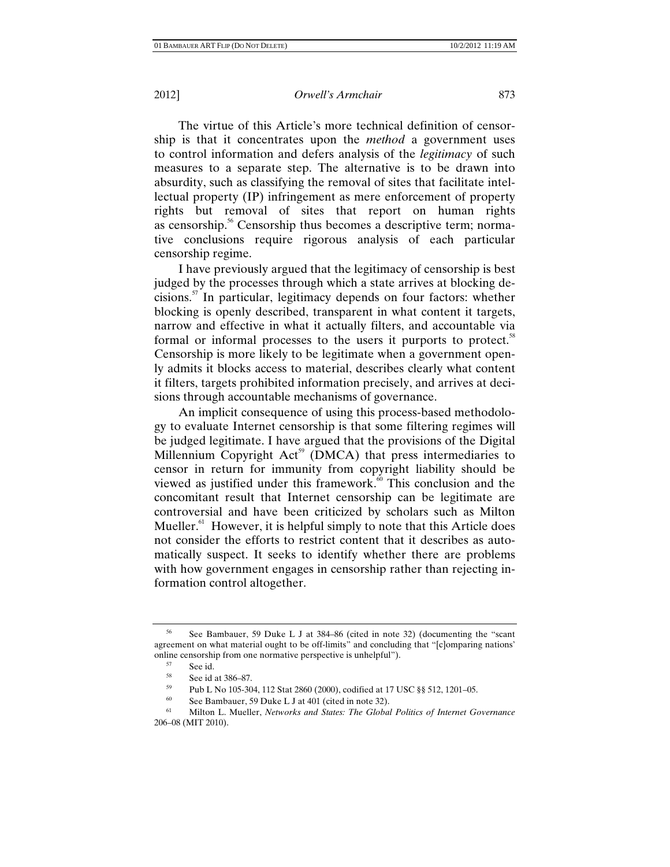The virtue of this Article's more technical definition of censorship is that it concentrates upon the *method* a government uses to control information and defers analysis of the *legitimacy* of such measures to a separate step. The alternative is to be drawn into absurdity, such as classifying the removal of sites that facilitate intellectual property (IP) infringement as mere enforcement of property rights but removal of sites that report on human rights as censorship.<sup>56</sup> Censorship thus becomes a descriptive term; normative conclusions require rigorous analysis of each particular censorship regime.

I have previously argued that the legitimacy of censorship is best judged by the processes through which a state arrives at blocking decisions.<sup>57</sup> In particular, legitimacy depends on four factors: whether blocking is openly described, transparent in what content it targets, narrow and effective in what it actually filters, and accountable via formal or informal processes to the users it purports to protect.<sup>58</sup> Censorship is more likely to be legitimate when a government openly admits it blocks access to material, describes clearly what content it filters, targets prohibited information precisely, and arrives at decisions through accountable mechanisms of governance.

An implicit consequence of using this process-based methodology to evaluate Internet censorship is that some filtering regimes will be judged legitimate. I have argued that the provisions of the Digital Millennium Copyright Act<sup>59</sup> (DMCA) that press intermediaries to censor in return for immunity from copyright liability should be viewed as justified under this framework.<sup>60</sup> This conclusion and the concomitant result that Internet censorship can be legitimate are controversial and have been criticized by scholars such as Milton Mueller. $61$  However, it is helpful simply to note that this Article does not consider the efforts to restrict content that it describes as automatically suspect. It seeks to identify whether there are problems with how government engages in censorship rather than rejecting information control altogether.

<sup>56</sup> See Bambauer, 59 Duke L J at 384–86 (cited in note 32) (documenting the "scant agreement on what material ought to be off-limits" and concluding that "[c]omparing nations' online censorship from one normative perspective is unhelpful").<br>
<sup>57</sup> See id.<br>
See id. at 386–87

 $58$  See id at 386–87.<br> $59$  Pub L No 105-30

<sup>&</sup>lt;sup>59</sup> Pub L No 105-304, 112 Stat 2860 (2000), codified at 17 USC §§ 512, 1201–05.<br><sup>60</sup> See Bambauer, 59 Duke L Lat 401 (cited in note 32)

See Bambauer, 59 Duke L J at 401 (cited in note 32).

<sup>61</sup> Milton L. Mueller, *Networks and States: The Global Politics of Internet Governance* 206–08 (MIT 2010).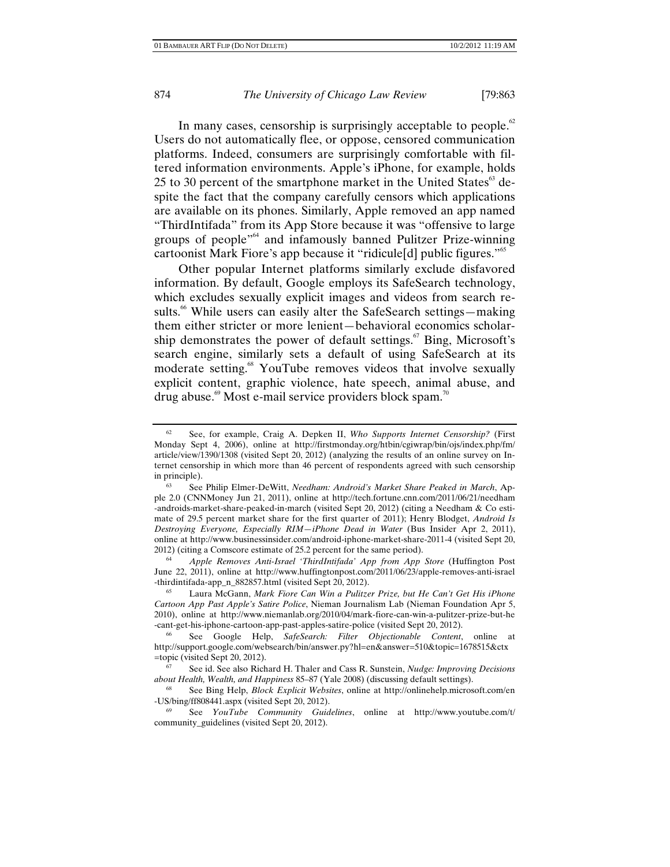In many cases, censorship is surprisingly acceptable to people.<sup>62</sup> Users do not automatically flee, or oppose, censored communication platforms. Indeed, consumers are surprisingly comfortable with filtered information environments. Apple's iPhone, for example, holds 25 to 30 percent of the smartphone market in the United States $\mathrm{^{63}}$  despite the fact that the company carefully censors which applications are available on its phones. Similarly, Apple removed an app named "ThirdIntifada" from its App Store because it was "offensive to large groups of people"64 and infamously banned Pulitzer Prize-winning cartoonist Mark Fiore's app because it "ridicule[d] public figures."<sup>65</sup>

Other popular Internet platforms similarly exclude disfavored information. By default, Google employs its SafeSearch technology, which excludes sexually explicit images and videos from search results.<sup>66</sup> While users can easily alter the SafeSearch settings—making them either stricter or more lenient—behavioral economics scholarship demonstrates the power of default settings.<sup>67</sup> Bing, Microsoft's search engine, similarly sets a default of using SafeSearch at its moderate setting.<sup>68</sup> YouTube removes videos that involve sexually explicit content, graphic violence, hate speech, animal abuse, and drug abuse.<sup>69</sup> Most e-mail service providers block spam.<sup>70</sup>

2012) (citing a Comscore estimate of 25.2 percent for the same period). 64 *Apple Removes Anti-Israel 'ThirdIntifada' App from App Store* (Huffington Post June 22, 2011), online at http://www.huffingtonpost.com/2011/06/23/apple-removes-anti-israel -thirdintifada-app\_n\_882857.html (visited Sept 20, 2012). 65 Laura McGann, *Mark Fiore Can Win a Pulitzer Prize, but He Can't Get His iPhone* 

<sup>62</sup> See, for example, Craig A. Depken II, *Who Supports Internet Censorship?* (First Monday Sept 4, 2006), online at http://firstmonday.org/htbin/cgiwrap/bin/ojs/index.php/fm/ article/view/1390/1308 (visited Sept 20, 2012) (analyzing the results of an online survey on Internet censorship in which more than 46 percent of respondents agreed with such censorship in principle).

<sup>63</sup> See Philip Elmer-DeWitt, *Needham: Android's Market Share Peaked in March*, Apple 2.0 (CNNMoney Jun 21, 2011), online at http://tech.fortune.cnn.com/2011/06/21/needham -androids-market-share-peaked-in-march (visited Sept 20, 2012) (citing a Needham & Co estimate of 29.5 percent market share for the first quarter of 2011); Henry Blodget, *Android Is Destroying Everyone, Especially RIM—iPhone Dead in Water* (Bus Insider Apr 2, 2011), online at http://www.businessinsider.com/android-iphone-market-share-2011-4 (visited Sept 20,

*Cartoon App Past Apple's Satire Police*, Nieman Journalism Lab (Nieman Foundation Apr 5, 2010), online at http://www.niemanlab.org/2010/04/mark-fiore-can-win-a-pulitzer-prize-but-he -cant-get-his-iphone-cartoon-app-past-apples-satire-police (visited Sept 20, 2012). 66 See Google Help, *SafeSearch: Filter Objectionable Content*, online at

http://support.google.com/websearch/bin/answer.py?hl=en&answer=510&topic=1678515&ctx =topic (visited Sept 20, 2012).

<sup>67</sup> See id. See also Richard H. Thaler and Cass R. Sunstein, *Nudge: Improving Decisions about Health, Wealth, and Happiness* 85–87 (Yale 2008) (discussing default settings). 68 See Bing Help, *Block Explicit Websites*, online at http://onlinehelp.microsoft.com/en

<sup>-</sup>US/bing/ff808441.aspx (visited Sept 20, 2012).

<sup>69</sup> See *YouTube Community Guidelines*, online at http://www.youtube.com/t/ community\_guidelines (visited Sept 20, 2012).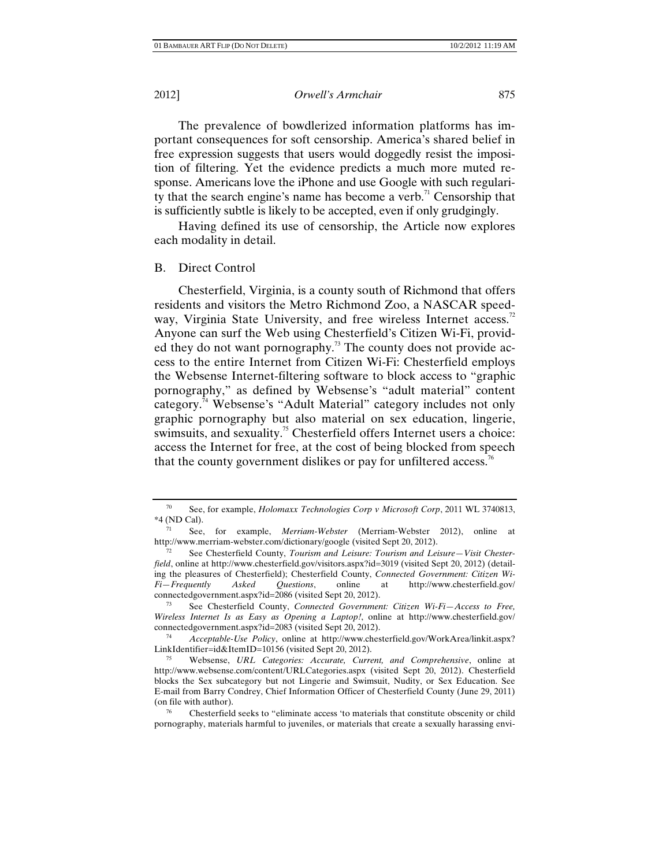The prevalence of bowdlerized information platforms has important consequences for soft censorship. America's shared belief in free expression suggests that users would doggedly resist the imposition of filtering. Yet the evidence predicts a much more muted response. Americans love the iPhone and use Google with such regularity that the search engine's name has become a verb.<sup> $\pi$ </sup> Censorship that is sufficiently subtle is likely to be accepted, even if only grudgingly.

Having defined its use of censorship, the Article now explores each modality in detail.

# B. Direct Control

Chesterfield, Virginia, is a county south of Richmond that offers residents and visitors the Metro Richmond Zoo, a NASCAR speedway, Virginia State University, and free wireless Internet access.<sup>72</sup> Anyone can surf the Web using Chesterfield's Citizen Wi-Fi, provided they do not want pornography.<sup>73</sup> The county does not provide access to the entire Internet from Citizen Wi-Fi: Chesterfield employs the Websense Internet-filtering software to block access to "graphic pornography," as defined by Websense's "adult material" content category.74 Websense's "Adult Material" category includes not only graphic pornography but also material on sex education, lingerie, swimsuits, and sexuality.<sup>75</sup> Chesterfield offers Internet users a choice: access the Internet for free, at the cost of being blocked from speech that the county government dislikes or pay for unfiltered access.<sup>16</sup>

<sup>70</sup> See, for example, *Holomaxx Technologies Corp v Microsoft Corp*, 2011 WL 3740813, \*4 (ND Cal).

<sup>71</sup> See, for example, *Merriam-Webster* (Merriam-Webster 2012), online at

http://www.merriam-webster.com/dictionary/google (visited Sept 20, 2012). 72 See Chesterfield County, *Tourism and Leisure: Tourism and Leisure—Visit Chesterfield*, online at http://www.chesterfield.gov/visitors.aspx?id=3019 (visited Sept 20, 2012) (detailing the pleasures of Chesterfield); Chesterfield County, *Connected Government: Citizen Wi-Fi—Frequently Asked Questions*, online at http://www.chesterfield.gov/ connectedgovernment.aspx?id=2086 (visited Sept 20, 2012).

<sup>73</sup> See Chesterfield County, *Connected Government: Citizen Wi-Fi—Access to Free, Wireless Internet Is as Easy as Opening a Laptop!*, online at http://www.chesterfield.gov/ connectedgovernment.aspx?id=2083 (visited Sept 20, 2012). 74 *Acceptable-Use Policy*, online at http://www.chesterfield.gov/WorkArea/linkit.aspx?

LinkIdentifier=id&ItemID=10156 (visited Sept 20, 2012). 75 Websense, *URL Categories: Accurate, Current, and Comprehensive*, online at

http://www.websense.com/content/URLCategories.aspx (visited Sept 20, 2012). Chesterfield blocks the Sex subcategory but not Lingerie and Swimsuit, Nudity, or Sex Education. See E-mail from Barry Condrey, Chief Information Officer of Chesterfield County (June 29, 2011) (on file with author).<br><sup>76</sup> Chesterfield seeks to "eliminate access 'to materials that constitute obscenity or child

pornography, materials harmful to juveniles, or materials that create a sexually harassing envi-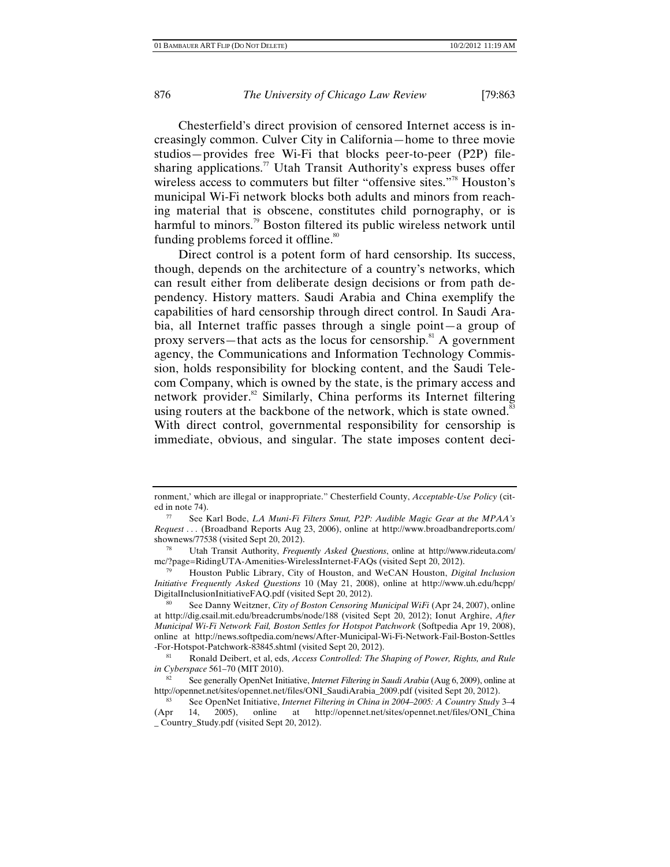Chesterfield's direct provision of censored Internet access is increasingly common. Culver City in California—home to three movie studios—provides free Wi-Fi that blocks peer-to-peer (P2P) filesharing applications.<sup>77</sup> Utah Transit Authority's express buses offer wireless access to commuters but filter "offensive sites."<sup>78</sup> Houston's municipal Wi-Fi network blocks both adults and minors from reaching material that is obscene, constitutes child pornography, or is harmful to minors.<sup>79</sup> Boston filtered its public wireless network until funding problems forced it offline.<sup>80</sup>

Direct control is a potent form of hard censorship. Its success, though, depends on the architecture of a country's networks, which can result either from deliberate design decisions or from path dependency. History matters. Saudi Arabia and China exemplify the capabilities of hard censorship through direct control. In Saudi Arabia, all Internet traffic passes through a single point—a group of proxy servers—that acts as the locus for censorship.<sup>81</sup> A government agency, the Communications and Information Technology Commission, holds responsibility for blocking content, and the Saudi Telecom Company, which is owned by the state, is the primary access and network provider. $82$  Similarly, China performs its Internet filtering using routers at the backbone of the network, which is state owned.<sup>83</sup> With direct control, governmental responsibility for censorship is immediate, obvious, and singular. The state imposes content deci-

ronment,' which are illegal or inappropriate." Chesterfield County, *Acceptable-Use Policy* (cited in note 74). 77 See Karl Bode, *LA Muni-Fi Filters Smut, P2P: Audible Magic Gear at the MPAA's* 

*Request . . .* (Broadband Reports Aug 23, 2006), online at http://www.broadbandreports.com/ shownews/77538 (visited Sept 20, 2012).

<sup>78</sup> Utah Transit Authority, *Frequently Asked Questions*, online at http://www.rideuta.com/ mc/?page=RidingUTA-Amenities-WirelessInternet-FAQs (visited Sept 20, 2012).

<sup>79</sup> Houston Public Library, City of Houston, and WeCAN Houston, *Digital Inclusion Initiative Frequently Asked Questions* 10 (May 21, 2008), online at http://www.uh.edu/hcpp/ DigitalInclusionInitiativeFAQ.pdf (visited Sept 20, 2012). 80 See Danny Weitzner, *City of Boston Censoring Municipal WiFi* (Apr 24, 2007), online

at http://dig.csail.mit.edu/breadcrumbs/node/188 (visited Sept 20, 2012); Ionut Arghire, *After Municipal Wi-Fi Network Fail, Boston Settles for Hotspot Patchwork* (Softpedia Apr 19, 2008), online at http://news.softpedia.com/news/After-Municipal-Wi-Fi-Network-Fail-Boston-Settles

<sup>-</sup>For-Hotspot-Patchwork-83845.shtml (visited Sept 20, 2012).<br><sup>81</sup> Ronald Deibert, et al, eds, *Access Controlled: The Shaping of Power, Rights, and Rule in Cyberspace 561–70 (MIT 2010).* 

*See generally OpenNet Initiative, Internet Filtering in Saudi Arabia* (Aug 6, 2009), online at http://opennet.net/sites/opennet.net/files/ONI\_SaudiArabia\_2009.pdf (visited Sept 20, 2012).

<sup>83</sup> See OpenNet Initiative, *Internet Filtering in China in 2004–2005: A Country Study* 3–4 (Apr 14, 2005), online at http://opennet.net/sites/opennet.net/files/ONI\_China \_ Country\_Study.pdf (visited Sept 20, 2012).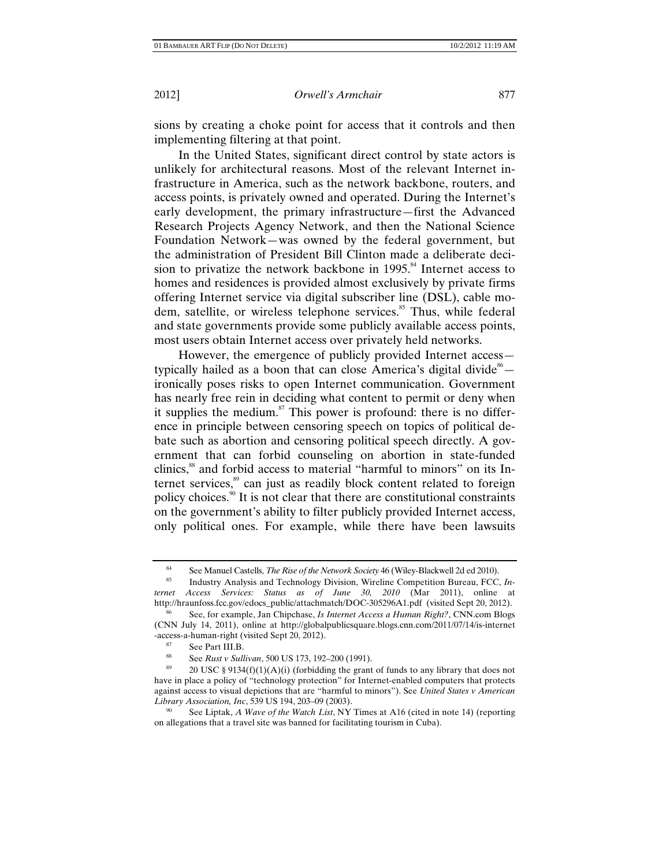sions by creating a choke point for access that it controls and then implementing filtering at that point.

In the United States, significant direct control by state actors is unlikely for architectural reasons. Most of the relevant Internet infrastructure in America, such as the network backbone, routers, and access points, is privately owned and operated. During the Internet's early development, the primary infrastructure—first the Advanced Research Projects Agency Network, and then the National Science Foundation Network—was owned by the federal government, but the administration of President Bill Clinton made a deliberate decision to privatize the network backbone in  $1995$ .<sup>84</sup> Internet access to homes and residences is provided almost exclusively by private firms offering Internet service via digital subscriber line (DSL), cable modem, satellite, or wireless telephone services.<sup>85</sup> Thus, while federal and state governments provide some publicly available access points, most users obtain Internet access over privately held networks.

However, the emergence of publicly provided Internet access typically hailed as a boon that can close America's digital divide  $66$ ironically poses risks to open Internet communication. Government has nearly free rein in deciding what content to permit or deny when it supplies the medium.<sup>87</sup> This power is profound: there is no difference in principle between censoring speech on topics of political debate such as abortion and censoring political speech directly. A government that can forbid counseling on abortion in state-funded clinics,<sup>88</sup> and forbid access to material "harmful to minors" on its Internet services,<sup>89</sup> can just as readily block content related to foreign policy choices.90 It is not clear that there are constitutional constraints on the government's ability to filter publicly provided Internet access, only political ones. For example, while there have been lawsuits

<sup>84</sup> See Manuel Castells, *The Rise of the Network Society* 46 (Wiley-Blackwell 2d ed 2010). 85 Industry Analysis and Technology Division, Wireline Competition Bureau, FCC, *In-*

*ternet Access Services: Status as of June 30, 2010* (Mar 2011), online at http://hraunfoss.fcc.gov/edocs\_public/attachmatch/DOC-305296A1.pdf (visited Sept 20, 2012).

<sup>86</sup> See, for example, Jan Chipchase, *Is Internet Access a Human Right?*, CNN.com Blogs (CNN July 14, 2011), online at http://globalpublicsquare.blogs.cnn.com/2011/07/14/is-internet -access-a-human-right (visited Sept 20, 2012).<br><sup>87</sup> See Part III.B.<br><sup>88</sup> See Purt y Sullivan, 500 US 173, 102

<sup>88</sup> See *Rust v Sullivan*, 500 US 173, 192–200 (1991).

<sup>20</sup> USC § 9134(f)(1)(A)(i) (forbidding the grant of funds to any library that does not have in place a policy of "technology protection" for Internet-enabled computers that protects against access to visual depictions that are "harmful to minors"). See *United States v American Library Association, Inc*, 539 US 194, 203–09 (2003).

<sup>90</sup> See Liptak, *A Wave of the Watch List*, NY Times at A16 (cited in note 14) (reporting on allegations that a travel site was banned for facilitating tourism in Cuba).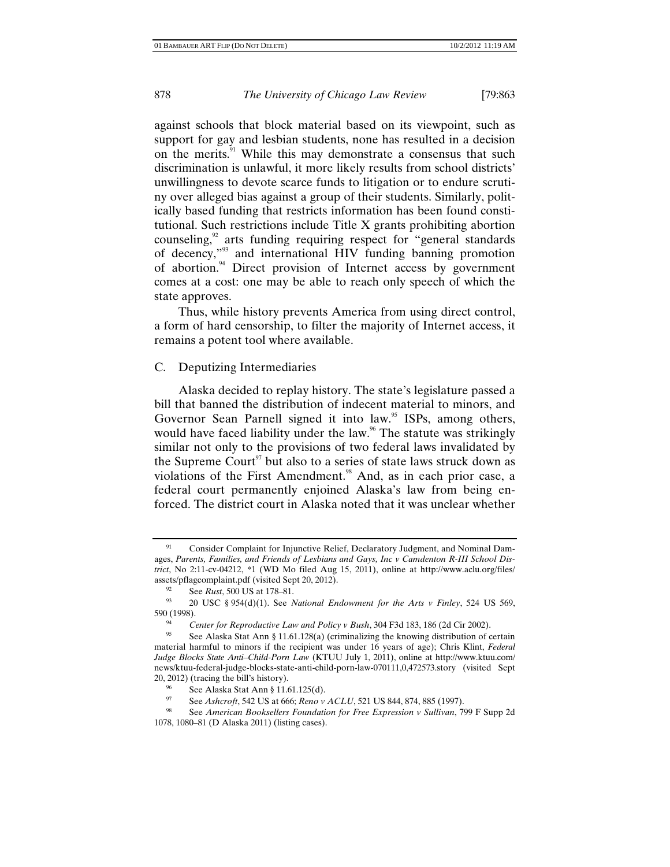against schools that block material based on its viewpoint, such as support for gay and lesbian students, none has resulted in a decision on the merits.<sup>91</sup> While this may demonstrate a consensus that such discrimination is unlawful, it more likely results from school districts' unwillingness to devote scarce funds to litigation or to endure scrutiny over alleged bias against a group of their students. Similarly, politically based funding that restricts information has been found constitutional. Such restrictions include Title X grants prohibiting abortion counseling,<sup>92</sup> arts funding requiring respect for "general standards" of decency,"93 and international HIV funding banning promotion of abortion.<sup>94</sup> Direct provision of Internet access by government comes at a cost: one may be able to reach only speech of which the state approves.

Thus, while history prevents America from using direct control, a form of hard censorship, to filter the majority of Internet access, it remains a potent tool where available.

# C. Deputizing Intermediaries

Alaska decided to replay history. The state's legislature passed a bill that banned the distribution of indecent material to minors, and Governor Sean Parnell signed it into law.<sup>95</sup> ISPs, among others, would have faced liability under the law.<sup>96</sup> The statute was strikingly similar not only to the provisions of two federal laws invalidated by the Supreme Court<sup>97</sup> but also to a series of state laws struck down as violations of the First Amendment.<sup>98</sup> And, as in each prior case, a federal court permanently enjoined Alaska's law from being enforced. The district court in Alaska noted that it was unclear whether

Consider Complaint for Injunctive Relief, Declaratory Judgment, and Nominal Damages, *Parents, Families, and Friends of Lesbians and Gays, Inc v Camdenton R-III School District*, No 2:11-cv-04212, \*1 (WD Mo filed Aug 15, 2011), online at http://www.aclu.org/files/ assets/pflagcomplaint.pdf (visited Sept 20, 2012).<br><sup>92</sup> See *Rust*, 500 US at 178–81.<br><sup>93</sup> 20 USC § 954(d)(1). See *National Endowment for the Arts v Finley*, 524 US 569,

<sup>590 (1998).</sup>

<sup>&</sup>lt;sup>94</sup> Center for Reproductive Law and Policy v Bush, 304 F3d 183, 186 (2d Cir 2002).<br><sup>95</sup> See Alaska Stat Ann § 11.61.128(a) (criminalizing the knowing distribution of certain material harmful to minors if the recipient was under 16 years of age); Chris Klint, *Federal Judge Blocks State Anti–Child-Porn Law* (KTUU July 1, 2011), online at http://www.ktuu.com/ news/ktuu-federal-judge-blocks-state-anti-child-porn-law-070111,0,472573.story (visited Sept 20, 2012) (tracing the bill's history).

<sup>&</sup>lt;sup>96</sup> See Alaska Stat Ann § 11.61.125(d).<br><sup>97</sup> See Ashcroft 542 US at 666; Reno v

See *Ashcroft*, 542 US at 666; *Reno v ACLU*, 521 US 844, 874, 885 (1997).

<sup>98</sup> See *American Booksellers Foundation for Free Expression v Sullivan*, 799 F Supp 2d 1078, 1080–81 (D Alaska 2011) (listing cases).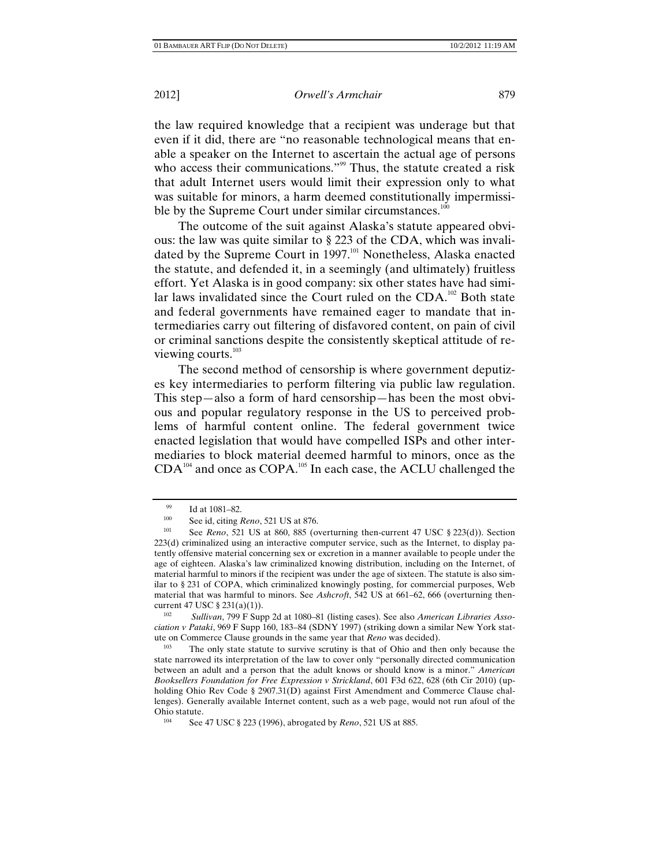the law required knowledge that a recipient was underage but that even if it did, there are "no reasonable technological means that enable a speaker on the Internet to ascertain the actual age of persons who access their communications."<sup>99</sup> Thus, the statute created a risk that adult Internet users would limit their expression only to what was suitable for minors, a harm deemed constitutionally impermissible by the Supreme Court under similar circumstances.<sup>100</sup>

The outcome of the suit against Alaska's statute appeared obvious: the law was quite similar to § 223 of the CDA, which was invalidated by the Supreme Court in 1997.<sup>101</sup> Nonetheless, Alaska enacted the statute, and defended it, in a seemingly (and ultimately) fruitless effort. Yet Alaska is in good company: six other states have had similar laws invalidated since the Court ruled on the  $CDA$ <sup>102</sup> Both state and federal governments have remained eager to mandate that intermediaries carry out filtering of disfavored content, on pain of civil or criminal sanctions despite the consistently skeptical attitude of reviewing courts. $103$ 

The second method of censorship is where government deputizes key intermediaries to perform filtering via public law regulation. This step—also a form of hard censorship—has been the most obvious and popular regulatory response in the US to perceived problems of harmful content online. The federal government twice enacted legislation that would have compelled ISPs and other intermediaries to block material deemed harmful to minors, once as the  $CDA^{104}$  and once as  $COPA^{105}$ . In each case, the ACLU challenged the

 $\frac{99}{100}$  Id at 1081–82.

<sup>100</sup> See id, citing *Reno*, 521 US at 876.<br>101 See *Paus*, 521 US at 860, 885 (c)

<sup>101</sup> See *Reno*, 521 US at 860, 885 (overturning then-current 47 USC § 223(d)). Section 223(d) criminalized using an interactive computer service, such as the Internet, to display patently offensive material concerning sex or excretion in a manner available to people under the age of eighteen. Alaska's law criminalized knowing distribution, including on the Internet, of material harmful to minors if the recipient was under the age of sixteen. The statute is also similar to § 231 of COPA, which criminalized knowingly posting, for commercial purposes, Web material that was harmful to minors. See *Ashcroft*, 542 US at 661–62, 666 (overturning thencurrent 47 USC § 231(a)(1)).

<sup>102</sup> *Sullivan*, 799 F Supp 2d at 1080–81 (listing cases). See also *American Libraries Association v Pataki*, 969 F Supp 160, 183–84 (SDNY 1997) (striking down a similar New York statute on Commerce Clause grounds in the same year that *Reno* was decided).<br><sup>103</sup> The only state statute to survive scrutiny is that of Ohio and then only because the

state narrowed its interpretation of the law to cover only "personally directed communication between an adult and a person that the adult knows or should know is a minor." *American Booksellers Foundation for Free Expression v Strickland*, 601 F3d 622, 628 (6th Cir 2010) (upholding Ohio Rev Code § 2907.31(D) against First Amendment and Commerce Clause challenges). Generally available Internet content, such as a web page, would not run afoul of the

<sup>&</sup>lt;sup>104</sup> See 47 USC § 223 (1996), abrogated by *Reno*, 521 US at 885.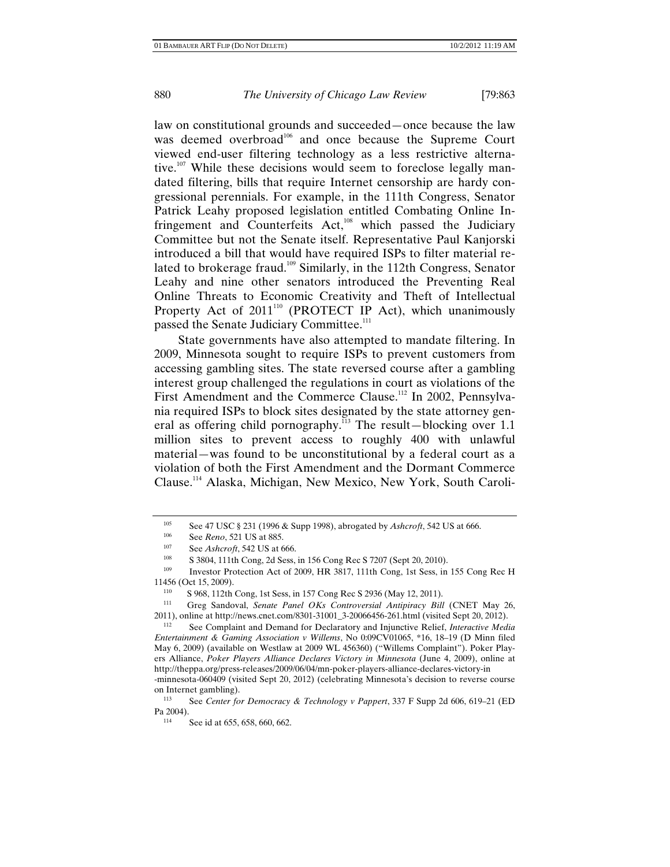law on constitutional grounds and succeeded—once because the law was deemed overbroad<sup>106</sup> and once because the Supreme Court viewed end-user filtering technology as a less restrictive alternative.<sup>107</sup> While these decisions would seem to foreclose legally mandated filtering, bills that require Internet censorship are hardy congressional perennials. For example, in the 111th Congress, Senator Patrick Leahy proposed legislation entitled Combating Online Infringement and Counterfeits Act,<sup>108</sup> which passed the Judiciary Committee but not the Senate itself. Representative Paul Kanjorski introduced a bill that would have required ISPs to filter material related to brokerage fraud.<sup>109</sup> Similarly, in the 112th Congress, Senator Leahy and nine other senators introduced the Preventing Real Online Threats to Economic Creativity and Theft of Intellectual Property Act of 2011<sup>110</sup> (PROTECT IP Act), which unanimously passed the Senate Judiciary Committee.<sup>111</sup>

State governments have also attempted to mandate filtering. In 2009, Minnesota sought to require ISPs to prevent customers from accessing gambling sites. The state reversed course after a gambling interest group challenged the regulations in court as violations of the First Amendment and the Commerce Clause.<sup>112</sup> In 2002, Pennsylvania required ISPs to block sites designated by the state attorney general as offering child pornography.<sup>113</sup> The result—blocking over 1.1 million sites to prevent access to roughly 400 with unlawful material—was found to be unconstitutional by a federal court as a violation of both the First Amendment and the Dormant Commerce Clause.114 Alaska, Michigan, New Mexico, New York, South Caroli-

<sup>105</sup> See 47 USC § 231 (1996 & Supp 1998), abrogated by *Ashcroft*, 542 US at 666.<br>106 See Paug 521 US at 895

<sup>106</sup> See *Reno*, 521 US at 885.<br>
107 See *Ashcroft*, 542 US at 666.<br>
108 S 3804, 111th Cong, 2d Sess, in 156 Cong Rec S 7207 (Sept 20, 2010).<br>
109 Investor **Protection** Act of 2000, HP 2817, 111th Cong, 1st Secs, in

Investor Protection Act of 2009, HR 3817, 111th Cong, 1st Sess, in 155 Cong Rec H 11456 (Oct 15, 2009).

<sup>110</sup> S 968, 112th Cong, 1st Sess, in 157 Cong Rec S 2936 (May 12, 2011). 111 Greg Sandoval, *Senate Panel OKs Controversial Antipiracy Bill* (CNET May 26, 2011), online at http://news.cnet.com/8301-31001\_3-20066456-261.html (visited Sept 20, 2012). 112 See Complaint and Demand for Declaratory and Injunctive Relief, *Interactive Media* 

*Entertainment & Gaming Association v Willems*, No 0:09CV01065, \*16, 18–19 (D Minn filed May 6, 2009) (available on Westlaw at 2009 WL 456360) ("Willems Complaint"). Poker Players Alliance, *Poker Players Alliance Declares Victory in Minnesota* (June 4, 2009), online at http://theppa.org/press-releases/2009/06/04/mn-poker-players-alliance-declares-victory-in -minnesota-060409 (visited Sept 20, 2012) (celebrating Minnesota's decision to reverse course on Internet gambling).<br> $S_{\Theta}$  Center for

<sup>113</sup> See *Center for Democracy & Technology v Pappert*, 337 F Supp 2d 606, 619–21 (ED

 $P<sup>114</sup>$  See id at 655, 658, 660, 662.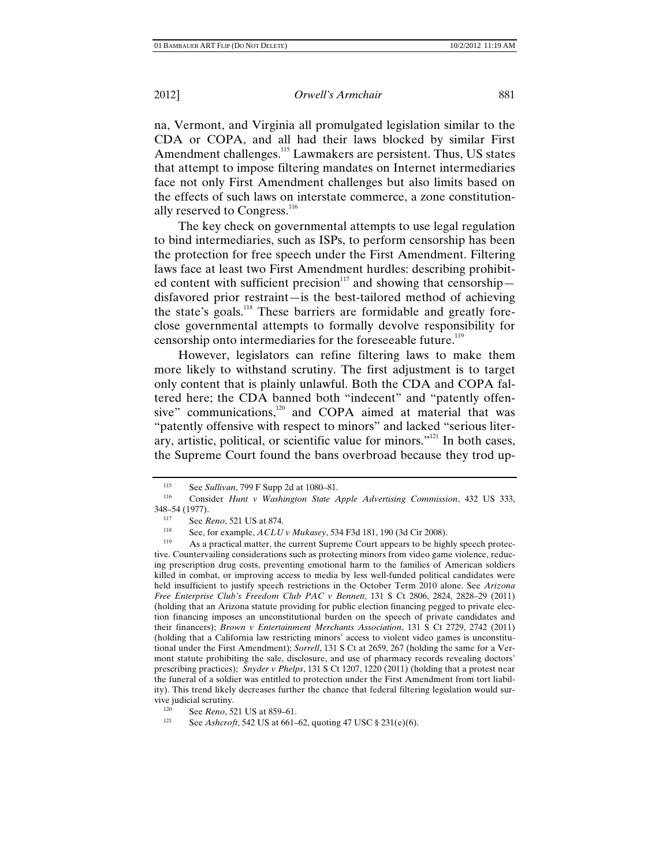na, Vermont, and Virginia all promulgated legislation similar to the CDA or COPA, and all had their laws blocked by similar First Amendment challenges.<sup>115</sup> Lawmakers are persistent. Thus, US states that attempt to impose filtering mandates on Internet intermediaries face not only First Amendment challenges but also limits based on the effects of such laws on interstate commerce, a zone constitutionally reserved to Congress.<sup>116</sup>

The key check on governmental attempts to use legal regulation to bind intermediaries, such as ISPs, to perform censorship has been the protection for free speech under the First Amendment. Filtering laws face at least two First Amendment hurdles: describing prohibited content with sufficient precision<sup>117</sup> and showing that censorship disfavored prior restraint—is the best-tailored method of achieving the state's goals.<sup>118</sup> These barriers are formidable and greatly foreclose governmental attempts to formally devolve responsibility for censorship onto intermediaries for the foreseeable future.<sup>119</sup>

However, legislators can refine filtering laws to make them more likely to withstand scrutiny. The first adjustment is to target only content that is plainly unlawful. Both the CDA and COPA faltered here; the CDA banned both "indecent" and "patently offensive" communications, $120$  and COPA aimed at material that was "patently offensive with respect to minors" and lacked "serious literary, artistic, political, or scientific value for minors."121 In both cases, the Supreme Court found the bans overbroad because they trod up-

<sup>115</sup> See *Sullivan*, 799 F Supp 2d at 1080–81. 116 Consider *Hunt v Washington State Apple Advertising Commission*, 432 US 333, 348–54 (1977).

<sup>117</sup> See *Reno*, 521 US at 874.<br>
118 See, for example, *ACLU v Mukasey*, 534 F3d 181, 190 (3d Cir 2008).

As a practical matter, the current Supreme Court appears to be highly speech protective. Countervailing considerations such as protecting minors from video game violence, reducing prescription drug costs, preventing emotional harm to the families of American soldiers killed in combat, or improving access to media by less well-funded political candidates were held insufficient to justify speech restrictions in the October Term 2010 alone. See *Arizona Free Enterprise Club's Freedom Club PAC v Bennett*, 131 S Ct 2806, 2824, 2828–29 (2011) (holding that an Arizona statute providing for public election financing pegged to private election financing imposes an unconstitutional burden on the speech of private candidates and their financers); *Brown v Entertainment Merchants Association*, 131 S Ct 2729, 2742 (2011) (holding that a California law restricting minors' access to violent video games is unconstitutional under the First Amendment); *Sorrell*, 131 S Ct at 2659, 267 (holding the same for a Vermont statute prohibiting the sale, disclosure, and use of pharmacy records revealing doctors' prescribing practices); *Snyder v Phelps*, 131 S Ct 1207, 1220 (2011) (holding that a protest near the funeral of a soldier was entitled to protection under the First Amendment from tort liability). This trend likely decreases further the chance that federal filtering legislation would sur-

<sup>&</sup>lt;sup>120</sup> See *Reno*, 521 US at 859–61.<br><sup>121</sup> See *Ashmaft*, 542 US at 661.

See *Ashcroft*, 542 US at 661–62, quoting 47 USC § 231(e)(6).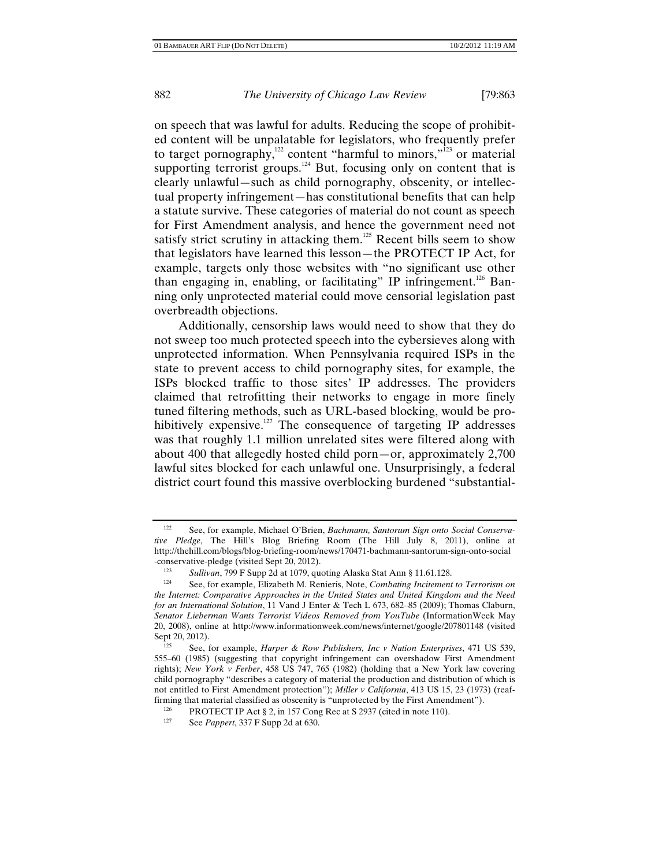on speech that was lawful for adults. Reducing the scope of prohibited content will be unpalatable for legislators, who frequently prefer to target pornography,<sup>122</sup> content "harmful to minors,"<sup>123</sup> or material supporting terrorist groups.<sup>124</sup> But, focusing only on content that is clearly unlawful—such as child pornography, obscenity, or intellectual property infringement—has constitutional benefits that can help a statute survive. These categories of material do not count as speech for First Amendment analysis, and hence the government need not satisfy strict scrutiny in attacking them.<sup>125</sup> Recent bills seem to show that legislators have learned this lesson—the PROTECT IP Act, for example, targets only those websites with "no significant use other than engaging in, enabling, or facilitating" IP infringement.<sup>126</sup> Banning only unprotected material could move censorial legislation past overbreadth objections.

Additionally, censorship laws would need to show that they do not sweep too much protected speech into the cybersieves along with unprotected information. When Pennsylvania required ISPs in the state to prevent access to child pornography sites, for example, the ISPs blocked traffic to those sites' IP addresses. The providers claimed that retrofitting their networks to engage in more finely tuned filtering methods, such as URL-based blocking, would be prohibitively expensive.<sup>127</sup> The consequence of targeting IP addresses was that roughly 1.1 million unrelated sites were filtered along with about 400 that allegedly hosted child porn—or, approximately 2,700 lawful sites blocked for each unlawful one. Unsurprisingly, a federal district court found this massive overblocking burdened "substantial-

<sup>122</sup> See, for example, Michael O'Brien, *Bachmann, Santorum Sign onto Social Conservative Pledge*, The Hill's Blog Briefing Room (The Hill July 8, 2011), online at http://thehill.com/blogs/blog-briefing-room/news/170471-bachmann-santorum-sign-onto-social -conservative-pledge (visited Sept 20, 2012).

<sup>1&</sup>lt;sup>23</sup> *Sullivan*, 799 F Supp 2d at 1079, quoting Alaska Stat Ann § 11.61.128.<br>
See for example Elizabeth M Repieris Note Combating Incitement

<sup>124</sup> See, for example, Elizabeth M. Renieris, Note, *Combating Incitement to Terrorism on the Internet: Comparative Approaches in the United States and United Kingdom and the Need for an International Solution*, 11 Vand J Enter & Tech L 673, 682–85 (2009); Thomas Claburn, *Senator Lieberman Wants Terrorist Videos Removed from YouTube* (InformationWeek May 20, 2008), online at http://www.informationweek.com/news/internet/google/207801148 (visited Sept 20, 2012).

<sup>125</sup> See, for example, *Harper & Row Publishers, Inc v Nation Enterprises*, 471 US 539, 555–60 (1985) (suggesting that copyright infringement can overshadow First Amendment rights); *New York v Ferber*, 458 US 747, 765 (1982) (holding that a New York law covering child pornography "describes a category of material the production and distribution of which is not entitled to First Amendment protection"); *Miller v California*, 413 US 15, 23 (1973) (reaffirming that material classified as obscenity is "unprotected by the First Amendment").

<sup>126</sup> PROTECT IP Act  $\S 2$ , in 157 Cong Rec at S 2937 (cited in note 110).<br>127 See Pannert 337 F Supp 2d at 630

See *Pappert*, 337 F Supp 2d at 630.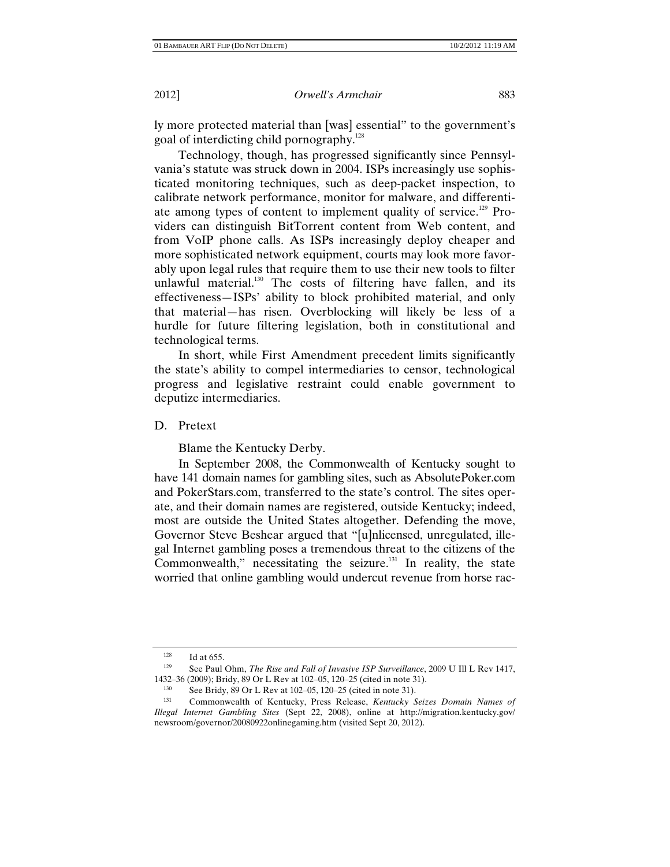ly more protected material than [was] essential" to the government's goal of interdicting child pornography.<sup>128</sup>

Technology, though, has progressed significantly since Pennsylvania's statute was struck down in 2004. ISPs increasingly use sophisticated monitoring techniques, such as deep-packet inspection, to calibrate network performance, monitor for malware, and differentiate among types of content to implement quality of service.<sup>129</sup> Providers can distinguish BitTorrent content from Web content, and from VoIP phone calls. As ISPs increasingly deploy cheaper and more sophisticated network equipment, courts may look more favorably upon legal rules that require them to use their new tools to filter unlawful material. $130$  The costs of filtering have fallen, and its effectiveness—ISPs' ability to block prohibited material, and only that material—has risen. Overblocking will likely be less of a hurdle for future filtering legislation, both in constitutional and technological terms.

In short, while First Amendment precedent limits significantly the state's ability to compel intermediaries to censor, technological progress and legislative restraint could enable government to deputize intermediaries.

D. Pretext

Blame the Kentucky Derby.

In September 2008, the Commonwealth of Kentucky sought to have 141 domain names for gambling sites, such as AbsolutePoker.com and PokerStars.com, transferred to the state's control. The sites operate, and their domain names are registered, outside Kentucky; indeed, most are outside the United States altogether. Defending the move, Governor Steve Beshear argued that "[u]nlicensed, unregulated, illegal Internet gambling poses a tremendous threat to the citizens of the Commonwealth," necessitating the seizure. $131$  In reality, the state worried that online gambling would undercut revenue from horse rac-

<sup>&</sup>lt;sup>128</sup> Id at 655.

<sup>129</sup> See Paul Ohm, *The Rise and Fall of Invasive ISP Surveillance*, 2009 U Ill L Rev 1417,

<sup>1432–36 (2009);</sup> Bridy, 89 Or L Rev at 102–05, 120–25 (cited in note 31).<br>
See Bridy, 89 Or L Rev at 102–05, 120–25 (cited in note 31).<br>
Commonwealth of Kentucky Press Pelease Kentucky Sci

<sup>131</sup> Commonwealth of Kentucky, Press Release, *Kentucky Seizes Domain Names of Illegal Internet Gambling Sites* (Sept 22, 2008), online at http://migration.kentucky.gov/ newsroom/governor/20080922onlinegaming.htm (visited Sept 20, 2012).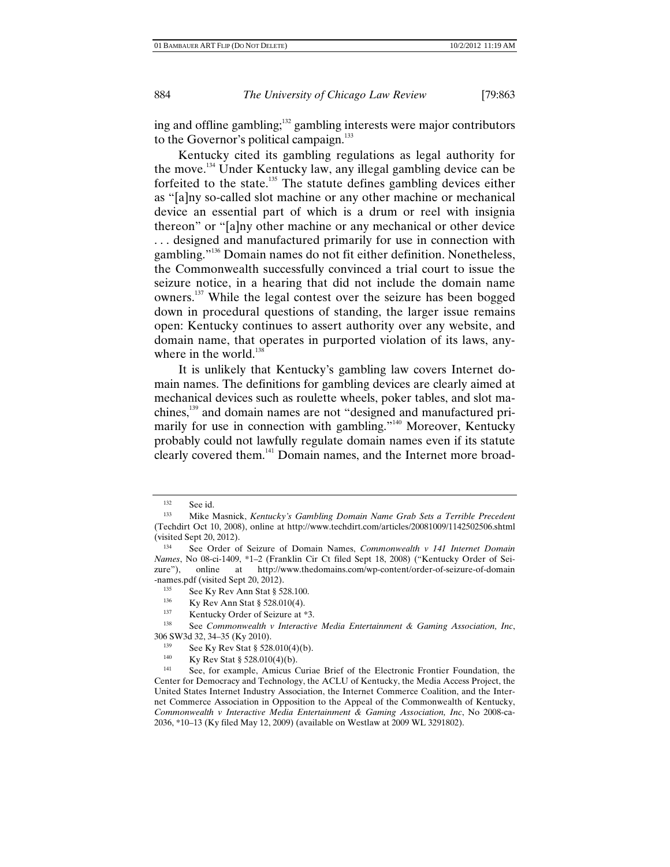ing and offline gambling;<sup>132</sup> gambling interests were major contributors to the Governor's political campaign.<sup>133</sup>

Kentucky cited its gambling regulations as legal authority for the move.134 Under Kentucky law, any illegal gambling device can be forfeited to the state.<sup>135</sup> The statute defines gambling devices either as "[a]ny so-called slot machine or any other machine or mechanical device an essential part of which is a drum or reel with insignia thereon" or "[a]ny other machine or any mechanical or other device . . . designed and manufactured primarily for use in connection with gambling."<sup>136</sup> Domain names do not fit either definition. Nonetheless, the Commonwealth successfully convinced a trial court to issue the seizure notice, in a hearing that did not include the domain name owners.137 While the legal contest over the seizure has been bogged down in procedural questions of standing, the larger issue remains open: Kentucky continues to assert authority over any website, and domain name, that operates in purported violation of its laws, anywhere in the world. $138$ 

It is unlikely that Kentucky's gambling law covers Internet domain names. The definitions for gambling devices are clearly aimed at mechanical devices such as roulette wheels, poker tables, and slot machines,<sup>139</sup> and domain names are not "designed and manufactured primarily for use in connection with gambling."<sup>140</sup> Moreover, Kentucky probably could not lawfully regulate domain names even if its statute clearly covered them.<sup>141</sup> Domain names, and the Internet more broad-

<sup>132</sup> See id. 133 Mike Masnick, *Kentucky's Gambling Domain Name Grab Sets a Terrible Precedent* (Techdirt Oct 10, 2008), online at http://www.techdirt.com/articles/20081009/1142502506.shtml (visited Sept 20, 2012).

See Order of Seizure of Domain Names, *Commonwealth v 141 Internet Domain Names*, No 08-ci-1409, \*1–2 (Franklin Cir Ct filed Sept 18, 2008) ("Kentucky Order of Seizure"), online at http://www.thedomains.com/wp-content/order-of-seizure-of-domain -names.pdf (visited Sept 20, 2012).

<sup>135</sup> See Ky Rev Ann Stat § 528.100.<br>1<sup>36</sup> Ky Rev Ann Stat § 528.010(4).<br><sup>137</sup> Kentucky Order of Seizure at \*3.<br><sup>138</sup> See *Commonwealth v Interactive Media Entertainment & Gaming Association, Inc*, 306 SW3d 32, 34–35 (Ky 2010).<br><sup>139</sup> See Ky Rev Stat § 528.010(4)(b).<br><sup>140</sup> Ky Rev Stat § 528.010(4)(b).<br><sup>141</sup> See, for example, Amicus Curiae Brief of the Electronic Frontier Foundation, the

Center for Democracy and Technology, the ACLU of Kentucky, the Media Access Project, the United States Internet Industry Association, the Internet Commerce Coalition, and the Internet Commerce Association in Opposition to the Appeal of the Commonwealth of Kentucky, *Commonwealth v Interactive Media Entertainment & Gaming Association, Inc*, No 2008-ca-2036, \*10–13 (Ky filed May 12, 2009) (available on Westlaw at 2009 WL 3291802).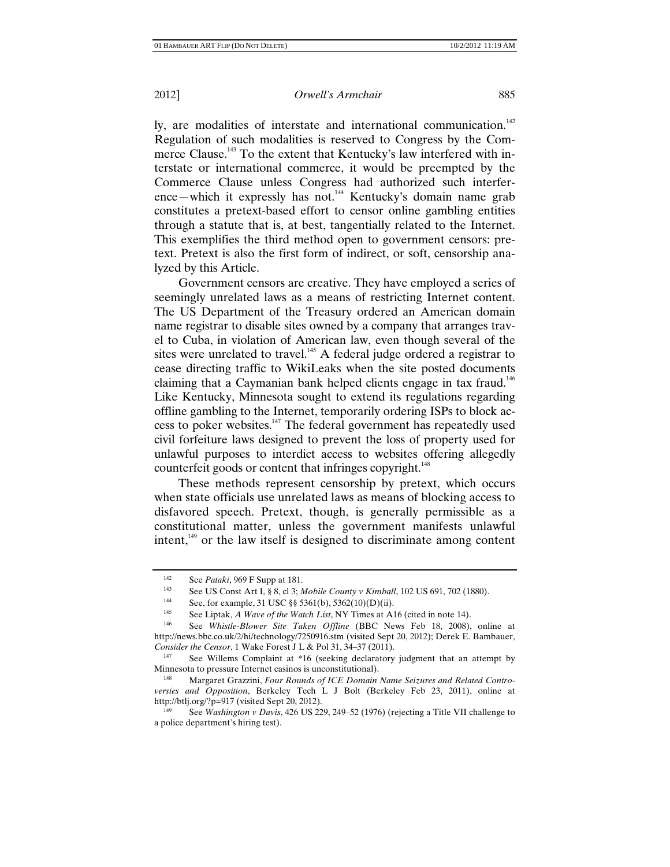ly, are modalities of interstate and international communication.<sup>142</sup> Regulation of such modalities is reserved to Congress by the Commerce Clause.<sup>143</sup> To the extent that Kentucky's law interfered with interstate or international commerce, it would be preempted by the Commerce Clause unless Congress had authorized such interference—which it expressly has not.<sup>144</sup> Kentucky's domain name grab constitutes a pretext-based effort to censor online gambling entities through a statute that is, at best, tangentially related to the Internet. This exemplifies the third method open to government censors: pretext. Pretext is also the first form of indirect, or soft, censorship analyzed by this Article.

Government censors are creative. They have employed a series of seemingly unrelated laws as a means of restricting Internet content. The US Department of the Treasury ordered an American domain name registrar to disable sites owned by a company that arranges travel to Cuba, in violation of American law, even though several of the sites were unrelated to travel.<sup>145</sup> A federal judge ordered a registrar to cease directing traffic to WikiLeaks when the site posted documents claiming that a Caymanian bank helped clients engage in tax fraud.<sup>146</sup> Like Kentucky, Minnesota sought to extend its regulations regarding offline gambling to the Internet, temporarily ordering ISPs to block access to poker websites.<sup>147</sup> The federal government has repeatedly used civil forfeiture laws designed to prevent the loss of property used for unlawful purposes to interdict access to websites offering allegedly counterfeit goods or content that infringes copyright.<sup>148</sup>

These methods represent censorship by pretext, which occurs when state officials use unrelated laws as means of blocking access to disfavored speech. Pretext, though, is generally permissible as a constitutional matter, unless the government manifests unlawful intent,149 or the law itself is designed to discriminate among content

<sup>142</sup> See *Pataki*, 969 F Supp at 181.<br>
143 See US Const Art I, § 8, cl 3; *Mobile County v Kimball*, 102 US 691, 702 (1880).<br>
144 See for example 31 USC § § 5361(b) 5362(10)(D)(ii)

<sup>&</sup>lt;sup>144</sup> See, for example, 31 USC §§ 5361(b), 5362(10)(D)(ii).<br><sup>145</sup> See Lintak, A Ways of the Watch Lint NV Times at A 1

<sup>145</sup> See Liptak, *A Wave of the Watch List*, NY Times at A16 (cited in note 14).<br>146 See Whistle Blower, Site Taken, Offline (BBC, Naws, Feb. 18, 2008).

See *Whistle-Blower Site Taken Offline* (BBC News Feb 18, 2008), online at http://news.bbc.co.uk/2/hi/technology/7250916.stm (visited Sept 20, 2012); Derek E. Bambauer, *Consider the Censor*, 1 Wake Forest J L & Pol 31, 34–37 (2011).<br><sup>147</sup> See Willems Complaint at \*16 (seeking declaratory judgment that an attempt by

Minnesota to pressure Internet casinos is unconstitutional).

<sup>148</sup> Margaret Grazzini, *Four Rounds of ICE Domain Name Seizures and Related Controversies and Opposition*, Berkeley Tech L J Bolt (Berkeley Feb 23, 2011), online at http://btlj.org/?p=917 (visited Sept 20, 2012).<br><sup>149</sup> See *Washington v Davis*, 426 US 229, 249–52 (1976) (rejecting a Title VII challenge to

a police department's hiring test).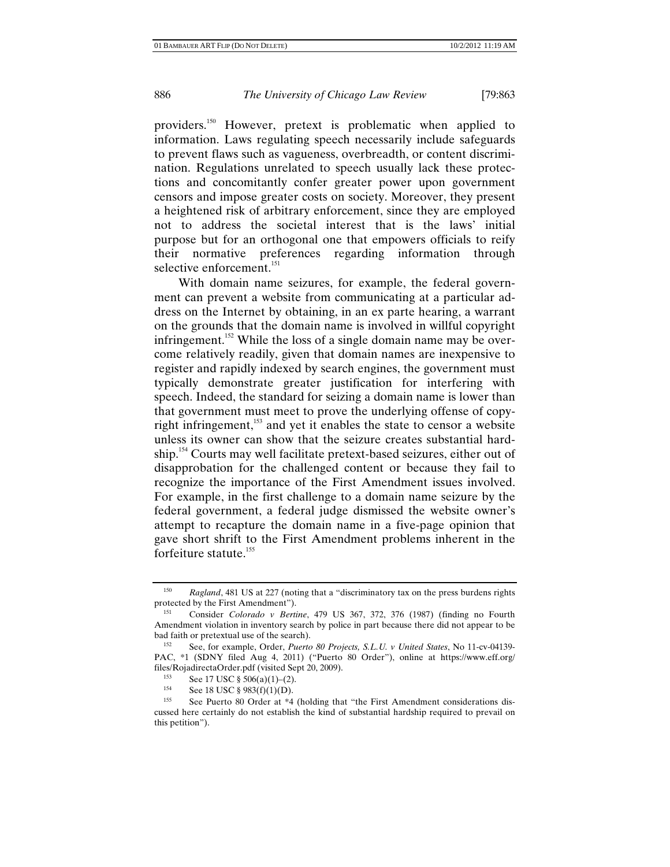providers.150 However, pretext is problematic when applied to information. Laws regulating speech necessarily include safeguards to prevent flaws such as vagueness, overbreadth, or content discrimination. Regulations unrelated to speech usually lack these protections and concomitantly confer greater power upon government censors and impose greater costs on society. Moreover, they present a heightened risk of arbitrary enforcement, since they are employed not to address the societal interest that is the laws' initial purpose but for an orthogonal one that empowers officials to reify their normative preferences regarding information through selective enforcement.<sup>151</sup>

With domain name seizures, for example, the federal government can prevent a website from communicating at a particular address on the Internet by obtaining, in an ex parte hearing, a warrant on the grounds that the domain name is involved in willful copyright infringement.<sup>152</sup> While the loss of a single domain name may be overcome relatively readily, given that domain names are inexpensive to register and rapidly indexed by search engines, the government must typically demonstrate greater justification for interfering with speech. Indeed, the standard for seizing a domain name is lower than that government must meet to prove the underlying offense of copyright infringement,<sup>153</sup> and yet it enables the state to censor a website unless its owner can show that the seizure creates substantial hardship.154 Courts may well facilitate pretext-based seizures, either out of disapprobation for the challenged content or because they fail to recognize the importance of the First Amendment issues involved. For example, in the first challenge to a domain name seizure by the federal government, a federal judge dismissed the website owner's attempt to recapture the domain name in a five-page opinion that gave short shrift to the First Amendment problems inherent in the forfeiture statute. $155$ 

<sup>&</sup>lt;sup>150</sup> *Ragland*, 481 US at 227 (noting that a "discriminatory tax on the press burdens rights protected by the First Amendment").

<sup>151</sup> Consider *Colorado v Bertine*, 479 US 367, 372, 376 (1987) (finding no Fourth Amendment violation in inventory search by police in part because there did not appear to be bad faith or pretextual use of the search).<br><sup>152</sup> See, for example, Order, *Puerto 80 Projects, S.L.U. v United States*, No 11-cv-04139-

PAC, \*1 (SDNY filed Aug 4, 2011) ("Puerto 80 Order"), online at https://www.eff.org/ files/RojadirectaOrder.pdf (visited Sept 20, 2009).<br> $\frac{153}{2}$  See 17 USC 8.506(c)(1) (2)

<sup>153</sup> See 17 USC § 506(a)(1)–(2).<br>
154 See 18 USC § 983(f)(1)(D).<br>
155 See Puerto 80 Order at \*4 (holding that "the First Amendment considerations discussed here certainly do not establish the kind of substantial hardship required to prevail on this petition").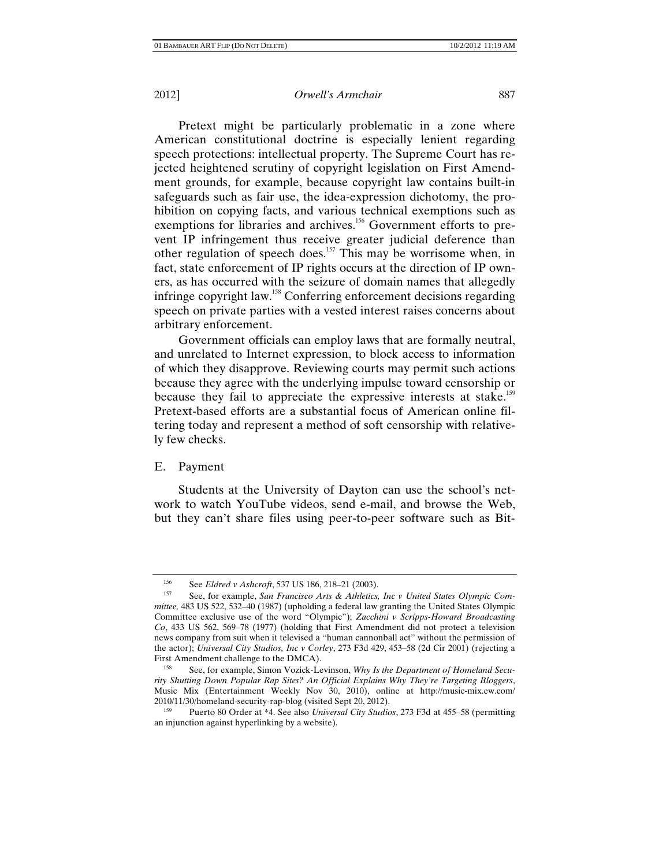Pretext might be particularly problematic in a zone where American constitutional doctrine is especially lenient regarding speech protections: intellectual property. The Supreme Court has rejected heightened scrutiny of copyright legislation on First Amendment grounds, for example, because copyright law contains built-in safeguards such as fair use, the idea-expression dichotomy, the prohibition on copying facts, and various technical exemptions such as exemptions for libraries and archives.<sup>156</sup> Government efforts to prevent IP infringement thus receive greater judicial deference than other regulation of speech does.<sup>157</sup> This may be worrisome when, in fact, state enforcement of IP rights occurs at the direction of IP owners, as has occurred with the seizure of domain names that allegedly infringe copyright law.<sup>158</sup> Conferring enforcement decisions regarding speech on private parties with a vested interest raises concerns about arbitrary enforcement.

Government officials can employ laws that are formally neutral, and unrelated to Internet expression, to block access to information of which they disapprove. Reviewing courts may permit such actions because they agree with the underlying impulse toward censorship or because they fail to appreciate the expressive interests at stake.<sup>159</sup> Pretext-based efforts are a substantial focus of American online filtering today and represent a method of soft censorship with relatively few checks.

# E. Payment

Students at the University of Dayton can use the school's network to watch YouTube videos, send e-mail, and browse the Web, but they can't share files using peer-to-peer software such as Bit-

<sup>156</sup> See *Eldred v Ashcroft*, 537 US 186, 218–21 (2003).<br><sup>157</sup> See, for example, *San Francisco Arts & Athletics, Inc v United States Olympic Committee,* 483 US 522, 532–40 (1987) (upholding a federal law granting the United States Olympic Committee exclusive use of the word "Olympic"); *Zacchini v Scripps-Howard Broadcasting Co*, 433 US 562, 569–78 (1977) (holding that First Amendment did not protect a television news company from suit when it televised a "human cannonball act" without the permission of the actor); *Universal City Studios, Inc v Corley*, 273 F3d 429, 453–58 (2d Cir 2001) (rejecting a First Amendment challenge to the DMCA).

See, for example, Simon Vozick-Levinson, *Why Is the Department of Homeland Security Shutting Down Popular Rap Sites? An Official Explains Why They're Targeting Bloggers*, Music Mix (Entertainment Weekly Nov 30, 2010), online at http://music-mix.ew.com/ 2010/11/30/homeland-security-rap-blog (visited Sept 20, 2012).

<sup>159</sup> Puerto 80 Order at \*4. See also *Universal City Studios*, 273 F3d at 455–58 (permitting an injunction against hyperlinking by a website).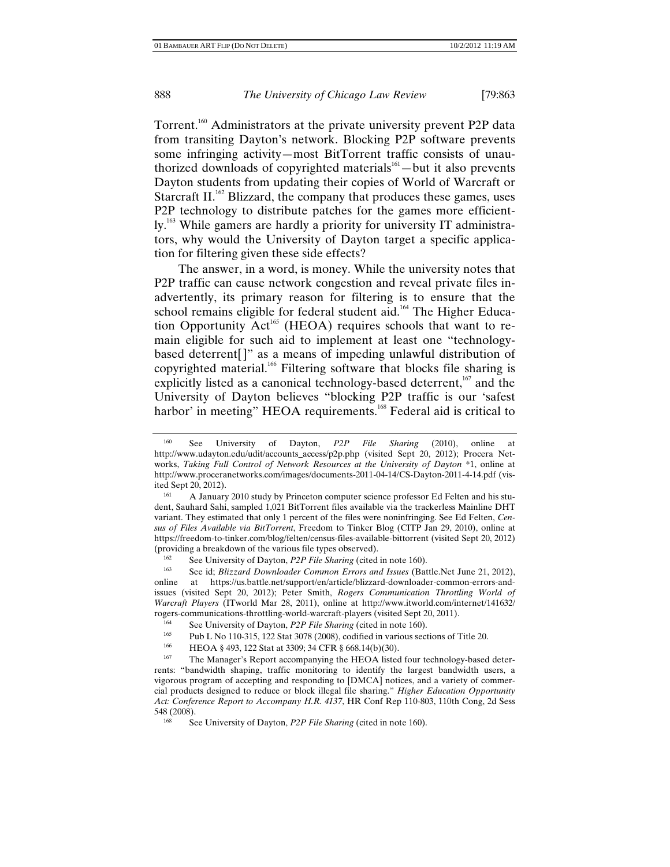Torrent.<sup>160</sup> Administrators at the private university prevent P2P data from transiting Dayton's network. Blocking P2P software prevents some infringing activity—most BitTorrent traffic consists of unauthorized downloads of copyrighted materials $161 -$ but it also prevents Dayton students from updating their copies of World of Warcraft or Starcraft II.<sup>162</sup> Blizzard, the company that produces these games, uses P2P technology to distribute patches for the games more efficiently.<sup>163</sup> While gamers are hardly a priority for university IT administrators, why would the University of Dayton target a specific application for filtering given these side effects?

The answer, in a word, is money. While the university notes that P2P traffic can cause network congestion and reveal private files inadvertently, its primary reason for filtering is to ensure that the school remains eligible for federal student aid.<sup>164</sup> The Higher Education Opportunity  $Act^{165}$  (HEOA) requires schools that want to remain eligible for such aid to implement at least one "technologybased deterrent[]" as a means of impeding unlawful distribution of copyrighted material.<sup>166</sup> Filtering software that blocks file sharing is explicitly listed as a canonical technology-based deterrent, $167$  and the University of Dayton believes "blocking P2P traffic is our 'safest harbor' in meeting" HEOA requirements.<sup>168</sup> Federal aid is critical to

See id; *Blizzard Downloader Common Errors and Issues* (Battle.Net June 21, 2012), online at https://us.battle.net/support/en/article/blizzard-downloader-common-errors-andissues (visited Sept 20, 2012); Peter Smith, *Rogers Communication Throttling World of Warcraft Players* (ITworld Mar 28, 2011), online at http://www.itworld.com/internet/141632/ rogers-communications-throttling-world-warcraft-players (visited Sept 20, 2011).<br>
See University of Dayton, *P2P File Sharing* (cited in note 160).<br>
<sup>165</sup> Bub J, No. 110, 215, 122 Stat 2078 (2008), ordified in unions easti

<sup>160</sup> See University of Dayton, *P2P File Sharing* (2010), online at http://www.udayton.edu/udit/accounts\_access/p2p.php (visited Sept 20, 2012); Procera Networks, *Taking Full Control of Network Resources at the University of Dayton* \*1, online at http://www.proceranetworks.com/images/documents-2011-04-14/CS-Dayton-2011-4-14.pdf (visited Sept 20, 2012).<br><sup>161</sup> A January 2010 study by Princeton computer science professor Ed Felten and his stu-

dent, Sauhard Sahi, sampled 1,021 BitTorrent files available via the trackerless Mainline DHT variant. They estimated that only 1 percent of the files were noninfringing. See Ed Felten, *Census of Files Available via BitTorrent*, Freedom to Tinker Blog (CITP Jan 29, 2010), online at https://freedom-to-tinker.com/blog/felten/census-files-available-bittorrent (visited Sept 20, 2012)

<sup>&</sup>lt;sup>162</sup> See University of Dayton, *P2P File Sharing* (cited in note 160).<br><sup>163</sup> See id: *Plizzard*, *Daytonder Carmon, France and Issues* (Pot

<sup>&</sup>lt;sup>165</sup> Pub L No 110-315, 122 Stat 3078 (2008), codified in various sections of Title 20.<br>
HEOA § 493, 122 Stat at 3309; 34 CFR § 668.14(b)(30).<br>
<sup>167</sup> The Manager's Report accompanying the HEOA listed four technology-based

rents: "bandwidth shaping, traffic monitoring to identify the largest bandwidth users, a vigorous program of accepting and responding to [DMCA] notices, and a variety of commercial products designed to reduce or block illegal file sharing." *Higher Education Opportunity Act: Conference Report to Accompany H.R. 4137*, HR Conf Rep 110-803, 110th Cong, 2d Sess 548 (2008).

<sup>168</sup> See University of Dayton, *P2P File Sharing* (cited in note 160).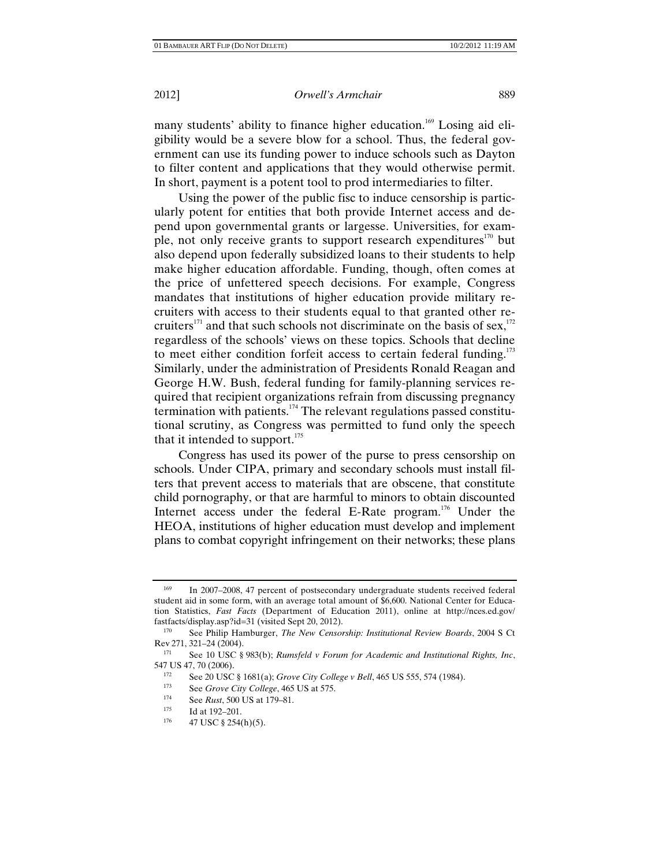many students' ability to finance higher education.<sup>169</sup> Losing aid eligibility would be a severe blow for a school. Thus, the federal government can use its funding power to induce schools such as Dayton to filter content and applications that they would otherwise permit. In short, payment is a potent tool to prod intermediaries to filter.

Using the power of the public fisc to induce censorship is particularly potent for entities that both provide Internet access and depend upon governmental grants or largesse. Universities, for example, not only receive grants to support research expenditures<sup>170</sup> but also depend upon federally subsidized loans to their students to help make higher education affordable. Funding, though, often comes at the price of unfettered speech decisions. For example, Congress mandates that institutions of higher education provide military recruiters with access to their students equal to that granted other recruiters<sup>171</sup> and that such schools not discriminate on the basis of sex,  $172$ regardless of the schools' views on these topics. Schools that decline to meet either condition forfeit access to certain federal funding.<sup>173</sup> Similarly, under the administration of Presidents Ronald Reagan and George H.W. Bush, federal funding for family-planning services required that recipient organizations refrain from discussing pregnancy termination with patients.174 The relevant regulations passed constitutional scrutiny, as Congress was permitted to fund only the speech that it intended to support. $175$ 

Congress has used its power of the purse to press censorship on schools. Under CIPA, primary and secondary schools must install filters that prevent access to materials that are obscene, that constitute child pornography, or that are harmful to minors to obtain discounted Internet access under the federal E-Rate program.<sup>176</sup> Under the HEOA, institutions of higher education must develop and implement plans to combat copyright infringement on their networks; these plans

<sup>169</sup> In 2007–2008, 47 percent of postsecondary undergraduate students received federal student aid in some form, with an average total amount of \$6,600. National Center for Education Statistics, *Fast Facts* (Department of Education 2011), online at http://nces.ed.gov/ fastfacts/display.asp?id=31 (visited Sept 20, 2012). 170 See Philip Hamburger, *The New Censorship: Institutional Review Boards*, 2004 S Ct

Rev 271, 321–24 (2004).<br> $\frac{171}{2}$  See 10 USC 8

<sup>&</sup>lt;sup>171</sup> See 10 USC § 983(b); *Rumsfeld v Forum for Academic and Institutional Rights, Inc,* 547 US 47, 70 (2006).

<sup>547</sup> See 20 USC § 1681(a); *Grove City College v Bell*, 465 US 555, 574 (1984).<br>
555, 574 (1984).<br>
174 See *R* = *(*500 US at 570 at 575.

<sup>1&</sup>lt;sup>74</sup> See *Rust*, 500 US at 179–81.<br>
175 Id at 192–201.<br>
176 47 USC § 254(h)(5).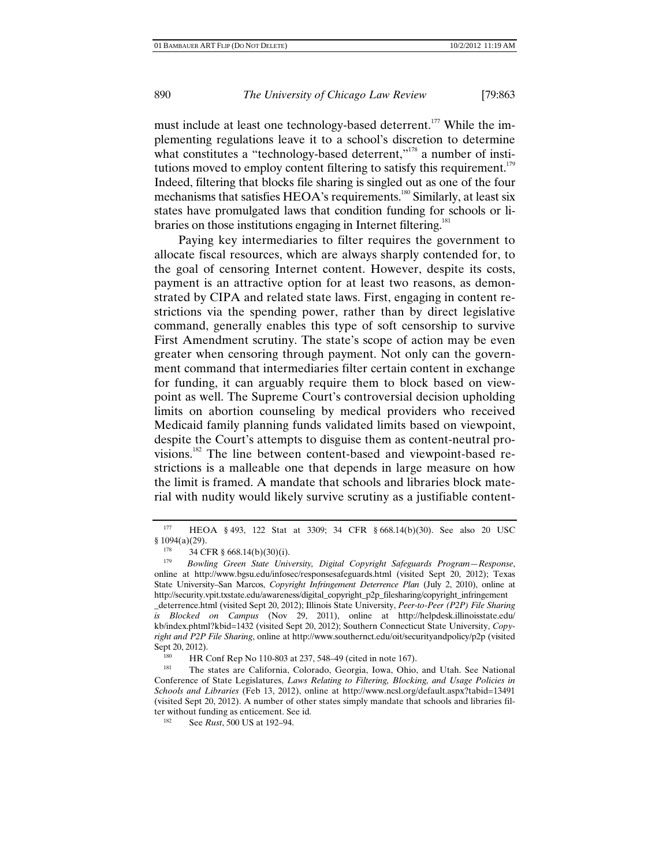must include at least one technology-based deterrent.<sup>177</sup> While the implementing regulations leave it to a school's discretion to determine what constitutes a "technology-based deterrent," $178$  a number of institutions moved to employ content filtering to satisfy this requirement.<sup>179</sup> Indeed, filtering that blocks file sharing is singled out as one of the four mechanisms that satisfies HEOA's requirements.<sup>180</sup> Similarly, at least six states have promulgated laws that condition funding for schools or libraries on those institutions engaging in Internet filtering.<sup>181</sup>

Paying key intermediaries to filter requires the government to allocate fiscal resources, which are always sharply contended for, to the goal of censoring Internet content. However, despite its costs, payment is an attractive option for at least two reasons, as demonstrated by CIPA and related state laws. First, engaging in content restrictions via the spending power, rather than by direct legislative command, generally enables this type of soft censorship to survive First Amendment scrutiny. The state's scope of action may be even greater when censoring through payment. Not only can the government command that intermediaries filter certain content in exchange for funding, it can arguably require them to block based on viewpoint as well. The Supreme Court's controversial decision upholding limits on abortion counseling by medical providers who received Medicaid family planning funds validated limits based on viewpoint, despite the Court's attempts to disguise them as content-neutral provisions.182 The line between content-based and viewpoint-based restrictions is a malleable one that depends in large measure on how the limit is framed. A mandate that schools and libraries block material with nudity would likely survive scrutiny as a justifiable content-

<sup>177</sup> HEOA § 493, 122 Stat at 3309; 34 CFR § 668.14(b)(30). See also 20 USC  $\frac{1094(a)(29)}{178}$ 

<sup>178 34</sup> CFR § 668.14(b)(30)(i).<br><sup>179</sup> Bowling Green State Univ

<sup>179</sup> *Bowling Green State University, Digital Copyright Safeguards Program—Response*, online at http://www.bgsu.edu/infosec/responsesafeguards.html (visited Sept 20, 2012); Texas State University–San Marcos, *Copyright Infringement Deterrence Plan* (July 2, 2010), online at http://security.vpit.txstate.edu/awareness/digital\_copyright\_p2p\_filesharing/copyright\_infringement \_deterrence.html (visited Sept 20, 2012); Illinois State University, *Peer-to-Peer (P2P) File Sharing is Blocked on Campus* (Nov 29, 2011), online at http://helpdesk.illinoisstate.edu/ kb/index.phtml?kbid=1432 (visited Sept 20, 2012); Southern Connecticut State University, *Copyright and P2P File Sharing*, online at http://www.southernct.edu/oit/securityandpolicy/p2p (visited Sept 20, 2012).

HR Conf Rep No 110-803 at 237, 548–49 (cited in note 167).

<sup>181</sup> The states are California, Colorado, Georgia, Iowa, Ohio, and Utah. See National Conference of State Legislatures, *Laws Relating to Filtering, Blocking, and Usage Policies in Schools and Libraries* (Feb 13, 2012), online at http://www.ncsl.org/default.aspx?tabid=13491 (visited Sept 20, 2012). A number of other states simply mandate that schools and libraries filter without funding as enticement. See id.<br><sup>182</sup> See *Pust*, 500 US at 102, 04

See *Rust*, 500 US at 192-94.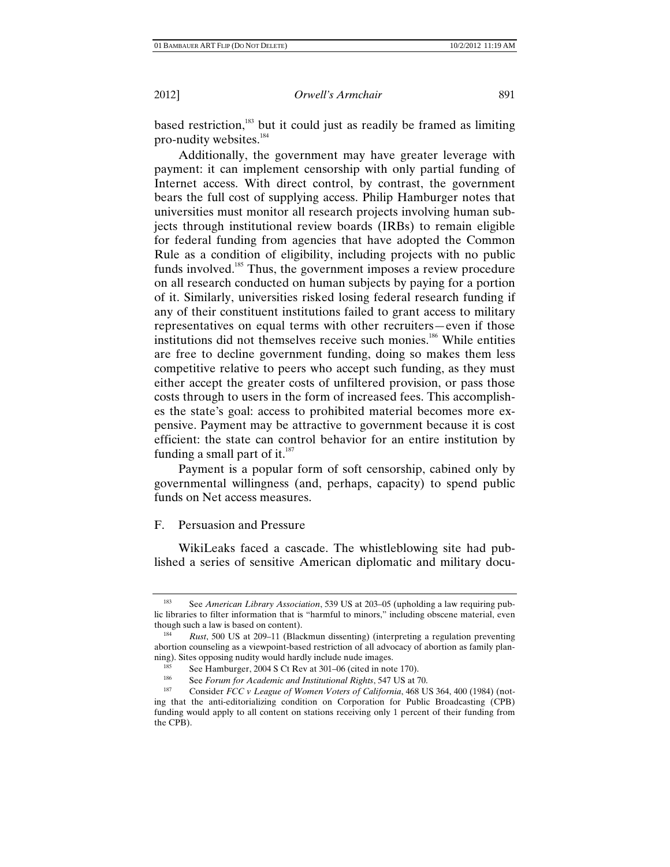based restriction,<sup>183</sup> but it could just as readily be framed as limiting pro-nudity websites.<sup>184</sup>

Additionally, the government may have greater leverage with payment: it can implement censorship with only partial funding of Internet access. With direct control, by contrast, the government bears the full cost of supplying access. Philip Hamburger notes that universities must monitor all research projects involving human subjects through institutional review boards (IRBs) to remain eligible for federal funding from agencies that have adopted the Common Rule as a condition of eligibility, including projects with no public funds involved.<sup>185</sup> Thus, the government imposes a review procedure on all research conducted on human subjects by paying for a portion of it. Similarly, universities risked losing federal research funding if any of their constituent institutions failed to grant access to military representatives on equal terms with other recruiters—even if those institutions did not themselves receive such monies.<sup>186</sup> While entities are free to decline government funding, doing so makes them less competitive relative to peers who accept such funding, as they must either accept the greater costs of unfiltered provision, or pass those costs through to users in the form of increased fees. This accomplishes the state's goal: access to prohibited material becomes more expensive. Payment may be attractive to government because it is cost efficient: the state can control behavior for an entire institution by funding a small part of it.<sup>187</sup>

Payment is a popular form of soft censorship, cabined only by governmental willingness (and, perhaps, capacity) to spend public funds on Net access measures.

# F. Persuasion and Pressure

WikiLeaks faced a cascade. The whistleblowing site had published a series of sensitive American diplomatic and military docu-

<sup>183</sup> See *American Library Association*, 539 US at 203–05 (upholding a law requiring public libraries to filter information that is "harmful to minors," including obscene material, even though such a law is based on content). 184 *Rust*, 500 US at 209–11 (Blackmun dissenting) (interpreting a regulation preventing

abortion counseling as a viewpoint-based restriction of all advocacy of abortion as family planning). Sites opposing nudity would hardly include nude images.<br>
185 See Hamburger, 2004 S Ct Rev at 301–06 (cited in note 170).<br>
186 See Ferry for Associational Distributional District 547 US of 3

<sup>&</sup>lt;sup>186</sup> See *Forum for Academic and Institutional Rights*, 547 US at 70.<br><sup>187</sup> Consider *FCC v League of Women Voters of California*, 468 US 364, 400 (1984) (noting that the anti-editorializing condition on Corporation for Public Broadcasting (CPB) funding would apply to all content on stations receiving only 1 percent of their funding from the CPB).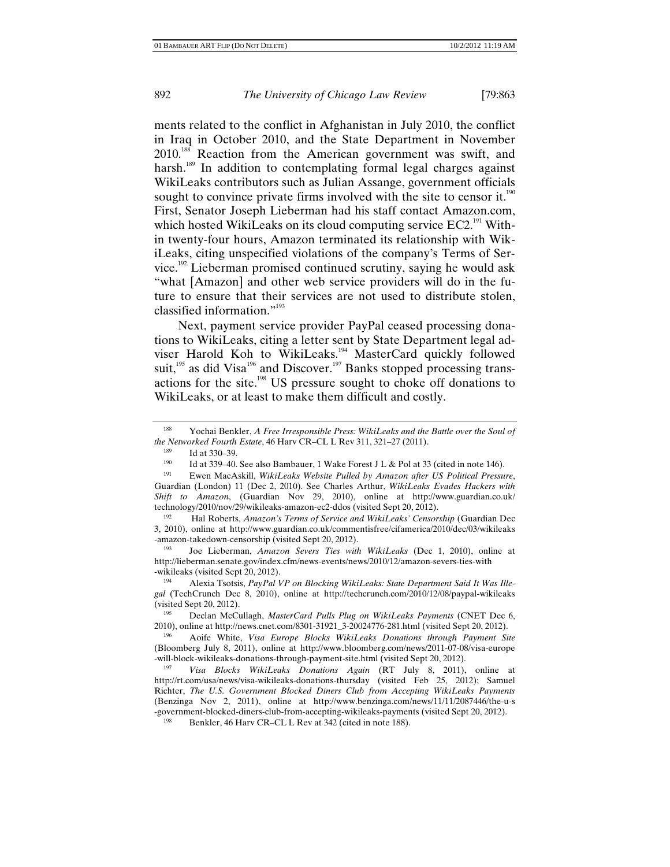ments related to the conflict in Afghanistan in July 2010, the conflict in Iraq in October 2010, and the State Department in November 2010.<sup>188</sup> Reaction from the American government was swift, and harsh.<sup>189</sup> In addition to contemplating formal legal charges against WikiLeaks contributors such as Julian Assange, government officials sought to convince private firms involved with the site to censor it.<sup>190</sup> First, Senator Joseph Lieberman had his staff contact Amazon.com, which hosted WikiLeaks on its cloud computing service  $EC2$ <sup>191</sup> Within twenty-four hours, Amazon terminated its relationship with WikiLeaks, citing unspecified violations of the company's Terms of Service.<sup>192</sup> Lieberman promised continued scrutiny, saying he would ask "what [Amazon] and other web service providers will do in the future to ensure that their services are not used to distribute stolen, classified information."<sup>193</sup>

Next, payment service provider PayPal ceased processing donations to WikiLeaks, citing a letter sent by State Department legal adviser Harold Koh to WikiLeaks.<sup>194</sup> MasterCard quickly followed suit,<sup>195</sup> as did Visa<sup>196</sup> and Discover.<sup>197</sup> Banks stopped processing transactions for the site.198 US pressure sought to choke off donations to WikiLeaks, or at least to make them difficult and costly.

193 Joe Lieberman, *Amazon Severs Ties with WikiLeaks* (Dec 1, 2010), online at http://lieberman.senate.gov/index.cfm/news-events/news/2010/12/amazon-severs-ties-with

<sup>188</sup> Yochai Benkler, *A Free Irresponsible Press: WikiLeaks and the Battle over the Soul of the Networked Fourth Estate*, 46 Harv CR–CL L Rev 311, 321–27 (2011).

<sup>&</sup>lt;sup>189</sup> Id at 330–39.<br><sup>190</sup> Id at 339–40. See also Bambauer, 1 Wake Forest J L & Pol at 33 (cited in note 146).<br><sup>191</sup> Ewen MacAskill, *WikiLeaks Website Pulled by Amazon after US Political Pressure*,

Guardian (London) 11 (Dec 2, 2010). See Charles Arthur, *WikiLeaks Evades Hackers with Shift to Amazon*, (Guardian Nov 29, 2010), online at http://www.guardian.co.uk/ technology/2010/nov/29/wikileaks-amazon-ec2-ddos (visited Sept 20, 2012). 192 Hal Roberts, *Amazon's Terms of Service and WikiLeaks' Censorship* (Guardian Dec

<sup>3, 2010),</sup> online at http://www.guardian.co.uk/commentisfree/cifamerica/2010/dec/03/wikileaks -amazon-takedown-censorship (visited Sept 20, 2012).

<sup>-</sup>wikileaks (visited Sept 20, 2012). 194 Alexia Tsotsis, *PayPal VP on Blocking WikiLeaks: State Department Said It Was Illegal* (TechCrunch Dec 8, 2010), online at http://techcrunch.com/2010/12/08/paypal-wikileaks (visited Sept 20, 2012).

<sup>&</sup>lt;sup>195</sup> Declan McCullagh, *MasterCard Pulls Plug on WikiLeaks Payments* (CNET Dec 6, 2010), online at http://news.cnet.com/8301-31921\_3-20024776-281.html (visited Sept 20, 2012).

Aoife White, Visa Europe Blocks WikiLeaks Donations through Payment Site (Bloomberg July 8, 2011), online at http://www.bloomberg.com/news/2011-07-08/visa-europe -will-block-wikileaks-donations-through-payment-site.html (visited Sept 20, 2012). 197 *Visa Blocks WikiLeaks Donations Again* (RT July 8, 2011), online at

http://rt.com/usa/news/visa-wikileaks-donations-thursday (visited Feb 25, 2012); Samuel Richter, *The U.S. Government Blocked Diners Club from Accepting WikiLeaks Payments* (Benzinga Nov 2, 2011), online at http://www.benzinga.com/news/11/11/2087446/the-u-s -government-blocked-diners-club-from-accepting-wikileaks-payments (visited Sept 20, 2012).<br><sup>198</sup> Benkler, 46 Harv CR–CL L Rev at 342 (cited in note 188).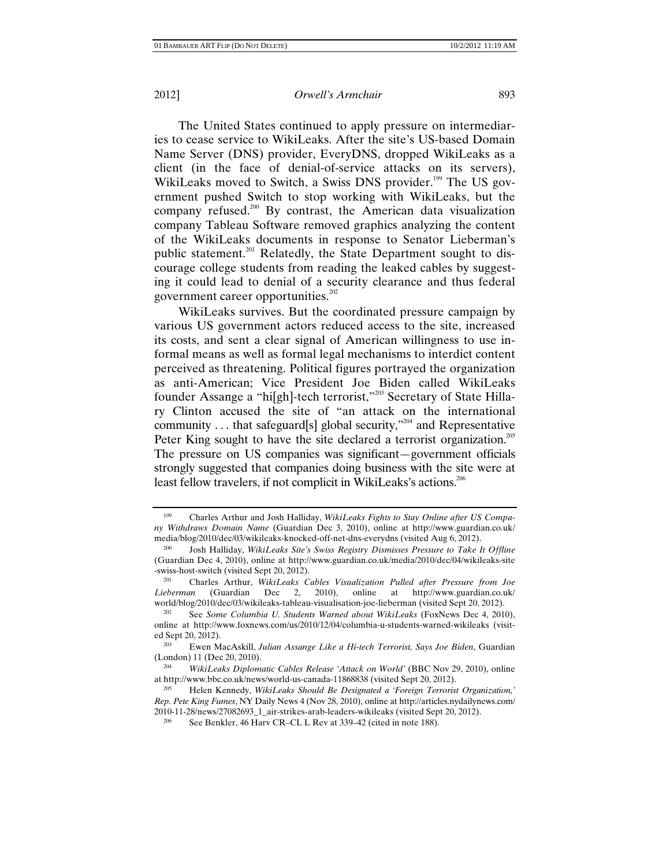The United States continued to apply pressure on intermediaries to cease service to WikiLeaks. After the site's US-based Domain Name Server (DNS) provider, EveryDNS, dropped WikiLeaks as a client (in the face of denial-of-service attacks on its servers), WikiLeaks moved to Switch, a Swiss DNS provider.<sup>199</sup> The US government pushed Switch to stop working with WikiLeaks, but the company refused.<sup>200</sup> By contrast, the American data visualization company Tableau Software removed graphics analyzing the content of the WikiLeaks documents in response to Senator Lieberman's public statement.<sup>201</sup> Relatedly, the State Department sought to discourage college students from reading the leaked cables by suggesting it could lead to denial of a security clearance and thus federal government career opportunities. $^{202}$ 

WikiLeaks survives. But the coordinated pressure campaign by various US government actors reduced access to the site, increased its costs, and sent a clear signal of American willingness to use informal means as well as formal legal mechanisms to interdict content perceived as threatening. Political figures portrayed the organization as anti-American; Vice President Joe Biden called WikiLeaks founder Assange a "hi[gh]-tech terrorist,"<sup>203</sup> Secretary of State Hillary Clinton accused the site of "an attack on the international community ... that safeguard[s] global security, $v^{204}$  and Representative Peter King sought to have the site declared a terrorist organization.<sup>205</sup> The pressure on US companies was significant—government officials strongly suggested that companies doing business with the site were at least fellow travelers, if not complicit in WikiLeaks's actions.<sup>206</sup>

<sup>199</sup> Charles Arthur and Josh Halliday, *WikiLeaks Fights to Stay Online after US Company Withdraws Domain Name* (Guardian Dec 3, 2010), online at http://www.guardian.co.uk/ media/blog/2010/dec/03/wikileaks-knocked-off-net-dns-everydns (visited Aug 6, 2012).

<sup>200</sup> Josh Halliday, *WikiLeaks Site's Swiss Registry Dismisses Pressure to Take It Offline* (Guardian Dec 4, 2010), online at http://www.guardian.co.uk/media/2010/dec/04/wikileaks-site -swiss-host-switch (visited Sept 20, 2012). 201 Charles Arthur, *WikiLeaks Cables Visualization Pulled after Pressure from Joe* 

*Lieberman* (Guardian Dec 2, 2010), online at http://www.guardian.co.uk/

world/blog/2010/dec/03/wikileaks-tableau-visualisation-joe-lieberman (visited Sept 20, 2012).<br><sup>202</sup> See *Some Columbia U. Students Warned about WikiLeaks* (FoxNews Dec 4, 2010), online at http://www.foxnews.com/us/2010/12/04/columbia-u-students-warned-wikileaks (visited Sept 20, 2012).

<sup>203</sup> Ewen MacAskill, *Julian Assange Like a Hi-tech Terrorist, Says Joe Biden*, Guardian (London) 11 (Dec 20, 2010).

<sup>204</sup> *WikiLeaks Diplomatic Cables Release 'Attack on World'* (BBC Nov 29, 2010), online at http://www.bbc.co.uk/news/world-us-canada-11868838 (visited Sept 20, 2012).

<sup>205</sup> Helen Kennedy, *WikiLeaks Should Be Designated a 'Foreign Terrorist Organization,' Rep. Pete King Fumes*, NY Daily News 4 (Nov 28, 2010), online at http://articles.nydailynews.com/ 2010-11-28/news/27082693\_1\_air-strikes-arab-leaders-wikileaks (visited Sept 20, 2012).

<sup>&</sup>lt;sup>206</sup> See Benkler, 46 Harv CR–CL L Rev at  $339-42$  (cited in note 188).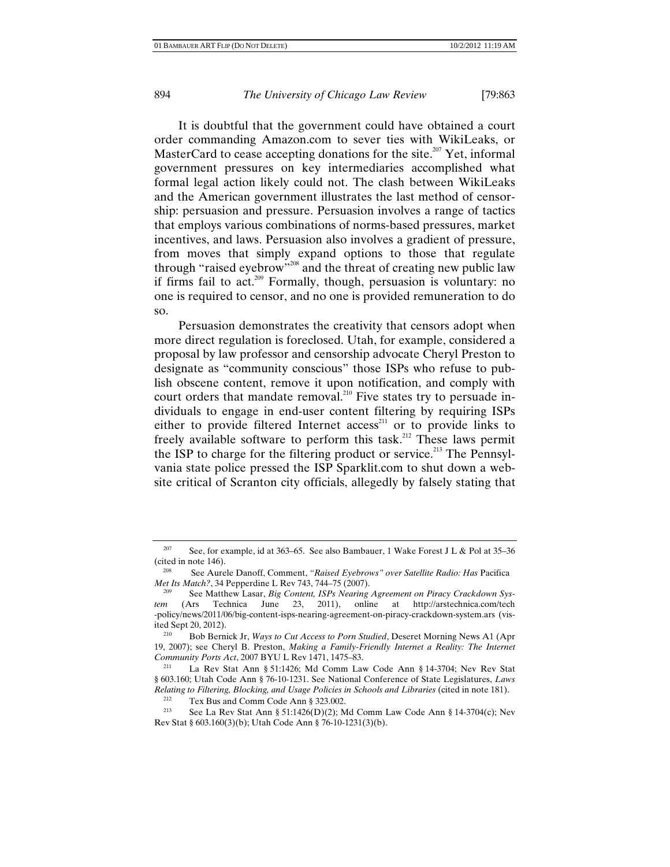It is doubtful that the government could have obtained a court order commanding Amazon.com to sever ties with WikiLeaks, or MasterCard to cease accepting donations for the site.<sup>207</sup> Yet, informal government pressures on key intermediaries accomplished what formal legal action likely could not. The clash between WikiLeaks and the American government illustrates the last method of censorship: persuasion and pressure. Persuasion involves a range of tactics that employs various combinations of norms-based pressures, market incentives, and laws. Persuasion also involves a gradient of pressure, from moves that simply expand options to those that regulate through "raised eyebrow"<sup>208</sup> and the threat of creating new public law if firms fail to act.<sup>209</sup> Formally, though, persuasion is voluntary: no one is required to censor, and no one is provided remuneration to do so.

Persuasion demonstrates the creativity that censors adopt when more direct regulation is foreclosed. Utah, for example, considered a proposal by law professor and censorship advocate Cheryl Preston to designate as "community conscious" those ISPs who refuse to publish obscene content, remove it upon notification, and comply with court orders that mandate removal.<sup>210</sup> Five states try to persuade individuals to engage in end-user content filtering by requiring ISPs either to provide filtered Internet access<sup>211</sup> or to provide links to freely available software to perform this task.212 These laws permit the ISP to charge for the filtering product or service.<sup>213</sup> The Pennsylvania state police pressed the ISP Sparklit.com to shut down a website critical of Scranton city officials, allegedly by falsely stating that

<sup>&</sup>lt;sup>207</sup> See, for example, id at 363–65. See also Bambauer, 1 Wake Forest J L & Pol at 35–36 (cited in note 146). 208 See Aurele Danoff, Comment, *"Raised Eyebrows" over Satellite Radio: Has* Pacifica

*Met Its Match?*, 34 Pepperdine L Rev 743, 744–75 (2007).

See Matthew Lasar, *Big Content, ISPs Nearing Agreement on Piracy Crackdown System* (Ars Technica June 23, 2011), online at http://arstechnica.com/tech -policy/news/2011/06/big-content-isps-nearing-agreement-on-piracy-crackdown-system.ars (visited Sept 20, 2012).<br><sup>210</sup> Bob Bernick Jr, *Ways to Cut Access to Porn Studied*, Deseret Morning News A1 (Apr

<sup>19, 2007);</sup> see Cheryl B. Preston, *Making a Family-Friendly Internet a Reality: The Internet Community Ports Act*, 2007 BYU L Rev 1471, 1475–83.<br><sup>211</sup> La Rev Stat Ann § 51:1426; Md Comm Law Code Ann § 14-3704; Nev Rev Stat

<sup>§ 603.160;</sup> Utah Code Ann § 76-10-1231. See National Conference of State Legislatures, *Laws Relating to Filtering, Blocking, and Usage Policies in Schools and Libraries (cited in note 181).*<br><sup>212</sup> Tex Bus and Comm Code Ann § 323.002.

See La Rev Stat Ann § 51:1426(D)(2); Md Comm Law Code Ann § 14-3704(c); Nev Rev Stat § 603.160(3)(b); Utah Code Ann § 76-10-1231(3)(b).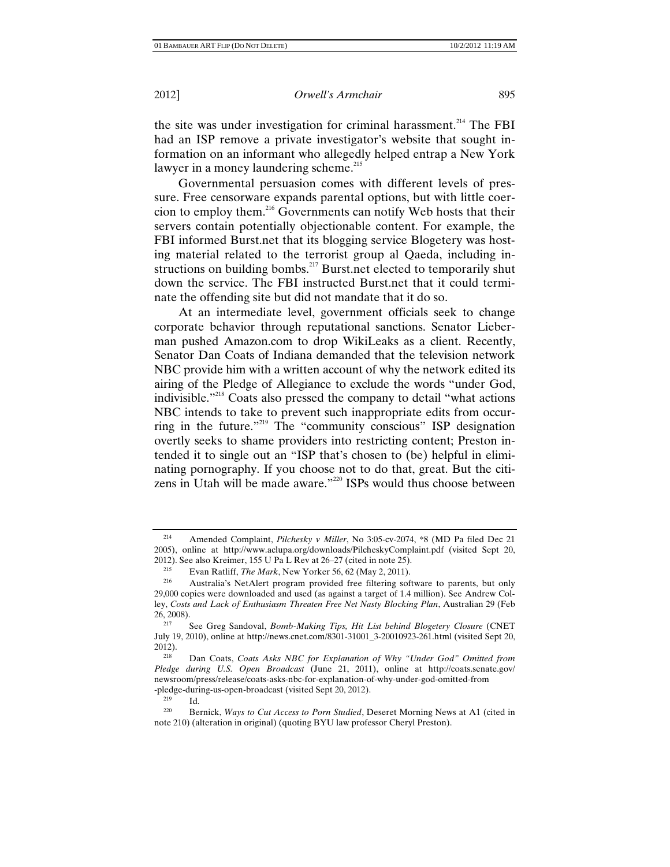the site was under investigation for criminal harassment.<sup>214</sup> The FBI had an ISP remove a private investigator's website that sought information on an informant who allegedly helped entrap a New York lawyer in a money laundering scheme.<sup>215</sup>

Governmental persuasion comes with different levels of pressure. Free censorware expands parental options, but with little coercion to employ them.216 Governments can notify Web hosts that their servers contain potentially objectionable content. For example, the FBI informed Burst.net that its blogging service Blogetery was hosting material related to the terrorist group al Qaeda, including instructions on building bombs.<sup>217</sup> Burst.net elected to temporarily shut down the service. The FBI instructed Burst.net that it could terminate the offending site but did not mandate that it do so.

At an intermediate level, government officials seek to change corporate behavior through reputational sanctions. Senator Lieberman pushed Amazon.com to drop WikiLeaks as a client. Recently, Senator Dan Coats of Indiana demanded that the television network NBC provide him with a written account of why the network edited its airing of the Pledge of Allegiance to exclude the words "under God, indivisible."218 Coats also pressed the company to detail "what actions NBC intends to take to prevent such inappropriate edits from occurring in the future."<sup>219</sup> The "community conscious" ISP designation overtly seeks to shame providers into restricting content; Preston intended it to single out an "ISP that's chosen to (be) helpful in eliminating pornography. If you choose not to do that, great. But the citizens in Utah will be made aware."<sup>220</sup> ISPs would thus choose between

<sup>214</sup> Amended Complaint, *Pilchesky v Miller*, No 3:05-cv-2074, \*8 (MD Pa filed Dec 21 2005), online at http://www.aclupa.org/downloads/PilcheskyComplaint.pdf (visited Sept 20, 2012). See also Kreimer, 155 U Pa L Rev at 26–27 (cited in note 25).

<sup>&</sup>lt;sup>215</sup> Evan Ratliff, *The Mark*, New Yorker 56, 62 (May 2, 2011).<br><sup>216</sup> Australia's NetAlert program provided free filtering software to parents, but only 29,000 copies were downloaded and used (as against a target of 1.4 million). See Andrew Colley, *Costs and Lack of Enthusiasm Threaten Free Net Nasty Blocking Plan*, Australian 29 (Feb 26, 2008). 217 See Greg Sandoval, *Bomb-Making Tips, Hit List behind Blogetery Closure* (CNET

July 19, 2010), online at http://news.cnet.com/8301-31001\_3-20010923-261.html (visited Sept 20, 2012). 218 Dan Coats, *Coats Asks NBC for Explanation of Why "Under God" Omitted from* 

*Pledge during U.S. Open Broadcast* (June 21, 2011), online at http://coats.senate.gov/ newsroom/press/release/coats-asks-nbc-for-explanation-of-why-under-god-omitted-from

<sup>-</sup>pledge-during-us-open-broadcast (visited Sept 20, 2012). 219 Id. 220 Bernick, *Ways to Cut Access to Porn Studied*, Deseret Morning News at A1 (cited in note 210) (alteration in original) (quoting BYU law professor Cheryl Preston).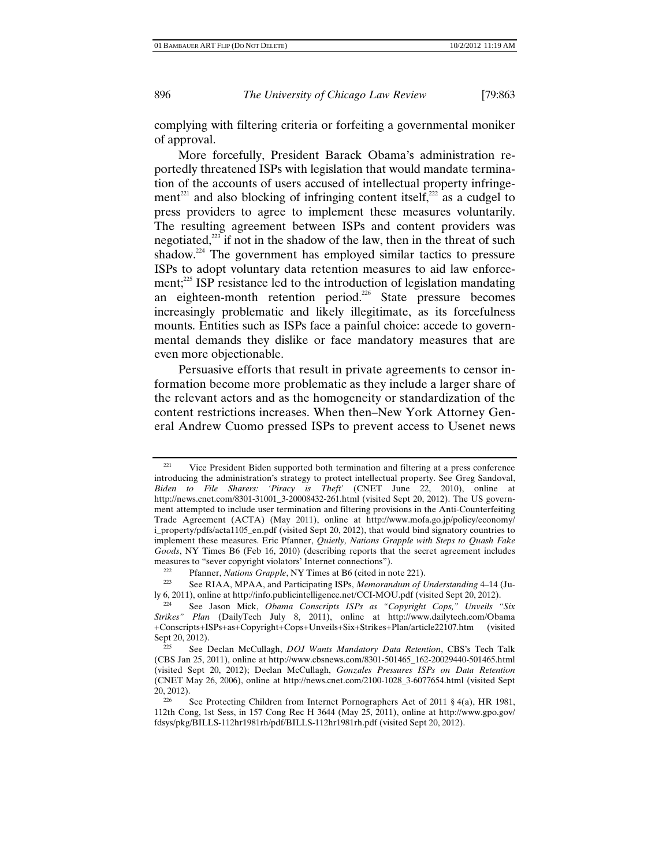complying with filtering criteria or forfeiting a governmental moniker of approval.

More forcefully, President Barack Obama's administration reportedly threatened ISPs with legislation that would mandate termination of the accounts of users accused of intellectual property infringement<sup>221</sup> and also blocking of infringing content itself,<sup>222</sup> as a cudgel to press providers to agree to implement these measures voluntarily. The resulting agreement between ISPs and content providers was negotiated, $223$  if not in the shadow of the law, then in the threat of such shadow.<sup>224</sup> The government has employed similar tactics to pressure ISPs to adopt voluntary data retention measures to aid law enforcement;<sup>225</sup> ISP resistance led to the introduction of legislation mandating an eighteen-month retention period.<sup>226</sup> State pressure becomes increasingly problematic and likely illegitimate, as its forcefulness mounts. Entities such as ISPs face a painful choice: accede to governmental demands they dislike or face mandatory measures that are even more objectionable.

Persuasive efforts that result in private agreements to censor information become more problematic as they include a larger share of the relevant actors and as the homogeneity or standardization of the content restrictions increases. When then–New York Attorney General Andrew Cuomo pressed ISPs to prevent access to Usenet news

<sup>&</sup>lt;sup>221</sup> Vice President Biden supported both termination and filtering at a press conference introducing the administration's strategy to protect intellectual property. See Greg Sandoval, *Biden to File Sharers: 'Piracy is Theft'* (CNET June 22, 2010), online at http://news.cnet.com/8301-31001\_3-20008432-261.html (visited Sept 20, 2012). The US government attempted to include user termination and filtering provisions in the Anti-Counterfeiting Trade Agreement (ACTA) (May 2011), online at http://www.mofa.go.jp/policy/economy/ i\_property/pdfs/acta1105\_en.pdf (visited Sept 20, 2012), that would bind signatory countries to implement these measures. Eric Pfanner, *Quietly, Nations Grapple with Steps to Quash Fake Goods*, NY Times B6 (Feb 16, 2010) (describing reports that the secret agreement includes measures to "sever copyright violators' Internet connections").

<sup>222</sup> Pfanner, *Nations Grapple*, NY Times at B6 (cited in note 221). 223 See RIAA, MPAA, and Participating ISPs, *Memorandum of Understanding* 4–14 (July 6, 2011), online at http://info.publicintelligence.net/CCI-MOU.pdf (visited Sept 20, 2012).

See Jason Mick, *Obama Conscripts ISPs as "Copyright Cops," Unveils "Six Strikes" Plan* (DailyTech July 8, 2011), online at http://www.dailytech.com/Obama +Conscripts+ISPs+as+Copyright+Cops+Unveils+Six+Strikes+Plan/article22107.htm (visited Sept 20, 2012). 225 See Declan McCullagh, *DOJ Wants Mandatory Data Retention*, CBS's Tech Talk

<sup>(</sup>CBS Jan 25, 2011), online at http://www.cbsnews.com/8301-501465\_162-20029440-501465.html (visited Sept 20, 2012); Declan McCullagh, *Gonzales Pressures ISPs on Data Retention* (CNET May 26, 2006), online at http://news.cnet.com/2100-1028\_3-6077654.html (visited Sept 20, 2012).<br><sup>226</sup> See Protecting Children from Internet Pornographers Act of 2011 § 4(a), HR 1981,

<sup>112</sup>th Cong, 1st Sess, in 157 Cong Rec H 3644 (May 25, 2011), online at http://www.gpo.gov/ fdsys/pkg/BILLS-112hr1981rh/pdf/BILLS-112hr1981rh.pdf (visited Sept 20, 2012).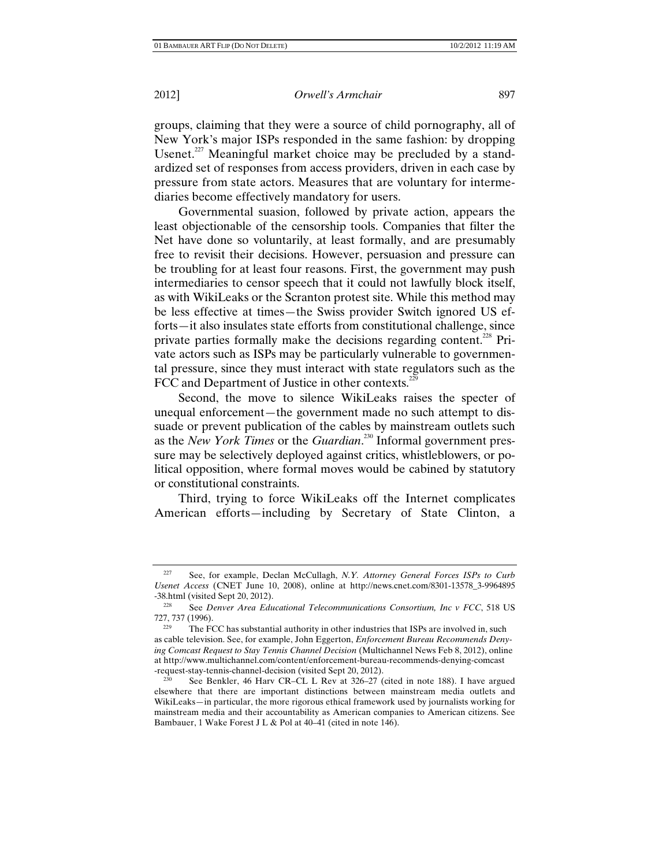groups, claiming that they were a source of child pornography, all of New York's major ISPs responded in the same fashion: by dropping Usenet. $227$  Meaningful market choice may be precluded by a standardized set of responses from access providers, driven in each case by pressure from state actors. Measures that are voluntary for intermediaries become effectively mandatory for users.

Governmental suasion, followed by private action, appears the least objectionable of the censorship tools. Companies that filter the Net have done so voluntarily, at least formally, and are presumably free to revisit their decisions. However, persuasion and pressure can be troubling for at least four reasons. First, the government may push intermediaries to censor speech that it could not lawfully block itself, as with WikiLeaks or the Scranton protest site. While this method may be less effective at times—the Swiss provider Switch ignored US efforts—it also insulates state efforts from constitutional challenge, since private parties formally make the decisions regarding content.<sup>228</sup> Private actors such as ISPs may be particularly vulnerable to governmental pressure, since they must interact with state regulators such as the FCC and Department of Justice in other contexts. $^{22}$ 

Second, the move to silence WikiLeaks raises the specter of unequal enforcement—the government made no such attempt to dissuade or prevent publication of the cables by mainstream outlets such as the *New York Times* or the *Guardian*. 230 Informal government pressure may be selectively deployed against critics, whistleblowers, or political opposition, where formal moves would be cabined by statutory or constitutional constraints.

Third, trying to force WikiLeaks off the Internet complicates American efforts—including by Secretary of State Clinton, a

<sup>227</sup> See, for example, Declan McCullagh, *N.Y. Attorney General Forces ISPs to Curb Usenet Access* (CNET June 10, 2008), online at http://news.cnet.com/8301-13578\_3-9964895

<sup>-38.</sup>html (visited Sept 20, 2012).<br><sup>228</sup> See *Denver Area Educational Telecommunications Consortium, Inc v FCC*, 518 US<br>727, 737 (1996).

<sup>&</sup>lt;sup>229</sup> The FCC has substantial authority in other industries that ISPs are involved in, such as cable television. See, for example, John Eggerton, *Enforcement Bureau Recommends Denying Comcast Request to Stay Tennis Channel Decision* (Multichannel News Feb 8, 2012), online at http://www.multichannel.com/content/enforcement-bureau-recommends-denying-comcast -request-stay-tennis-channel-decision (visited Sept 20, 2012).

See Benkler, 46 Harv CR–CL L Rev at 326–27 (cited in note 188). I have argued elsewhere that there are important distinctions between mainstream media outlets and WikiLeaks—in particular, the more rigorous ethical framework used by journalists working for mainstream media and their accountability as American companies to American citizens. See Bambauer, 1 Wake Forest J L & Pol at 40–41 (cited in note 146).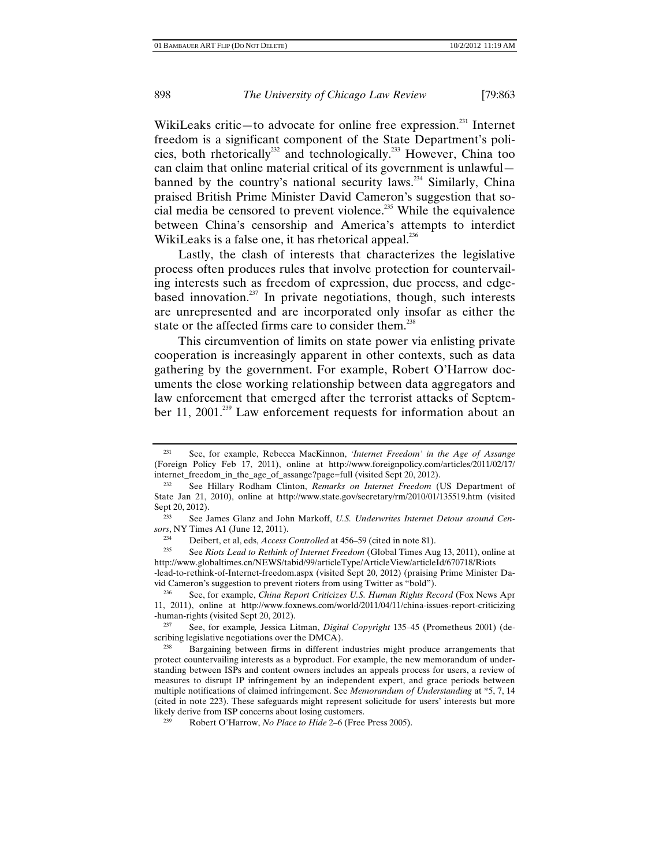WikiLeaks critic—to advocate for online free expression. $^{231}$  Internet freedom is a significant component of the State Department's policies, both rhetorically<sup>232</sup> and technologically.<sup>233</sup> However, China too can claim that online material critical of its government is unlawful banned by the country's national security laws.<sup>234</sup> Similarly, China praised British Prime Minister David Cameron's suggestion that social media be censored to prevent violence.<sup>235</sup> While the equivalence between China's censorship and America's attempts to interdict WikiLeaks is a false one, it has rhetorical appeal. $^{236}$ 

Lastly, the clash of interests that characterizes the legislative process often produces rules that involve protection for countervailing interests such as freedom of expression, due process, and edgebased innovation.<sup>237</sup> In private negotiations, though, such interests are unrepresented and are incorporated only insofar as either the state or the affected firms care to consider them.<sup>238</sup>

This circumvention of limits on state power via enlisting private cooperation is increasingly apparent in other contexts, such as data gathering by the government. For example, Robert O'Harrow documents the close working relationship between data aggregators and law enforcement that emerged after the terrorist attacks of September 11, 2001.<sup>239</sup> Law enforcement requests for information about an

-lead-to-rethink-of-Internet-freedom.aspx (visited Sept 20, 2012) (praising Prime Minister David Cameron's suggestion to prevent rioters from using Twitter as "bold").

<sup>231</sup> See, for example, Rebecca MacKinnon, *'Internet Freedom' in the Age of Assange* (Foreign Policy Feb 17, 2011), online at http://www.foreignpolicy.com/articles/2011/02/17/ internet\_freedom\_in\_the\_age\_of\_assange?page=full (visited Sept 20, 2012).

<sup>232</sup> See Hillary Rodham Clinton, *Remarks on Internet Freedom* (US Department of State Jan 21, 2010), online at http://www.state.gov/secretary/rm/2010/01/135519.htm (visited Sept 20, 2012).<br><sup>233</sup> See James Glanz and John Markoff, *U.S. Underwrites Internet Detour around Cen-*

*sors*, NY Times A1 (June 12, 2011).

<sup>234</sup> Deibert, et al, eds, *Access Controlled* at 456–59 (cited in note 81). 235 See *Riots Lead to Rethink of Internet Freedom* (Global Times Aug 13, 2011), online at http://www.globaltimes.cn/NEWS/tabid/99/articleType/ArticleView/articleId/670718/Riots

See, for example, *China Report Criticizes U.S. Human Rights Record* (Fox News Apr 11, 2011), online at http://www.foxnews.com/world/2011/04/11/china-issues-report-criticizing -human-rights (visited Sept 20, 2012). 237 See, for example*,* Jessica Litman, *Digital Copyright* 135–45 (Prometheus 2001) (de-

scribing legislative negotiations over the DMCA).<br><sup>238</sup> Bargaining between firms in different industries might produce arrangements that

protect countervailing interests as a byproduct. For example, the new memorandum of understanding between ISPs and content owners includes an appeals process for users, a review of measures to disrupt IP infringement by an independent expert, and grace periods between multiple notifications of claimed infringement. See *Memorandum of Understanding* at \*5, 7, 14 (cited in note 223). These safeguards might represent solicitude for users' interests but more likely derive from ISP concerns about losing customers.

<sup>&</sup>lt;sup>239</sup> Robert O'Harrow, *No Place to Hide* 2–6 (Free Press 2005).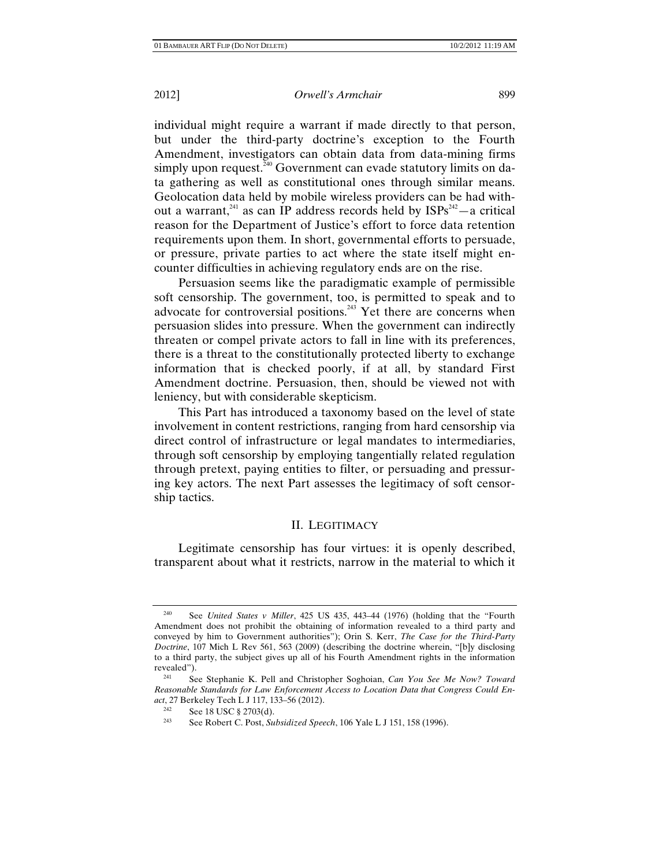individual might require a warrant if made directly to that person, but under the third-party doctrine's exception to the Fourth Amendment, investigators can obtain data from data-mining firms simply upon request.<sup>240</sup> Government can evade statutory limits on data gathering as well as constitutional ones through similar means. Geolocation data held by mobile wireless providers can be had without a warrant,<sup>241</sup> as can IP address records held by  $ISPs^{242} - a$  critical reason for the Department of Justice's effort to force data retention requirements upon them. In short, governmental efforts to persuade, or pressure, private parties to act where the state itself might encounter difficulties in achieving regulatory ends are on the rise.

Persuasion seems like the paradigmatic example of permissible soft censorship. The government, too, is permitted to speak and to advocate for controversial positions.<sup>243</sup> Yet there are concerns when persuasion slides into pressure. When the government can indirectly threaten or compel private actors to fall in line with its preferences, there is a threat to the constitutionally protected liberty to exchange information that is checked poorly, if at all, by standard First Amendment doctrine. Persuasion, then, should be viewed not with leniency, but with considerable skepticism.

This Part has introduced a taxonomy based on the level of state involvement in content restrictions, ranging from hard censorship via direct control of infrastructure or legal mandates to intermediaries, through soft censorship by employing tangentially related regulation through pretext, paying entities to filter, or persuading and pressuring key actors. The next Part assesses the legitimacy of soft censorship tactics.

#### II. LEGITIMACY

Legitimate censorship has four virtues: it is openly described, transparent about what it restricts, narrow in the material to which it

<sup>240</sup> See *United States v Miller*, 425 US 435, 443–44 (1976) (holding that the "Fourth Amendment does not prohibit the obtaining of information revealed to a third party and conveyed by him to Government authorities"); Orin S. Kerr, *The Case for the Third-Party Doctrine*, 107 Mich L Rev 561, 563 (2009) (describing the doctrine wherein, "[b]y disclosing to a third party, the subject gives up all of his Fourth Amendment rights in the information revealed").<br> $^{241}_{241}$  Se

<sup>241</sup> See Stephanie K. Pell and Christopher Soghoian, *Can You See Me Now? Toward Reasonable Standards for Law Enforcement Access to Location Data that Congress Could Enact*, 27 Berkeley Tech L J 117, 133–56 (2012).

<sup>&</sup>lt;sup>242</sup> See 18 USC § 2703(d).<br><sup>243</sup> See Pebert G Post Su

See Robert C. Post, *Subsidized Speech*, 106 Yale L J 151, 158 (1996).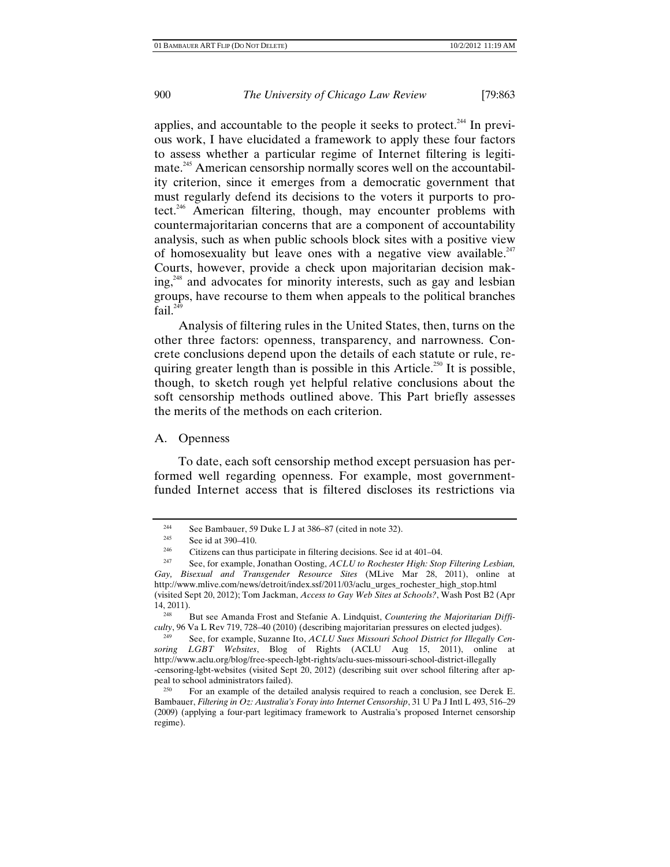applies, and accountable to the people it seeks to protect.<sup>244</sup> In previous work, I have elucidated a framework to apply these four factors to assess whether a particular regime of Internet filtering is legitimate.<sup>245</sup> American censorship normally scores well on the accountability criterion, since it emerges from a democratic government that must regularly defend its decisions to the voters it purports to protect.246 American filtering, though, may encounter problems with countermajoritarian concerns that are a component of accountability analysis, such as when public schools block sites with a positive view of homosexuality but leave ones with a negative view available. $247$ Courts, however, provide a check upon majoritarian decision mak $ing<sub>1</sub><sup>248</sup>$  and advocates for minority interests, such as gay and lesbian groups, have recourse to them when appeals to the political branches fail. $^{249}$ 

Analysis of filtering rules in the United States, then, turns on the other three factors: openness, transparency, and narrowness. Concrete conclusions depend upon the details of each statute or rule, requiring greater length than is possible in this Article.<sup>250</sup> It is possible, though, to sketch rough yet helpful relative conclusions about the soft censorship methods outlined above. This Part briefly assesses the merits of the methods on each criterion.

## A. Openness

To date, each soft censorship method except persuasion has performed well regarding openness. For example, most governmentfunded Internet access that is filtered discloses its restrictions via

<sup>&</sup>lt;sup>244</sup> See Bambauer, 59 Duke L J at 386–87 (cited in note 32).<br><sup>245</sup> See id at 200, 410

<sup>&</sup>lt;sup>245</sup> See id at 390–410.

<sup>&</sup>lt;sup>246</sup> Citizens can thus participate in filtering decisions. See id at 401–04.<br><sup>247</sup> See, for example, Jonathan Oosting, *ACLU to Rochester High: Stop Filtering Lesbian*,

*Gay, Bisexual and Transgender Resource Sites* (MLive Mar 28, 2011), online at http://www.mlive.com/news/detroit/index.ssf/2011/03/aclu\_urges\_rochester\_high\_stop.html (visited Sept 20, 2012); Tom Jackman, *Access to Gay Web Sites at Schools?*, Wash Post B2 (Apr 14, 2011). 248 But see Amanda Frost and Stefanie A. Lindquist, *Countering the Majoritarian Diffi-*

*culty*, 96 Va L Rev 719, 728–40 (2010) (describing majoritarian pressures on elected judges).

See, for example, Suzanne Ito, *ACLU Sues Missouri School District for Illegally Censoring LGBT Websites*, Blog of Rights (ACLU Aug 15, 2011), online at http://www.aclu.org/blog/free-speech-lgbt-rights/aclu-sues-missouri-school-district-illegally -censoring-lgbt-websites (visited Sept 20, 2012) (describing suit over school filtering after ap-

 $P_{\text{250}}$  For an example of the detailed analysis required to reach a conclusion, see Derek E. Bambauer, *Filtering in Oz: Australia's Foray into Internet Censorship*, 31 U Pa J Intl L 493, 516–29 (2009) (applying a four-part legitimacy framework to Australia's proposed Internet censorship regime).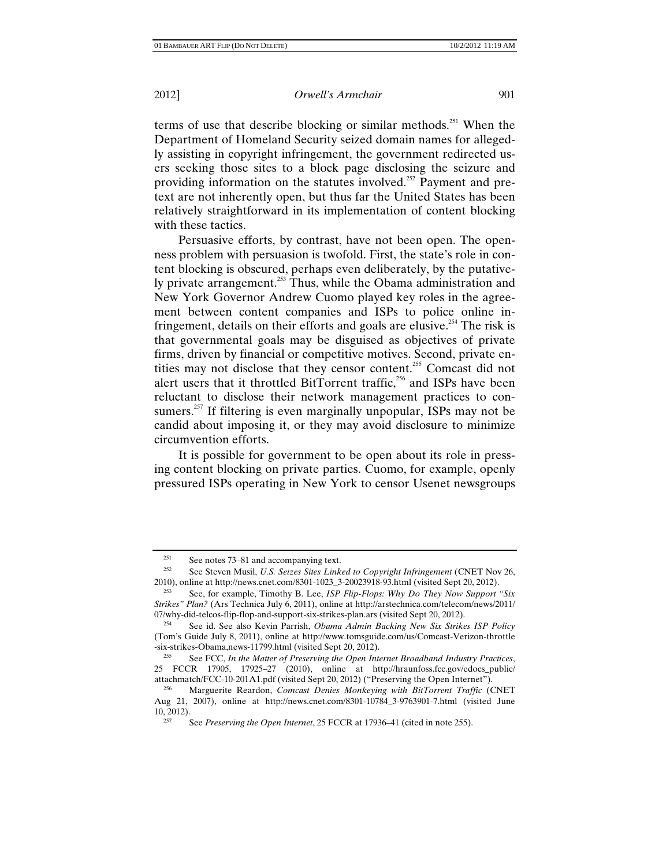terms of use that describe blocking or similar methods.251 When the Department of Homeland Security seized domain names for allegedly assisting in copyright infringement, the government redirected users seeking those sites to a block page disclosing the seizure and providing information on the statutes involved.<sup>252</sup> Payment and pretext are not inherently open, but thus far the United States has been relatively straightforward in its implementation of content blocking with these tactics.

Persuasive efforts, by contrast, have not been open. The openness problem with persuasion is twofold. First, the state's role in content blocking is obscured, perhaps even deliberately, by the putatively private arrangement.<sup>253</sup> Thus, while the Obama administration and New York Governor Andrew Cuomo played key roles in the agreement between content companies and ISPs to police online infringement, details on their efforts and goals are elusive.<sup>254</sup> The risk is that governmental goals may be disguised as objectives of private firms, driven by financial or competitive motives. Second, private entities may not disclose that they censor content.<sup>255</sup> Comcast did not alert users that it throttled BitTorrent traffic,<sup>256</sup> and ISPs have been reluctant to disclose their network management practices to consumers.<sup>257</sup> If filtering is even marginally unpopular, ISPs may not be candid about imposing it, or they may avoid disclosure to minimize circumvention efforts.

It is possible for government to be open about its role in pressing content blocking on private parties. Cuomo, for example, openly pressured ISPs operating in New York to censor Usenet newsgroups

<sup>&</sup>lt;sup>251</sup> See notes 73–81 and accompanying text.<br><sup>252</sup> See Steven Musil, *U.S. Seizes Sites Linked to Copyright Infringement* (CNET Nov 26, 2010), online at http://news.cnet.com/8301-1023\_3-20023918-93.html (visited Sept 20, 2012). 253 See, for example, Timothy B. Lee, *ISP Flip-Flops: Why Do They Now Support "Six* 

*Strikes" Plan?* (Ars Technica July 6, 2011), online at http://arstechnica.com/telecom/news/2011/ 07/why-did-telcos-flip-flop-and-support-six-strikes-plan.ars (visited Sept 20, 2012). 254 See id. See also Kevin Parrish, *Obama Admin Backing New Six Strikes ISP Policy*

<sup>(</sup>Tom's Guide July 8, 2011), online at http://www.tomsguide.com/us/Comcast-Verizon-throttle -six-strikes-Obama,news-11799.html (visited Sept 20, 2012). 255 See FCC, *In the Matter of Preserving the Open Internet Broadband Industry Practices*,

<sup>25</sup> FCCR 17905, 17925–27 (2010), online at http://hraunfoss.fcc.gov/edocs\_public/<br>attachmatch/FCC-10-201A1.pdf (visited Sept 20, 2012) ("Preserving the Open Internet").

<sup>&</sup>lt;sup>256</sup> Marguerite Reardon, *Comcast Denies Monkeying with BitTorrent Traffic* (CNET Aug 21, 2007), online at http://news.cnet.com/8301-10784\_3-9763901-7.html (visited June

<sup>&</sup>lt;sup>257</sup> See *Preserving the Open Internet*, 25 FCCR at 17936–41 (cited in note 255).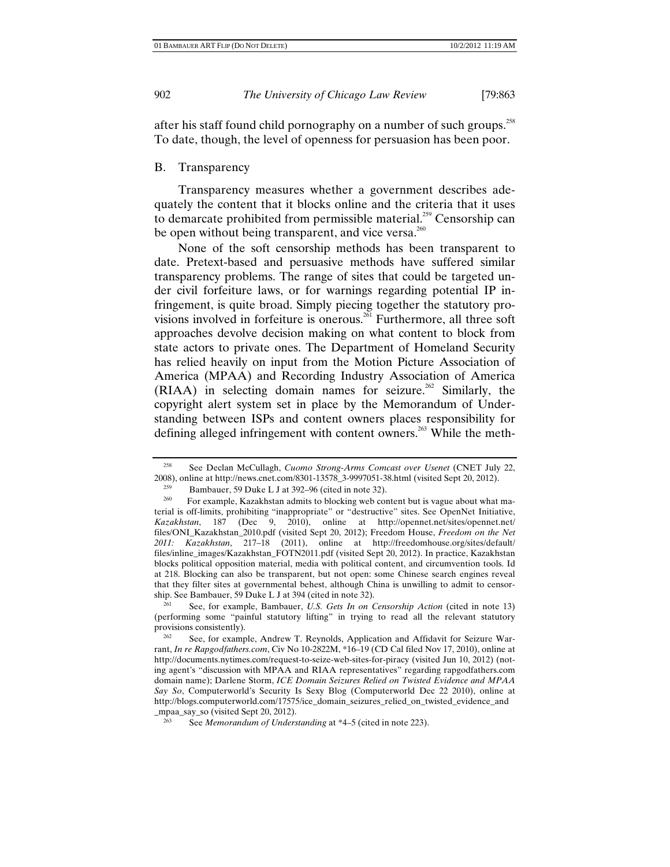after his staff found child pornography on a number of such groups.<sup>258</sup> To date, though, the level of openness for persuasion has been poor.

#### B. Transparency

Transparency measures whether a government describes adequately the content that it blocks online and the criteria that it uses to demarcate prohibited from permissible material.<sup>259</sup> Censorship can be open without being transparent, and vice versa.<sup>260</sup>

None of the soft censorship methods has been transparent to date. Pretext-based and persuasive methods have suffered similar transparency problems. The range of sites that could be targeted under civil forfeiture laws, or for warnings regarding potential IP infringement, is quite broad. Simply piecing together the statutory provisions involved in forfeiture is onerous.<sup>261</sup> Furthermore, all three soft approaches devolve decision making on what content to block from state actors to private ones. The Department of Homeland Security has relied heavily on input from the Motion Picture Association of America (MPAA) and Recording Industry Association of America  $(RIAA)$  in selecting domain names for seizure.<sup>262</sup> Similarly, the copyright alert system set in place by the Memorandum of Understanding between ISPs and content owners places responsibility for defining alleged infringement with content owners.<sup>263</sup> While the meth-

<sup>&</sup>lt;sup>258</sup> See Declan McCullagh, *Cuomo Strong-Arms Comcast over Usenet* (CNET July 22, 2008), online at http://news.cnet.com/8301-13578\_3-9997051-38.html (visited Sept 20, 2012).

<sup>259</sup> Bambauer, 59 Duke L J at 392–96 (cited in note 32).<br>
For example, Kazakhstan admits to blocking web content but is vague about what material is off-limits, prohibiting "inappropriate" or "destructive" sites. See OpenNet Initiative, *Kazakhstan*, 187 (Dec 9, 2010), online at http://opennet.net/sites/opennet.net/ files/ONI\_Kazakhstan\_2010.pdf (visited Sept 20, 2012); Freedom House, *Freedom on the Net 2011: Kazakhstan*, 217–18 (2011), online at http://freedomhouse.org/sites/default/ files/inline\_images/Kazakhstan\_FOTN2011.pdf (visited Sept 20, 2012). In practice, Kazakhstan blocks political opposition material, media with political content, and circumvention tools. Id at 218. Blocking can also be transparent, but not open: some Chinese search engines reveal that they filter sites at governmental behest, although China is unwilling to admit to censor-<br>ship. See Bambauer, 59 Duke L J at 394 (cited in note 32).

See, for example, Bambauer, *U.S. Gets In on Censorship Action* (cited in note 13). (performing some "painful statutory lifting" in trying to read all the relevant statutory provisions consistently).

See, for example, Andrew T. Reynolds, Application and Affidavit for Seizure Warrant, *In re Rapgodfathers.com*, Civ No 10-2822M, \*16–19 (CD Cal filed Nov 17, 2010), online at http://documents.nytimes.com/request-to-seize-web-sites-for-piracy (visited Jun 10, 2012) (noting agent's "discussion with MPAA and RIAA representatives" regarding rapgodfathers.com domain name); Darlene Storm, *ICE Domain Seizures Relied on Twisted Evidence and MPAA Say So*, Computerworld's Security Is Sexy Blog (Computerworld Dec 22 2010), online at http://blogs.computerworld.com/17575/ice\_domain\_seizures\_relied\_on\_twisted\_evidence\_and \_mpaa\_say\_so (visited Sept 20, 2012).

<sup>263</sup> See *Memorandum of Understanding* at \*4–5 (cited in note 223).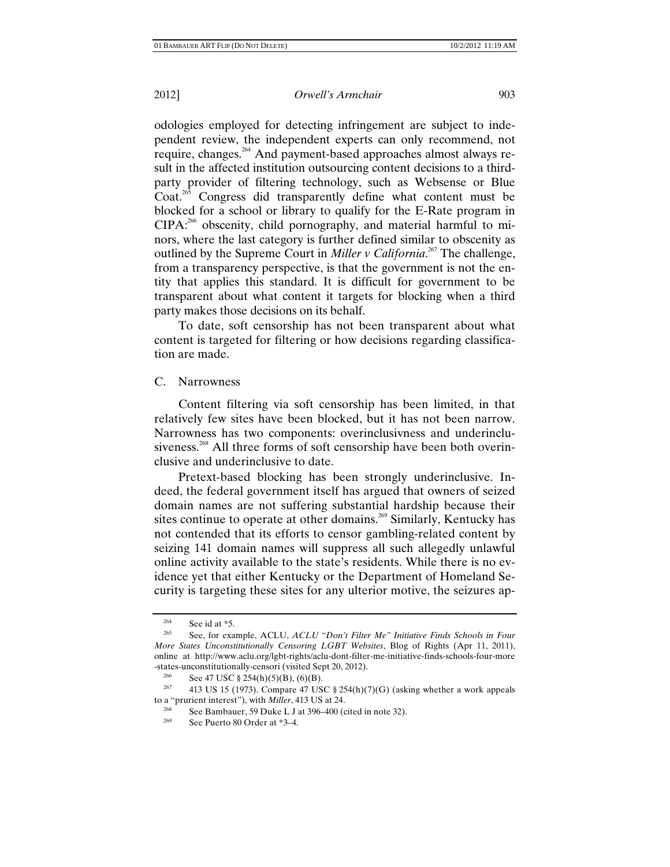odologies employed for detecting infringement are subject to independent review, the independent experts can only recommend, not require, changes.264 And payment-based approaches almost always result in the affected institution outsourcing content decisions to a thirdparty provider of filtering technology, such as Websense or Blue Coat.<sup>265</sup> Congress did transparently define what content must be blocked for a school or library to qualify for the E-Rate program in  $CIPA: <sup>266</sup>$  obscenity, child pornography, and material harmful to minors, where the last category is further defined similar to obscenity as outlined by the Supreme Court in *Miller v California*. 267 The challenge, from a transparency perspective, is that the government is not the entity that applies this standard. It is difficult for government to be transparent about what content it targets for blocking when a third party makes those decisions on its behalf.

To date, soft censorship has not been transparent about what content is targeted for filtering or how decisions regarding classification are made.

## C. Narrowness

Content filtering via soft censorship has been limited, in that relatively few sites have been blocked, but it has not been narrow. Narrowness has two components: overinclusivness and underinclusiveness.<sup>268</sup> All three forms of soft censorship have been both overinclusive and underinclusive to date.

Pretext-based blocking has been strongly underinclusive. Indeed, the federal government itself has argued that owners of seized domain names are not suffering substantial hardship because their sites continue to operate at other domains.<sup>269</sup> Similarly, Kentucky has not contended that its efforts to censor gambling-related content by seizing 141 domain names will suppress all such allegedly unlawful online activity available to the state's residents. While there is no evidence yet that either Kentucky or the Department of Homeland Security is targeting these sites for any ulterior motive, the seizures ap-

<sup>&</sup>lt;sup>264</sup> See id at \*5.<br><sup>265</sup> See, for example, ACLU, *ACLU "Don't Filter Me" Initiative Finds Schools in Four More States Unconstitutionally Censoring LGBT Websites*, Blog of Rights (Apr 11, 2011), online at http://www.aclu.org/lgbt-rights/aclu-dont-filter-me-initiative-finds-schools-four-more -states-unconstitutionally-censori (visited Sept 20, 2012).<br>
<sup>266</sup> See 47 USC 8.254(b)(5)(B) (6)(B)

<sup>266</sup> See 47 USC § 254(h)(5)(B), (6)(B).<br><sup>267</sup> 413 US 15 (1973). Compare 47 USC § 254(h)(7)(G) (asking whether a work appeals to a "prurient interest"), with *Miller*, 413 US at 24.

<sup>&</sup>lt;sup>268</sup> See Bambauer, 59 Duke L J at 396–400 (cited in note 32).<br><sup>269</sup> See Puerto 80 Order at \*3–4.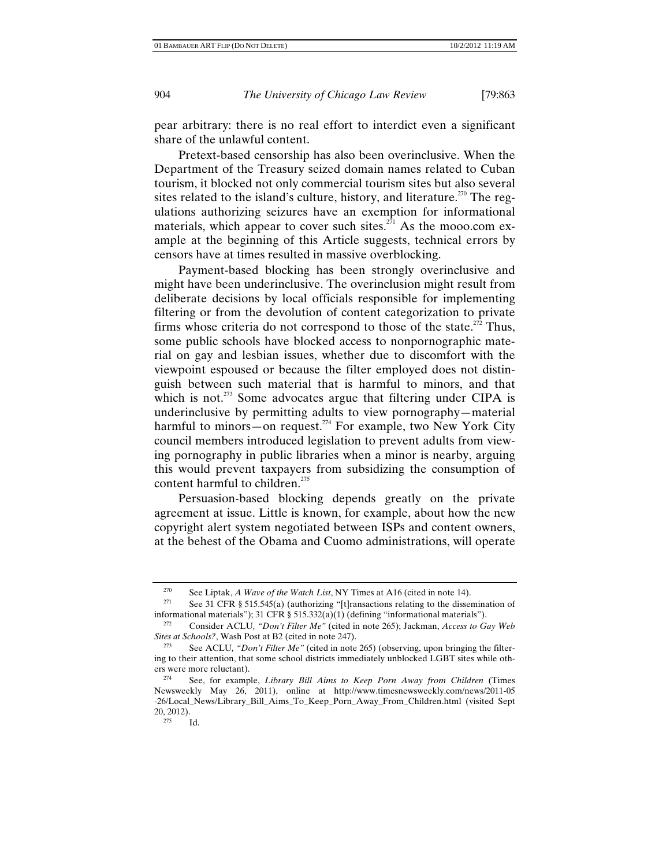pear arbitrary: there is no real effort to interdict even a significant share of the unlawful content.

Pretext-based censorship has also been overinclusive. When the Department of the Treasury seized domain names related to Cuban tourism, it blocked not only commercial tourism sites but also several sites related to the island's culture, history, and literature.<sup>270</sup> The regulations authorizing seizures have an exemption for informational materials, which appear to cover such sites.<sup> $271$ </sup> As the mooo.com example at the beginning of this Article suggests, technical errors by censors have at times resulted in massive overblocking.

Payment-based blocking has been strongly overinclusive and might have been underinclusive. The overinclusion might result from deliberate decisions by local officials responsible for implementing filtering or from the devolution of content categorization to private firms whose criteria do not correspond to those of the state. $272$  Thus, some public schools have blocked access to nonpornographic material on gay and lesbian issues, whether due to discomfort with the viewpoint espoused or because the filter employed does not distinguish between such material that is harmful to minors, and that which is not.<sup>273</sup> Some advocates argue that filtering under CIPA is underinclusive by permitting adults to view pornography—material harmful to minors—on request.<sup>274</sup> For example, two New York City council members introduced legislation to prevent adults from viewing pornography in public libraries when a minor is nearby, arguing this would prevent taxpayers from subsidizing the consumption of content harmful to children.<sup>275</sup>

Persuasion-based blocking depends greatly on the private agreement at issue. Little is known, for example, about how the new copyright alert system negotiated between ISPs and content owners, at the behest of the Obama and Cuomo administrations, will operate

<sup>270</sup> See Liptak, *A Wave of the Watch List*, NY Times at A16 (cited in note 14).<br><sup>271</sup> See 31 CFR § 515.545(a) (authorizing "[t]ransactions relating to the dissemination of informational materials"); 31 CFR § 515.332(a)(1) (defining "informational materials").<br><sup>272</sup> Consider ACLU, "Don't Filter Me" (cited in note 265); Jackman, *Access to Gay Web* 

*Sites at Schools?*, Wash Post at B2 (cited in note 247).

<sup>273</sup> See ACLU*, "Don't Filter Me"* (cited in note 265) (observing, upon bringing the filtering to their attention, that some school districts immediately unblocked LGBT sites while others were more reluctant).<br> $\frac{274}{100}$  See for example

<sup>274</sup> See, for example, *Library Bill Aims to Keep Porn Away from Children* (Times Newsweekly May 26, 2011), online at http://www.timesnewsweekly.com/news/2011-05 -26/Local\_News/Library\_Bill\_Aims\_To\_Keep\_Porn\_Away\_From\_Children.html (visited Sept  $20, 2012$ ).<br> $275$  Id.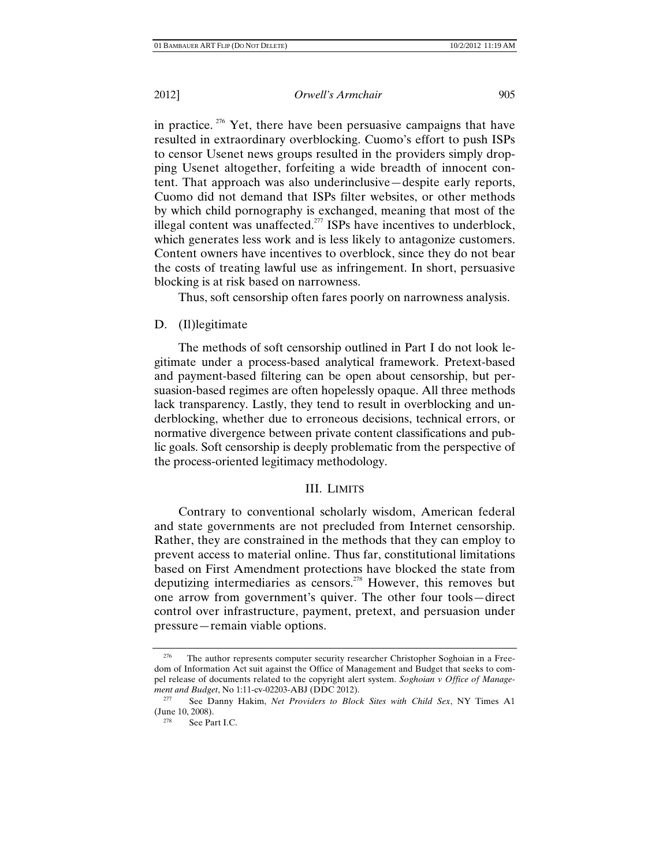in practice.<sup> $276$ </sup> Yet, there have been persuasive campaigns that have resulted in extraordinary overblocking. Cuomo's effort to push ISPs to censor Usenet news groups resulted in the providers simply dropping Usenet altogether, forfeiting a wide breadth of innocent content. That approach was also underinclusive—despite early reports, Cuomo did not demand that ISPs filter websites, or other methods by which child pornography is exchanged, meaning that most of the illegal content was unaffected.<sup>277</sup> ISPs have incentives to underblock, which generates less work and is less likely to antagonize customers. Content owners have incentives to overblock, since they do not bear the costs of treating lawful use as infringement. In short, persuasive blocking is at risk based on narrowness.

Thus, soft censorship often fares poorly on narrowness analysis.

## D. (II)legitimate

The methods of soft censorship outlined in Part I do not look legitimate under a process-based analytical framework. Pretext-based and payment-based filtering can be open about censorship, but persuasion-based regimes are often hopelessly opaque. All three methods lack transparency. Lastly, they tend to result in overblocking and underblocking, whether due to erroneous decisions, technical errors, or normative divergence between private content classifications and public goals. Soft censorship is deeply problematic from the perspective of the process-oriented legitimacy methodology.

# III. LIMITS

Contrary to conventional scholarly wisdom, American federal and state governments are not precluded from Internet censorship. Rather, they are constrained in the methods that they can employ to prevent access to material online. Thus far, constitutional limitations based on First Amendment protections have blocked the state from deputizing intermediaries as censors.<sup>278</sup> However, this removes but one arrow from government's quiver. The other four tools—direct control over infrastructure, payment, pretext, and persuasion under pressure—remain viable options.

<sup>&</sup>lt;sup>276</sup> The author represents computer security researcher Christopher Soghoian in a Freedom of Information Act suit against the Office of Management and Budget that seeks to compel release of documents related to the copyright alert system. *Soghoian v Office of Management and Budget*, No 1:11-cv-02203-ABJ (DDC 2012).

<sup>277</sup> See Danny Hakim, *Net Providers to Block Sites with Child Sex*, NY Times A1 (June 10, 2008).

See Part I.C.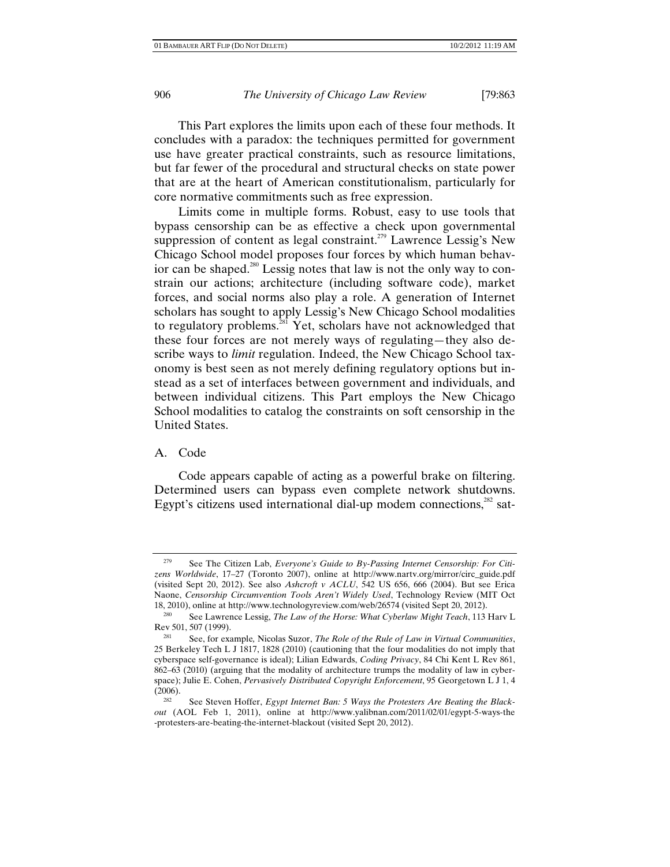This Part explores the limits upon each of these four methods. It concludes with a paradox: the techniques permitted for government use have greater practical constraints, such as resource limitations, but far fewer of the procedural and structural checks on state power that are at the heart of American constitutionalism, particularly for core normative commitments such as free expression.

Limits come in multiple forms. Robust, easy to use tools that bypass censorship can be as effective a check upon governmental suppression of content as legal constraint.<sup> $279$ </sup> Lawrence Lessig's New Chicago School model proposes four forces by which human behavior can be shaped.<sup>280</sup> Lessig notes that law is not the only way to constrain our actions; architecture (including software code), market forces, and social norms also play a role. A generation of Internet scholars has sought to apply Lessig's New Chicago School modalities to regulatory problems.<sup>281</sup> Yet, scholars have not acknowledged that these four forces are not merely ways of regulating—they also describe ways to *limit* regulation. Indeed, the New Chicago School taxonomy is best seen as not merely defining regulatory options but instead as a set of interfaces between government and individuals, and between individual citizens. This Part employs the New Chicago School modalities to catalog the constraints on soft censorship in the United States.

# A. Code

Code appears capable of acting as a powerful brake on filtering. Determined users can bypass even complete network shutdowns. Egypt's citizens used international dial-up modem connections, $^{282}$  sat-

<sup>279</sup> See The Citizen Lab, *Everyone's Guide to By-Passing Internet Censorship: For Citizens Worldwide*, 17–27 (Toronto 2007), online at http://www.nartv.org/mirror/circ\_guide.pdf (visited Sept 20, 2012). See also *Ashcroft v ACLU*, 542 US 656, 666 (2004). But see Erica Naone, *Censorship Circumvention Tools Aren't Widely Used*, Technology Review (MIT Oct 18, 2010), online at http://www.technologyreview.com/web/26574 (visited Sept 20, 2012). 280 See Lawrence Lessig, *The Law of the Horse: What Cyberlaw Might Teach*, 113 Harv L

Rev 501, 507 (1999). 281 See, for example*,* Nicolas Suzor, *The Role of the Rule of Law in Virtual Communities*,

<sup>25</sup> Berkeley Tech L J 1817, 1828 (2010) (cautioning that the four modalities do not imply that cyberspace self-governance is ideal); Lilian Edwards, *Coding Privacy*, 84 Chi Kent L Rev 861, 862–63 (2010) (arguing that the modality of architecture trumps the modality of law in cyberspace); Julie E. Cohen, *Pervasively Distributed Copyright Enforcement*, 95 Georgetown L J 1, 4 (2006). 282 See Steven Hoffer, *Egypt Internet Ban: 5 Ways the Protesters Are Beating the Black-*

*out* (AOL Feb 1, 2011), online at http://www.yalibnan.com/2011/02/01/egypt-5-ways-the -protesters-are-beating-the-internet-blackout (visited Sept 20, 2012).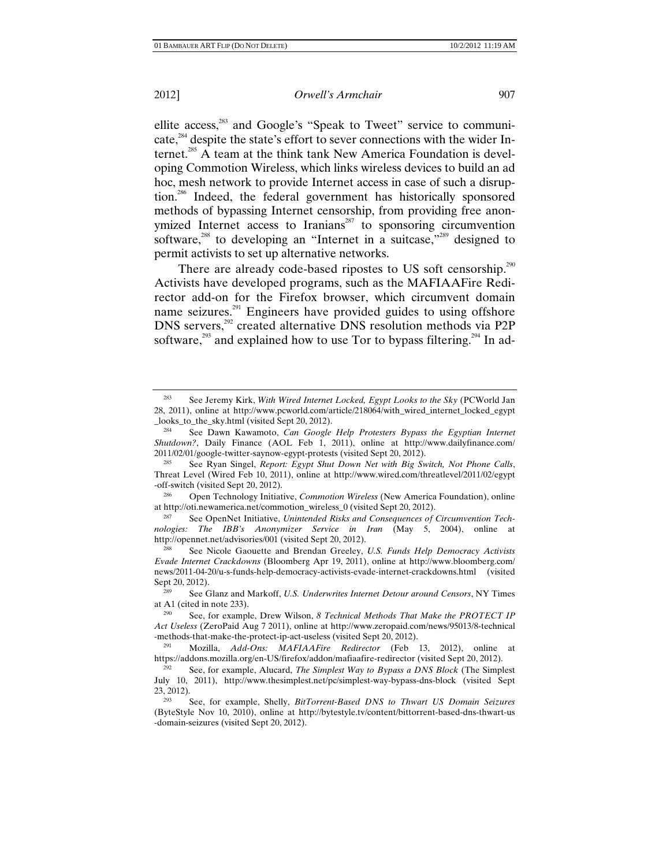ellite access,<sup>283</sup> and Google's "Speak to Tweet" service to communicate,<sup>284</sup> despite the state's effort to sever connections with the wider Internet.<sup>285</sup> A team at the think tank New America Foundation is developing Commotion Wireless, which links wireless devices to build an ad hoc, mesh network to provide Internet access in case of such a disruption.286 Indeed, the federal government has historically sponsored methods of bypassing Internet censorship, from providing free anonymized Internet access to Iranians<sup>287</sup> to sponsoring circumvention software,<sup>288</sup> to developing an "Internet in a suitcase,"<sup>289</sup> designed to permit activists to set up alternative networks.

There are already code-based ripostes to US soft censorship.<sup>290</sup> Activists have developed programs, such as the MAFIAAFire Redirector add-on for the Firefox browser, which circumvent domain name seizures.<sup>291</sup> Engineers have provided guides to using offshore DNS servers,<sup>292</sup> created alternative DNS resolution methods via P2P software,<sup>293</sup> and explained how to use Tor to bypass filtering.<sup>294</sup> In ad-

at http://oti.newamerica.net/commotion\_wireless\_0 (visited Sept 20, 2012).

See OpenNet Initiative, *Unintended Risks and Consequences of Circumvention Technologies: The IBB's Anonymizer Service in Iran* (May 5, 2004), online at http://opennet.net/advisories/001 (visited Sept 20, 2012). 288 See Nicole Gaouette and Brendan Greeley, *U.S. Funds Help Democracy Activists* 

*Evade Internet Crackdowns* (Bloomberg Apr 19, 2011), online at http://www.bloomberg.com/ news/2011-04-20/u-s-funds-help-democracy-activists-evade-internet-crackdowns.html (visited Sept 20, 2012).<br><sup>289</sup> See Glanz and Markoff, *U.S. Underwrites Internet Detour around Censors*, NY Times

See Jeremy Kirk, *With Wired Internet Locked, Egypt Looks to the Sky* (PCWorld Jan 28, 2011), online at http://www.pcworld.com/article/218064/with\_wired\_internet\_locked\_egypt \_looks\_to\_the\_sky.html (visited Sept 20, 2012). 284 See Dawn Kawamoto, *Can Google Help Protesters Bypass the Egyptian Internet* 

*Shutdown?*, Daily Finance (AOL Feb 1, 2011), online at http://www.dailyfinance.com/ 2011/02/01/google-twitter-saynow-egypt-protests (visited Sept 20, 2012). 285 See Ryan Singel, *Report: Egypt Shut Down Net with Big Switch, Not Phone Calls*,

Threat Level (Wired Feb 10, 2011), online at http://www.wired.com/threatlevel/2011/02/egypt -off-switch (visited Sept 20, 2012). 286 Open Technology Initiative, *Commotion Wireless* (New America Foundation), online

at A1 (cited in note 233).

<sup>290</sup> See, for example, Drew Wilson, *8 Technical Methods That Make the PROTECT IP Act Useless* (ZeroPaid Aug 7 2011), online at http://www.zeropaid.com/news/95013/8-technical -methods-that-make-the-protect-ip-act-useless (visited Sept 20, 2012). 291 Mozilla, *Add-Ons: MAFIAAFire Redirector* (Feb 13, 2012), online at

https://addons.mozilla.org/en-US/firefox/addon/mafiaafire-redirector (visited Sept 20, 2012).

<sup>292</sup> See, for example, Alucard, *The Simplest Way to Bypass a DNS Block* (The Simplest July 10, 2011), http://www.thesimplest.net/pc/simplest-way-bypass-dns-block (visited Sept 23, 2012). 293 See, for example, Shelly, *BitTorrent-Based DNS to Thwart US Domain Seizures*

<sup>(</sup>ByteStyle Nov 10, 2010), online at http://bytestyle.tv/content/bittorrent-based-dns-thwart-us -domain-seizures (visited Sept 20, 2012).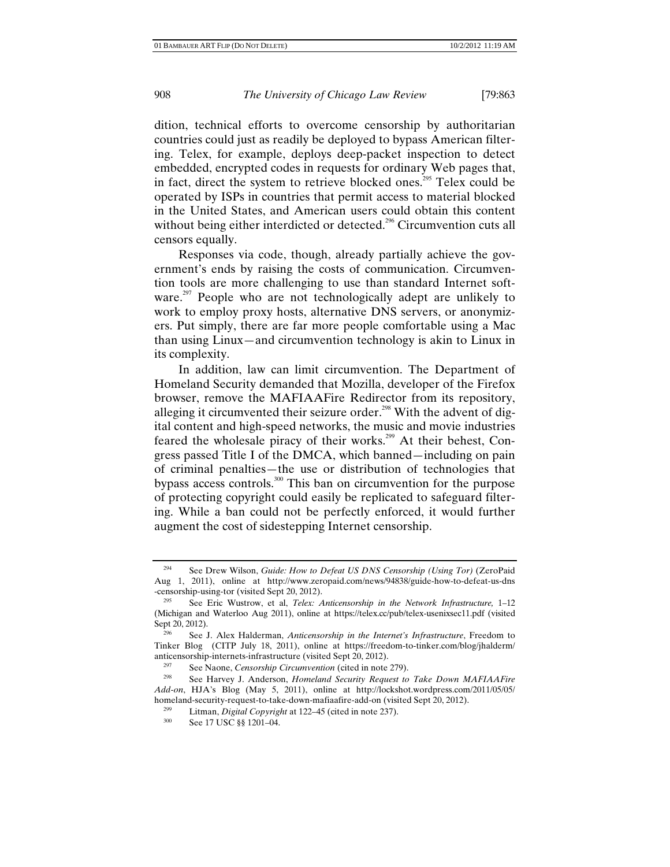dition, technical efforts to overcome censorship by authoritarian countries could just as readily be deployed to bypass American filtering. Telex, for example, deploys deep-packet inspection to detect embedded, encrypted codes in requests for ordinary Web pages that, in fact, direct the system to retrieve blocked ones.<sup>295</sup> Telex could be operated by ISPs in countries that permit access to material blocked in the United States, and American users could obtain this content without being either interdicted or detected.<sup>296</sup> Circumvention cuts all censors equally.

Responses via code, though, already partially achieve the government's ends by raising the costs of communication. Circumvention tools are more challenging to use than standard Internet software.<sup>297</sup> People who are not technologically adept are unlikely to work to employ proxy hosts, alternative DNS servers, or anonymizers. Put simply, there are far more people comfortable using a Mac than using Linux—and circumvention technology is akin to Linux in its complexity.

In addition, law can limit circumvention. The Department of Homeland Security demanded that Mozilla, developer of the Firefox browser, remove the MAFIAAFire Redirector from its repository, alleging it circumvented their seizure order.<sup>298</sup> With the advent of digital content and high-speed networks, the music and movie industries feared the wholesale piracy of their works.<sup>299</sup> At their behest, Congress passed Title I of the DMCA, which banned—including on pain of criminal penalties—the use or distribution of technologies that bypass access controls.300 This ban on circumvention for the purpose of protecting copyright could easily be replicated to safeguard filtering. While a ban could not be perfectly enforced, it would further augment the cost of sidestepping Internet censorship.

<sup>294</sup> See Drew Wilson, *Guide: How to Defeat US DNS Censorship (Using Tor)* (ZeroPaid Aug 1, 2011), online at http://www.zeropaid.com/news/94838/guide-how-to-defeat-us-dns -censorship-using-tor (visited Sept 20, 2012).

See Eric Wustrow, et al, *Telex: Anticensorship in the Network Infrastructure*, 1-12 (Michigan and Waterloo Aug 2011), online at https://telex.cc/pub/telex-usenixsec11.pdf (visited Sept 20, 2012).<br><sup>296</sup> See J. Alex Halderman, *Anticensorship in the Internet's Infrastructure*, Freedom to

Tinker Blog (CITP July 18, 2011), online at https://freedom-to-tinker.com/blog/jhalderm/ anticensorship-internets-infrastructure (visited Sept 20, 2012).<br><sup>297</sup> See Naone, *Censorship Circumvention* (cited in note 279).<br><sup>298</sup> See Harvey J. Anderson, *Homeland Security Request to Take Down MAFIAAFire* 

*Add-on*, HJA's Blog (May 5, 2011), online at http://lockshot.wordpress.com/2011/05/05/ homeland-security-request-to-take-down-mafiaafire-add-on (visited Sept 20, 2012).<br><sup>299</sup> Litman, *Digital Copyright* at 122–45 (cited in note 237).<br><sup>300</sup> See 17 USC <sup>88</sup> 1201.04

See 17 USC §§ 1201-04.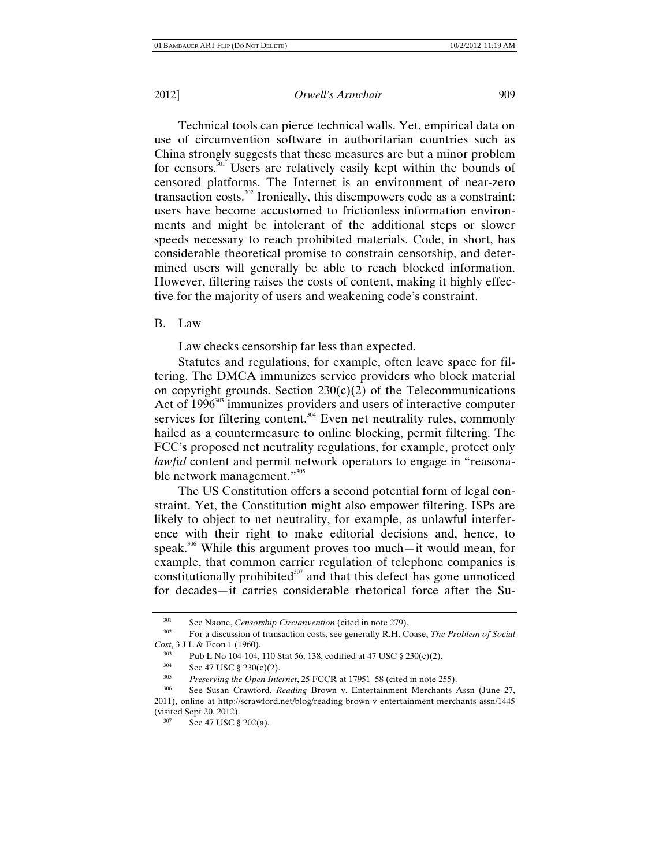Technical tools can pierce technical walls. Yet, empirical data on use of circumvention software in authoritarian countries such as China strongly suggests that these measures are but a minor problem for censors.<sup>301</sup> Users are relatively easily kept within the bounds of censored platforms. The Internet is an environment of near-zero transaction costs.<sup>302</sup> Ironically, this disempowers code as a constraint: users have become accustomed to frictionless information environments and might be intolerant of the additional steps or slower speeds necessary to reach prohibited materials. Code, in short, has considerable theoretical promise to constrain censorship, and determined users will generally be able to reach blocked information. However, filtering raises the costs of content, making it highly effective for the majority of users and weakening code's constraint.

B. Law

Law checks censorship far less than expected.

Statutes and regulations, for example, often leave space for filtering. The DMCA immunizes service providers who block material on copyright grounds. Section  $230(c)(2)$  of the Telecommunications Act of 1996<sup>303</sup> immunizes providers and users of interactive computer services for filtering content.<sup>304</sup> Even net neutrality rules, commonly hailed as a countermeasure to online blocking, permit filtering. The FCC's proposed net neutrality regulations, for example, protect only *lawful* content and permit network operators to engage in "reasonable network management."<sup>305</sup>

The US Constitution offers a second potential form of legal constraint. Yet, the Constitution might also empower filtering. ISPs are likely to object to net neutrality, for example, as unlawful interference with their right to make editorial decisions and, hence, to speak.<sup>306</sup> While this argument proves too much—it would mean, for example, that common carrier regulation of telephone companies is constitutionally prohibited $307$  and that this defect has gone unnoticed for decades—it carries considerable rhetorical force after the Su-

<sup>301</sup> See Naone, *Censorship Circumvention* (cited in note 279). 302 For a discussion of transaction costs, see generally R.H. Coase, *The Problem of Social Cost*, 3 J L & Econ 1 (1960).<br><sup>303</sup> Pub L No 104-104, 110 Stat 56, 138, codified at 47 USC § 230(c)(2).<br><sup>304</sup> See 47 USC § 230(c)(2)

 $304$  See 47 USC  $\S 230(c)(2)$ .<br> $305$  *Presenting the Open Inte* 

<sup>305</sup> *Preserving the Open Internet*, 25 FCCR at 17951–58 (cited in note 255).

<sup>306</sup> See Susan Crawford, *Reading* Brown v. Entertainment Merchants Assn (June 27, 2011), online at http://scrawford.net/blog/reading-brown-v-entertainment-merchants-assn/1445

 $v^{307}$  See 47 USC § 202(a).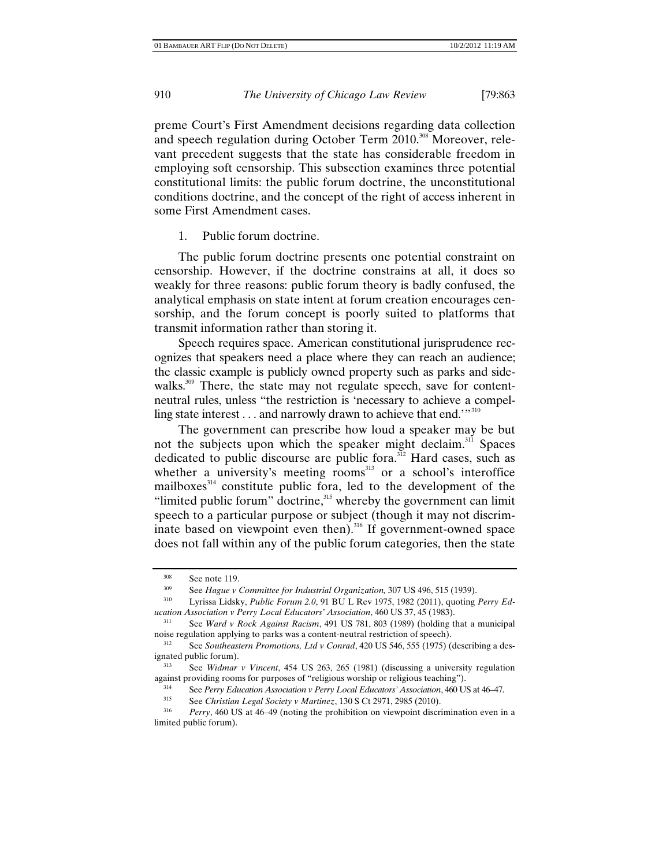preme Court's First Amendment decisions regarding data collection and speech regulation during October Term 2010.<sup>308</sup> Moreover, relevant precedent suggests that the state has considerable freedom in employing soft censorship. This subsection examines three potential constitutional limits: the public forum doctrine, the unconstitutional conditions doctrine, and the concept of the right of access inherent in some First Amendment cases.

1. Public forum doctrine.

The public forum doctrine presents one potential constraint on censorship. However, if the doctrine constrains at all, it does so weakly for three reasons: public forum theory is badly confused, the analytical emphasis on state intent at forum creation encourages censorship, and the forum concept is poorly suited to platforms that transmit information rather than storing it.

Speech requires space. American constitutional jurisprudence recognizes that speakers need a place where they can reach an audience; the classic example is publicly owned property such as parks and sidewalks.<sup>309</sup> There, the state may not regulate speech, save for contentneutral rules, unless "the restriction is 'necessary to achieve a compelling state interest . . . and narrowly drawn to achieve that end.'"<sup>310</sup>

The government can prescribe how loud a speaker may be but not the subjects upon which the speaker might declaim.<sup>311</sup> Spaces dedicated to public discourse are public fora.<sup>312</sup> Hard cases, such as whether a university's meeting rooms $^{313}$  or a school's interoffice mailboxes<sup>314</sup> constitute public fora, led to the development of the "limited public forum" doctrine, $315$  whereby the government can limit speech to a particular purpose or subject (though it may not discriminate based on viewpoint even then).<sup>316</sup> If government-owned space does not fall within any of the public forum categories, then the state

<sup>308</sup> See note 119. 309 See *Hague v Committee for Industrial Organization,* 307 US 496, 515 (1939).

<sup>310</sup> Lyrissa Lidsky, *Public Forum 2.0*, 91 BU L Rev 1975, 1982 (2011), quoting *Perry Education Association v Perry Local Educators' Association*, 460 US 37, 45 (1983).

<sup>311</sup> See *Ward v Rock Against Racism*, 491 US 781, 803 (1989) (holding that a municipal noise regulation applying to parks was a content-neutral restriction of speech).<br><sup>312</sup> See *Southeastern Promotions, Ltd v Conrad*, 420 US 546, 555 (1975) (describing a des-

ignated public forum).<br><sup>313</sup> See *Widmar v Vincent*, 454 US 263, 265 (1981) (discussing a university regulation

against providing rooms for purposes of "religious worship or religious teaching").<br>
See Perry Education Association y Perry Local Educators' Association A60 U

<sup>&</sup>lt;sup>314</sup> See *Perry Education Association v Perry Local Educators' Association*, 460 US at 46–47.<br><sup>315</sup> See *Christian Legal Society v Martinez*, 130 S Ct 2971, 2985 (2010).<br><sup>316</sup> *Perry*, 460 US at 46–49 (noting the prohibi

limited public forum).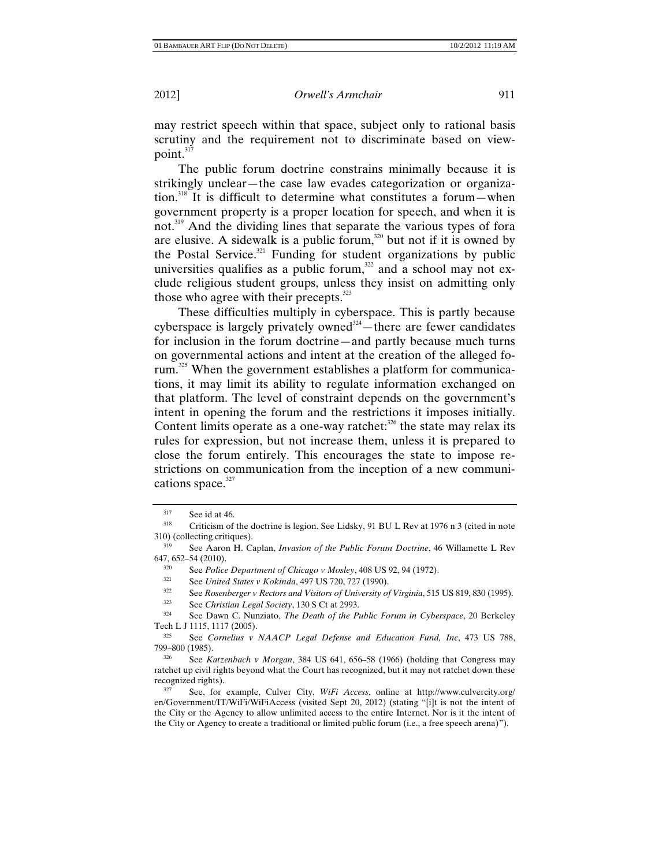may restrict speech within that space, subject only to rational basis scrutiny and the requirement not to discriminate based on viewpoint.<sup>317</sup>

The public forum doctrine constrains minimally because it is strikingly unclear—the case law evades categorization or organization.<sup>318</sup> It is difficult to determine what constitutes a forum—when government property is a proper location for speech, and when it is not.<sup>319</sup> And the dividing lines that separate the various types of fora are elusive. A sidewalk is a public forum, $320$  but not if it is owned by the Postal Service. $321$  Funding for student organizations by public universities qualifies as a public forum, $322$  and a school may not exclude religious student groups, unless they insist on admitting only those who agree with their precepts.<sup>323</sup>

These difficulties multiply in cyberspace. This is partly because cyberspace is largely privately owned<sup>324</sup>—there are fewer candidates for inclusion in the forum doctrine—and partly because much turns on governmental actions and intent at the creation of the alleged forum.<sup>325</sup> When the government establishes a platform for communications, it may limit its ability to regulate information exchanged on that platform. The level of constraint depends on the government's intent in opening the forum and the restrictions it imposes initially. Content limits operate as a one-way ratchet: $326$  the state may relax its rules for expression, but not increase them, unless it is prepared to close the forum entirely. This encourages the state to impose restrictions on communication from the inception of a new communications space. $327$ 

- <sup>322</sup> See *Rosenberger v Rectors and Visitors of University of Virginia*, 515 US 819, 830 (1995).
- 323 See *Christian Legal Society*, 130 S Ct at 2993.

324 See Dawn C. Nunziato, *The Death of the Public Forum in Cyberspace*, 20 Berkeley Tech L J 1115, 1117 (2005).

 $317$  See id at 46.

<sup>&</sup>lt;sup>318</sup> Criticism of the doctrine is legion. See Lidsky, 91 BU L Rev at 1976 n 3 (cited in note 310) (collecting critiques).

<sup>&</sup>lt;sup>319</sup> See Aaron H. Caplan, *Invasion of the Public Forum Doctrine*, 46 Willamette L Rev 647, 652–54 (2010).

<sup>&</sup>lt;sup>320</sup> See *Police Department of Chicago v Mosley*, 408 US 92, 94 (1972).<br><sup>321</sup> See *United States v Kokinda*, 497 US 720, 727 (1990).<br><sup>322</sup> See *Beamhangaa v Besters and Vigitars of University of Vinginia*, 515

<sup>325</sup> See *Cornelius v NAACP Legal Defense and Education Fund, Inc*, 473 US 788,

<sup>&</sup>lt;sup>326</sup> See *Katzenbach v Morgan*, 384 US 641, 656–58 (1966) (holding that Congress may ratchet up civil rights beyond what the Court has recognized, but it may not ratchet down these recognized rights). 327 See, for example, Culver City, *WiFi Access*, online at http://www.culvercity.org/

en/Government/IT/WiFi/WiFiAccess (visited Sept 20, 2012) (stating "[i]t is not the intent of the City or the Agency to allow unlimited access to the entire Internet. Nor is it the intent of the City or Agency to create a traditional or limited public forum (i.e., a free speech arena)").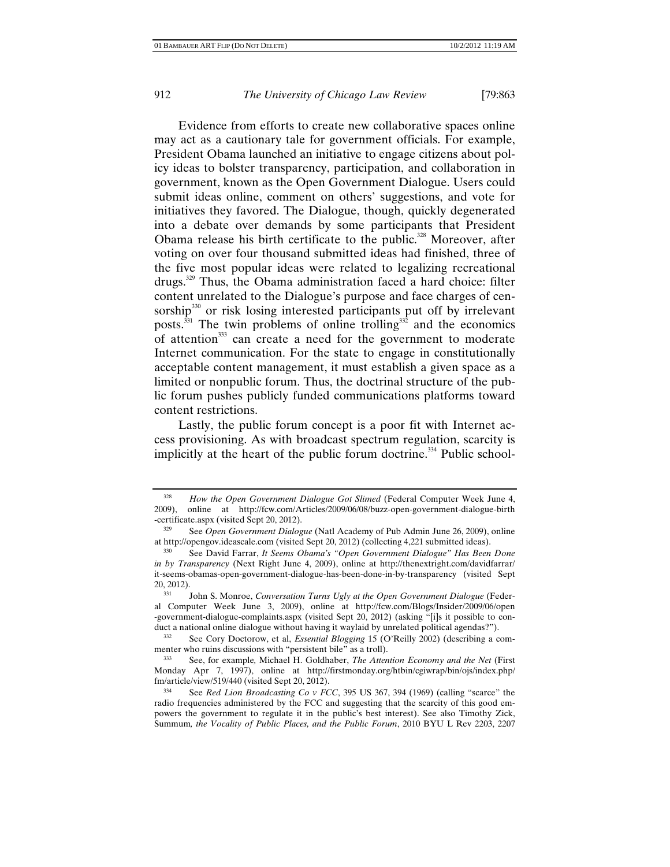Evidence from efforts to create new collaborative spaces online may act as a cautionary tale for government officials. For example, President Obama launched an initiative to engage citizens about policy ideas to bolster transparency, participation, and collaboration in government, known as the Open Government Dialogue. Users could submit ideas online, comment on others' suggestions, and vote for initiatives they favored. The Dialogue, though, quickly degenerated into a debate over demands by some participants that President Obama release his birth certificate to the public.<sup>328</sup> Moreover, after voting on over four thousand submitted ideas had finished, three of the five most popular ideas were related to legalizing recreational drugs.329 Thus, the Obama administration faced a hard choice: filter content unrelated to the Dialogue's purpose and face charges of censorship<sup>330</sup> or risk losing interested participants put off by irrelevant posts.<sup>331</sup> The twin problems of online trolling<sup>332</sup> and the economics of attention $333$  can create a need for the government to moderate Internet communication. For the state to engage in constitutionally acceptable content management, it must establish a given space as a limited or nonpublic forum. Thus, the doctrinal structure of the public forum pushes publicly funded communications platforms toward content restrictions.

Lastly, the public forum concept is a poor fit with Internet access provisioning. As with broadcast spectrum regulation, scarcity is implicitly at the heart of the public forum doctrine.<sup>334</sup> Public school-

<sup>&</sup>lt;sup>328</sup> *How the Open Government Dialogue Got Slimed* (Federal Computer Week June 4, 2009). online at http://fcw.com/Articles/2009/06/08/buzz-open-government-dialogue-birth 2009), online at http://fcw.com/Articles/2009/06/08/buzz-open-government-dialogue-birth -certificate.aspx (visited Sept 20, 2012).

<sup>329</sup> See *Open Government Dialogue* (Natl Academy of Pub Admin June 26, 2009), online

at http://opengov.ideascale.com (visited Sept 20, 2012) (collecting 4,221 submitted ideas). 330 See David Farrar, *It Seems Obama's "Open Government Dialogue" Has Been Done in by Transparency* (Next Right June 4, 2009), online at http://thenextright.com/davidfarrar/ it-seems-obamas-open-government-dialogue-has-been-done-in-by-transparency (visited Sept

<sup>&</sup>lt;sup>331</sup> John S. Monroe, *Conversation Turns Ugly at the Open Government Dialogue* (Federal Computer Week June 3, 2009), online at http://fcw.com/Blogs/Insider/2009/06/open -government-dialogue-complaints.aspx (visited Sept 20, 2012) (asking "[i]s it possible to conduct a national online dialogue without having it waylaid by unrelated political agendas?").<br><sup>332</sup> See Cory Doctorow, et al, *Essential Blogging* 15 (O'Reilly 2002) (describing a com-

menter who ruins discussions with "persistent bile" as a troll).

<sup>333</sup> See, for example*,* Michael H. Goldhaber, *The Attention Economy and the Net* (First Monday Apr 7, 1997), online at http://firstmonday.org/htbin/cgiwrap/bin/ojs/index.php/ fm/article/view/519/440 (visited Sept 20, 2012). 334 See *Red Lion Broadcasting Co v FCC*, 395 US 367, 394 (1969) (calling "scarce" the

radio frequencies administered by the FCC and suggesting that the scarcity of this good empowers the government to regulate it in the public's best interest). See also Timothy Zick, Summum*, the Vocality of Public Places, and the Public Forum*, 2010 BYU L Rev 2203, 2207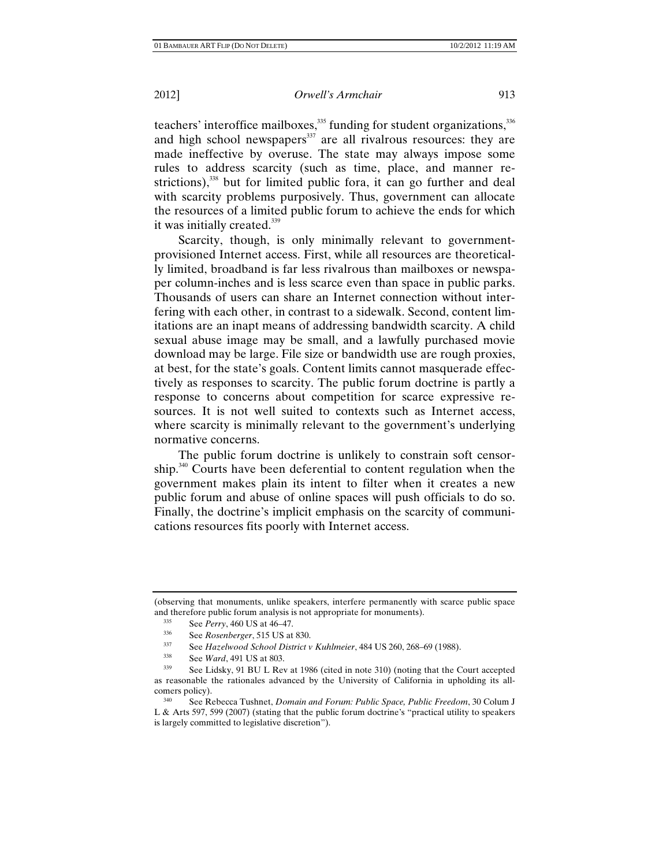teachers' interoffice mailboxes, $335$  funding for student organizations, $336$ and high school newspapers<sup>337</sup> are all rivalrous resources: they are made ineffective by overuse. The state may always impose some rules to address scarcity (such as time, place, and manner restrictions), $338$  but for limited public fora, it can go further and deal with scarcity problems purposively. Thus, government can allocate the resources of a limited public forum to achieve the ends for which it was initially created.<sup>339</sup>

Scarcity, though, is only minimally relevant to governmentprovisioned Internet access. First, while all resources are theoretically limited, broadband is far less rivalrous than mailboxes or newspaper column-inches and is less scarce even than space in public parks. Thousands of users can share an Internet connection without interfering with each other, in contrast to a sidewalk. Second, content limitations are an inapt means of addressing bandwidth scarcity. A child sexual abuse image may be small, and a lawfully purchased movie download may be large. File size or bandwidth use are rough proxies, at best, for the state's goals. Content limits cannot masquerade effectively as responses to scarcity. The public forum doctrine is partly a response to concerns about competition for scarce expressive resources. It is not well suited to contexts such as Internet access, where scarcity is minimally relevant to the government's underlying normative concerns.

The public forum doctrine is unlikely to constrain soft censorship.<sup>340</sup> Courts have been deferential to content regulation when the government makes plain its intent to filter when it creates a new public forum and abuse of online spaces will push officials to do so. Finally, the doctrine's implicit emphasis on the scarcity of communications resources fits poorly with Internet access.

<sup>(</sup>observing that monuments, unlike speakers, interfere permanently with scarce public space and therefore public forum analysis is not appropriate for monuments).<br><sup>335</sup> See *Perry*, 460 US at 46–47.<br><sup>336</sup> See *Rosenberger*, 515 US at 830.<br><sup>337</sup> See *Haralynged* School District y Kublingiar, 484 US 260, 268

<sup>337</sup> See *Hazelwood School District v Kuhlmeier*, 484 US 260, 268–69 (1988). 338 See *Ward*, 491 US at 803.

See Lidsky, 91 BU L Rev at 1986 (cited in note 310) (noting that the Court accepted as reasonable the rationales advanced by the University of California in upholding its allcomers policy). 340 See Rebecca Tushnet, *Domain and Forum: Public Space, Public Freedom*, 30 Colum J

L & Arts 597, 599 (2007) (stating that the public forum doctrine's "practical utility to speakers is largely committed to legislative discretion").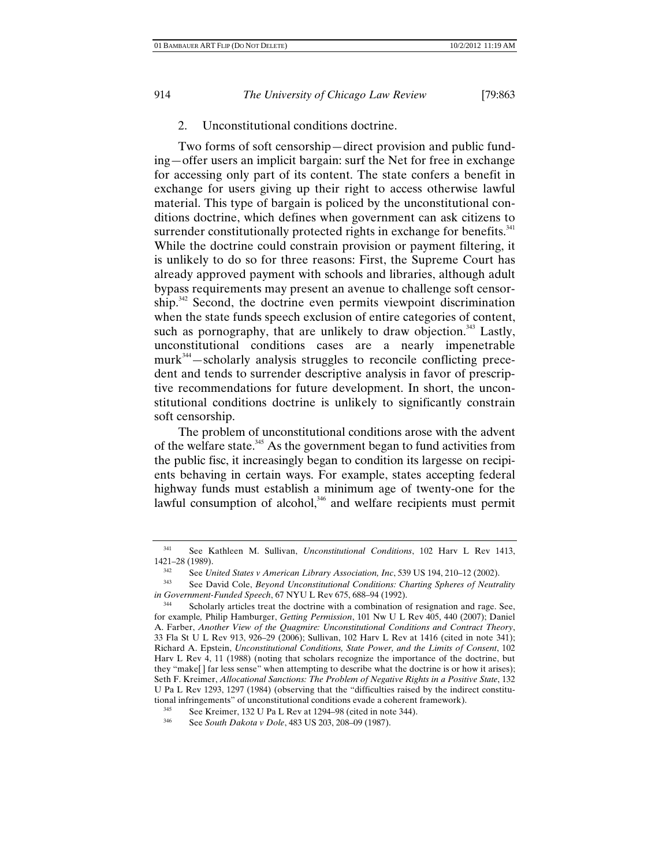2. Unconstitutional conditions doctrine.

Two forms of soft censorship—direct provision and public funding—offer users an implicit bargain: surf the Net for free in exchange for accessing only part of its content. The state confers a benefit in exchange for users giving up their right to access otherwise lawful material. This type of bargain is policed by the unconstitutional conditions doctrine, which defines when government can ask citizens to surrender constitutionally protected rights in exchange for benefits. $341$ While the doctrine could constrain provision or payment filtering, it is unlikely to do so for three reasons: First, the Supreme Court has already approved payment with schools and libraries, although adult bypass requirements may present an avenue to challenge soft censorship.<sup>342</sup> Second, the doctrine even permits viewpoint discrimination when the state funds speech exclusion of entire categories of content, such as pornography, that are unlikely to draw objection.<sup>343</sup> Lastly, unconstitutional conditions cases are a nearly impenetrable  $murt<sup>344</sup> -scholarly analysis$  struggles to reconcile conflicting precedent and tends to surrender descriptive analysis in favor of prescriptive recommendations for future development. In short, the unconstitutional conditions doctrine is unlikely to significantly constrain soft censorship.

The problem of unconstitutional conditions arose with the advent of the welfare state.<sup>345</sup> As the government began to fund activities from the public fisc, it increasingly began to condition its largesse on recipients behaving in certain ways. For example, states accepting federal highway funds must establish a minimum age of twenty-one for the lawful consumption of alcohol, $346$  and welfare recipients must permit

<sup>341</sup> See Kathleen M. Sullivan, *Unconstitutional Conditions*, 102 Harv L Rev 1413, 1421–28 (1989).

<sup>&</sup>lt;sup>342</sup> See *United States v American Library Association, Inc.* 539 US 194, 210–12 (2002).<br><sup>343</sup> See David Cole, *Beyond Unconstitutional Conditions: Charting Spheres of Neutrality in Government-Funded Speech*, 67 NYU L Rev 675, 688–94 (1992).

<sup>&</sup>lt;sup>344</sup> Scholarly articles treat the doctrine with a combination of resignation and rage. See, for example*,* Philip Hamburger, *Getting Permission*, 101 Nw U L Rev 405, 440 (2007); Daniel A. Farber, *Another View of the Quagmire: Unconstitutional Conditions and Contract Theory*, 33 Fla St U L Rev 913, 926–29 (2006); Sullivan, 102 Harv L Rev at 1416 (cited in note 341); Richard A. Epstein, *Unconstitutional Conditions, State Power, and the Limits of Consent*, 102 Harv L Rev 4, 11 (1988) (noting that scholars recognize the importance of the doctrine, but they "make[] far less sense" when attempting to describe what the doctrine is or how it arises); Seth F. Kreimer, *Allocational Sanctions: The Problem of Negative Rights in a Positive State*, 132 U Pa L Rev 1293, 1297 (1984) (observing that the "difficulties raised by the indirect constitutional infringements" of unconstitutional conditions evade a coherent framework).

<sup>345</sup> See Kreimer, 132 U Pa L Rev at 1294–98 (cited in note 344).<br> $346$  See South Dalasta u Dala 482 US 202, 208, 00 (1097).

See *South Dakota v Dole*, 483 US 203, 208-09 (1987).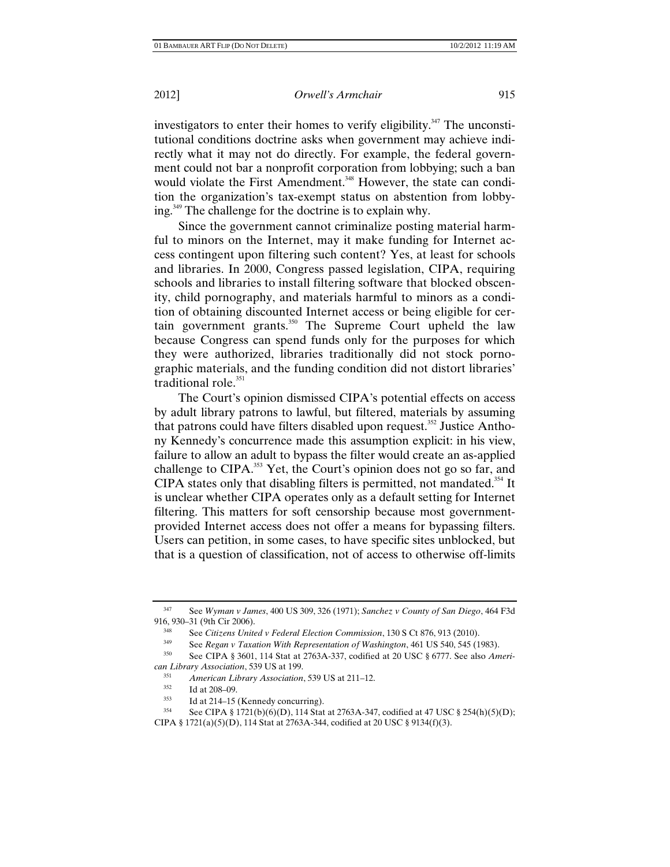investigators to enter their homes to verify eligibility.<sup>347</sup> The unconstitutional conditions doctrine asks when government may achieve indirectly what it may not do directly. For example, the federal government could not bar a nonprofit corporation from lobbying; such a ban would violate the First Amendment.<sup>348</sup> However, the state can condition the organization's tax-exempt status on abstention from lobbying.<sup>349</sup> The challenge for the doctrine is to explain why.

Since the government cannot criminalize posting material harmful to minors on the Internet, may it make funding for Internet access contingent upon filtering such content? Yes, at least for schools and libraries. In 2000, Congress passed legislation, CIPA, requiring schools and libraries to install filtering software that blocked obscenity, child pornography, and materials harmful to minors as a condition of obtaining discounted Internet access or being eligible for certain government grants.350 The Supreme Court upheld the law because Congress can spend funds only for the purposes for which they were authorized, libraries traditionally did not stock pornographic materials, and the funding condition did not distort libraries' traditional role. $351$ 

The Court's opinion dismissed CIPA's potential effects on access by adult library patrons to lawful, but filtered, materials by assuming that patrons could have filters disabled upon request.<sup>352</sup> Justice Anthony Kennedy's concurrence made this assumption explicit: in his view, failure to allow an adult to bypass the filter would create an as-applied challenge to CIPA.<sup>353</sup> Yet, the Court's opinion does not go so far, and CIPA states only that disabling filters is permitted, not mandated.<sup>354</sup> It is unclear whether CIPA operates only as a default setting for Internet filtering. This matters for soft censorship because most governmentprovided Internet access does not offer a means for bypassing filters. Users can petition, in some cases, to have specific sites unblocked, but that is a question of classification, not of access to otherwise off-limits

<sup>347</sup> See *Wyman v James*, 400 US 309, 326 (1971); *Sanchez v County of San Diego*, 464 F3d 916, 930–31 (9th Cir 2006).

<sup>348</sup> See *Citizens United v Federal Election Commission*, 130 S Ct 876, 913 (2010).

<sup>349</sup> See *Regan v Taxation With Representation of Washington*, 461 US 540, 545 (1983). 350 See CIPA § 3601, 114 Stat at 2763A-337, codified at 20 USC § 6777. See also *Ameri-*

*can Library Association*, 539 US at 199.<br><sup>351</sup> *American Library Association*, 539 US at 211–12.<br><sup>352</sup> Id at 208–09

 $\frac{352}{353}$  Id at 208–09.

<sup>353</sup> Id at 214–15 (Kennedy concurring).<br>354 See CIPA § 1721(b)(6)(D), 114 Stat at 2763A-347, codified at 47 USC § 254(h)(5)(D); CIPA § 1721(a)(5)(D), 114 Stat at 2763A-344, codified at 20 USC § 9134(f)(3).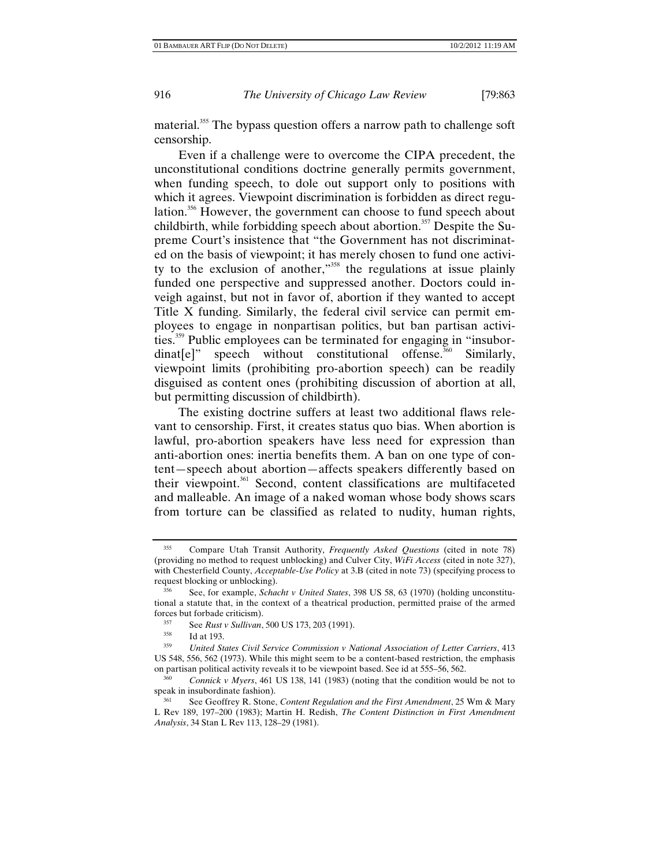material.<sup>355</sup> The bypass question offers a narrow path to challenge soft censorship.

Even if a challenge were to overcome the CIPA precedent, the unconstitutional conditions doctrine generally permits government, when funding speech, to dole out support only to positions with which it agrees. Viewpoint discrimination is forbidden as direct regulation.<sup>356</sup> However, the government can choose to fund speech about childbirth, while forbidding speech about abortion.<sup>357</sup> Despite the Supreme Court's insistence that "the Government has not discriminated on the basis of viewpoint; it has merely chosen to fund one activity to the exclusion of another, $1^{358}$  the regulations at issue plainly funded one perspective and suppressed another. Doctors could inveigh against, but not in favor of, abortion if they wanted to accept Title X funding. Similarly, the federal civil service can permit employees to engage in nonpartisan politics, but ban partisan activities.359 Public employees can be terminated for engaging in "insubor $dina[t]$ " speech without constitutional offense.<sup>360</sup> Similarly, viewpoint limits (prohibiting pro-abortion speech) can be readily disguised as content ones (prohibiting discussion of abortion at all, but permitting discussion of childbirth).

The existing doctrine suffers at least two additional flaws relevant to censorship. First, it creates status quo bias. When abortion is lawful, pro-abortion speakers have less need for expression than anti-abortion ones: inertia benefits them. A ban on one type of content—speech about abortion—affects speakers differently based on their viewpoint.<sup>361</sup> Second, content classifications are multifaceted and malleable. An image of a naked woman whose body shows scars from torture can be classified as related to nudity, human rights,

<sup>355</sup> Compare Utah Transit Authority, *Frequently Asked Questions* (cited in note 78) (providing no method to request unblocking) and Culver City, *WiFi Access* (cited in note 327), with Chesterfield County, *Acceptable-Use Policy* at 3.B (cited in note 73) (specifying process to request blocking or unblocking). 356 See, for example, *Schacht v United States*, 398 US 58, 63 (1970) (holding unconstitu-

tional a statute that, in the context of a theatrical production, permitted praise of the armed forces but forbade criticism). 357 See *Rust v Sullivan*, 500 US 173, 203 (1991).

<sup>&</sup>lt;sup>358</sup> Id at 193.<br><sup>359</sup> *United States Civil Service Commission v National Association of Letter Carriers*, 413 US 548, 556, 562 (1973). While this might seem to be a content-based restriction, the emphasis on partisan political activity reveals it to be viewpoint based. See id at 555–56, 562.

<sup>360</sup> *Connick v Myers*, 461 US 138, 141 (1983) (noting that the condition would be not to speak in insubordinate fashion).

<sup>361</sup> See Geoffrey R. Stone, *Content Regulation and the First Amendment*, 25 Wm & Mary L Rev 189, 197–200 (1983); Martin H. Redish, *The Content Distinction in First Amendment Analysis*, 34 Stan L Rev 113, 128–29 (1981).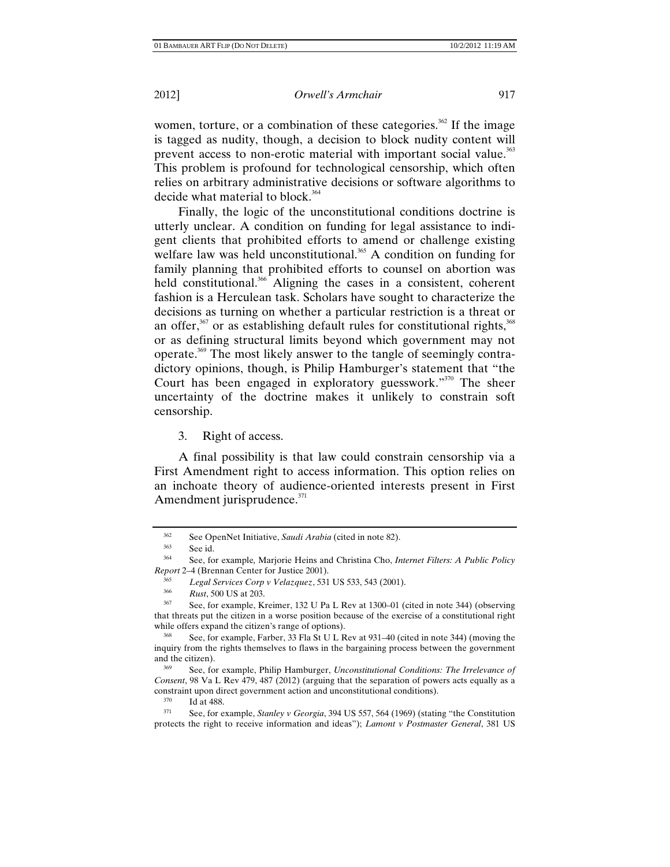women, torture, or a combination of these categories.<sup>362</sup> If the image is tagged as nudity, though, a decision to block nudity content will prevent access to non-erotic material with important social value.<sup>363</sup> This problem is profound for technological censorship, which often relies on arbitrary administrative decisions or software algorithms to decide what material to block.<sup>364</sup>

Finally, the logic of the unconstitutional conditions doctrine is utterly unclear. A condition on funding for legal assistance to indigent clients that prohibited efforts to amend or challenge existing welfare law was held unconstitutional.<sup>365</sup> A condition on funding for family planning that prohibited efforts to counsel on abortion was held constitutional.<sup>366</sup> Aligning the cases in a consistent, coherent fashion is a Herculean task. Scholars have sought to characterize the decisions as turning on whether a particular restriction is a threat or an offer, $367$  or as establishing default rules for constitutional rights,  $368$ or as defining structural limits beyond which government may not operate.369 The most likely answer to the tangle of seemingly contradictory opinions, though, is Philip Hamburger's statement that "the Court has been engaged in exploratory guesswork."<sup>370</sup> The sheer uncertainty of the doctrine makes it unlikely to constrain soft censorship.

3. Right of access.

A final possibility is that law could constrain censorship via a First Amendment right to access information. This option relies on an inchoate theory of audience-oriented interests present in First Amendment jurisprudence.<sup>371</sup>

<sup>&</sup>lt;sup>362</sup> See OpenNet Initiative, *Saudi Arabia* (cited in note 82).<br><sup>363</sup> See id.<br><sup>364</sup> See for avample Mariaria Heina and Christine Charles

<sup>364</sup> See, for example*,* Marjorie Heins and Christina Cho, *Internet Filters: A Public Policy Report* 2–4 (Brennan Center for Justice 2001).

<sup>365</sup>*Legal Services Corp v Velazquez*, 531 US 533, 543 (2001). 366 *Rust*, 500 US at 203.

See, for example, Kreimer, 132 U Pa L Rev at 1300–01 (cited in note 344) (observing that threats put the citizen in a worse position because of the exercise of a constitutional right while offers expand the citizen's range of options).<br><sup>368</sup> See, for example, Farber, 33 Fla St U L Rev at 931–40 (cited in note 344) (moving the

inquiry from the rights themselves to flaws in the bargaining process between the government and the citizen).<br><sup>369</sup> See, for example, Philip Hamburger, *Unconstitutional Conditions: The Irrelevance of* 

*Consent*, 98 Va L Rev 479, 487 (2012) (arguing that the separation of powers acts equally as a constraint upon direct government action and unconstitutional conditions).<br><sup>370</sup> Id at 488.<br><sup>371</sup> See, for example, *Stanley v Georgia*, 394 US 557, 564 (1969) (stating "the Constitution

protects the right to receive information and ideas"); *Lamont v Postmaster General*, 381 US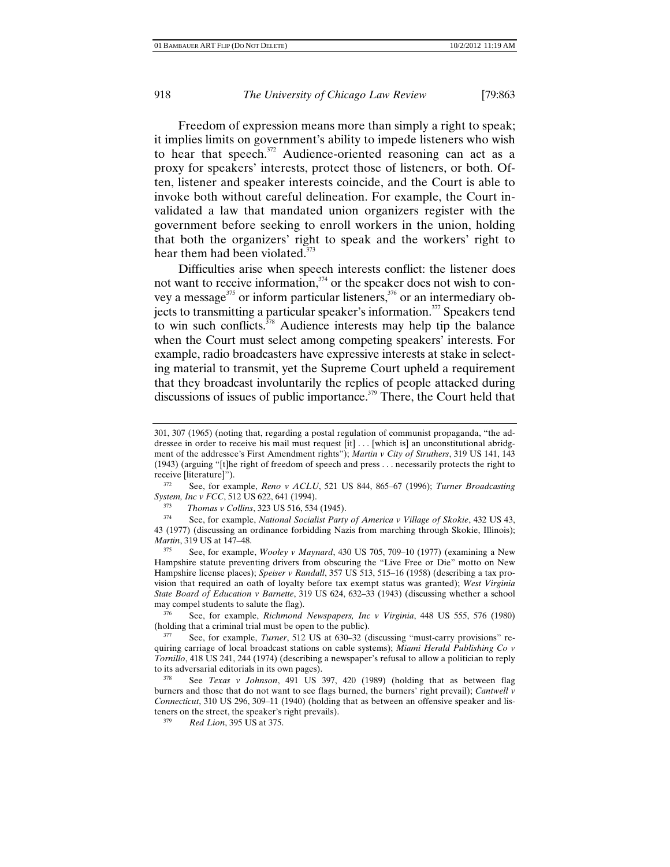Freedom of expression means more than simply a right to speak; it implies limits on government's ability to impede listeners who wish to hear that speech. $372$  Audience-oriented reasoning can act as a proxy for speakers' interests, protect those of listeners, or both. Often, listener and speaker interests coincide, and the Court is able to invoke both without careful delineation. For example, the Court invalidated a law that mandated union organizers register with the government before seeking to enroll workers in the union, holding that both the organizers' right to speak and the workers' right to hear them had been violated.<sup>373</sup>

Difficulties arise when speech interests conflict: the listener does not want to receive information,<sup>374</sup> or the speaker does not wish to convey a message<sup>375</sup> or inform particular listeners,<sup>376</sup> or an intermediary objects to transmitting a particular speaker's information.<sup>377</sup> Speakers tend to win such conflicts. $\frac{378}{100}$  Audience interests may help tip the balance when the Court must select among competing speakers' interests. For example, radio broadcasters have expressive interests at stake in selecting material to transmit, yet the Supreme Court upheld a requirement that they broadcast involuntarily the replies of people attacked during discussions of issues of public importance.<sup>379</sup> There, the Court held that

374 See, for example, *National Socialist Party of America v Village of Skokie*, 432 US 43, 43 (1977) (discussing an ordinance forbidding Nazis from marching through Skokie, Illinois); *Martin*, 319 US at 147-48.

<sup>375</sup> See, for example, *Wooley v Maynard*, 430 US 705, 709–10 (1977) (examining a New Hampshire statute preventing drivers from obscuring the "Live Free or Die" motto on New Hampshire license places); *Speiser v Randall*, 357 US 513, 515–16 (1958) (describing a tax provision that required an oath of loyalty before tax exempt status was granted); *West Virginia State Board of Education v Barnette*, 319 US 624, 632–33 (1943) (discussing whether a school may compel students to salute the flag).

376 See, for example, *Richmond Newspapers, Inc v Virginia*, 448 US 555, 576 (1980) (holding that a criminal trial must be open to the public). 377 See, for example, *Turner*, 512 US at 630–32 (discussing "must-carry provisions" re-

378 See *Texas v Johnson*, 491 US 397, 420 (1989) (holding that as between flag burners and those that do not want to see flags burned, the burners' right prevail); *Cantwell v Connecticut*, 310 US 296, 309–11 (1940) (holding that as between an offensive speaker and listeners on the street, the speaker's right prevails).<br> $\frac{379}{275}$  Red Lion 205 US at 275

<sup>301, 307 (1965) (</sup>noting that, regarding a postal regulation of communist propaganda, "the addressee in order to receive his mail must request [it] . . . [which is] an unconstitutional abridgment of the addressee's First Amendment rights"); *Martin v City of Struthers*, 319 US 141, 143 (1943) (arguing "[t]he right of freedom of speech and press . . . necessarily protects the right to receive [literature]").

<sup>372</sup> See, for example, *Reno v ACLU*, 521 US 844, 865–67 (1996); *Turner Broadcasting System, Inc v FCC*, 512 US 622, 641 (1994).<br><sup>373</sup> *Thomas v Collins*, 323 US 516, 534 (1945).<br><sup>374</sup> See for symmele Mational Secielist Barti

quiring carriage of local broadcast stations on cable systems); *Miami Herald Publishing Co v Tornillo*, 418 US 241, 244 (1974) (describing a newspaper's refusal to allow a politician to reply to its adversarial editorials in its own pages).

<sup>379</sup> *Red Lion*, 395 US at 375.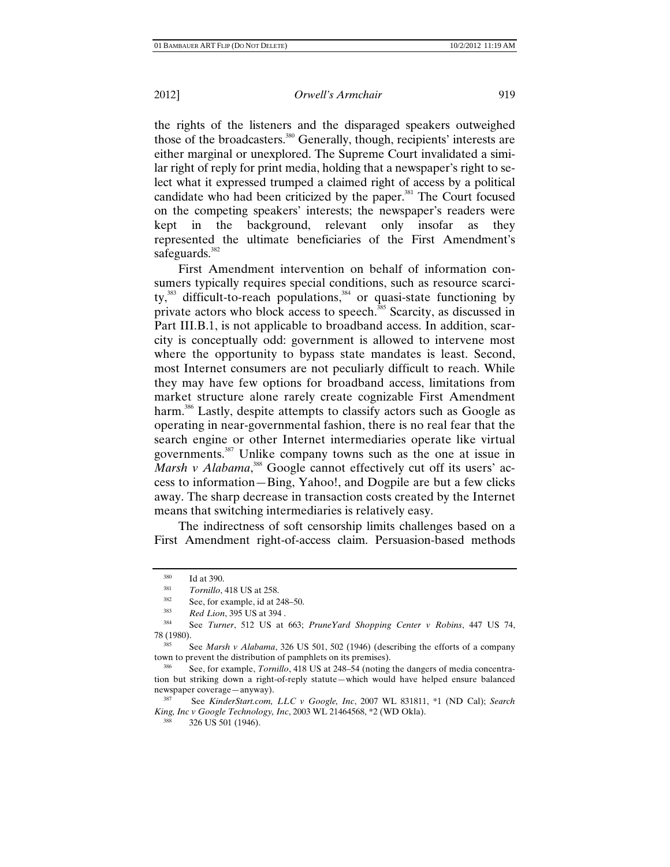the rights of the listeners and the disparaged speakers outweighed those of the broadcasters.<sup>380</sup> Generally, though, recipients' interests are either marginal or unexplored. The Supreme Court invalidated a similar right of reply for print media, holding that a newspaper's right to select what it expressed trumped a claimed right of access by a political candidate who had been criticized by the paper.<sup>381</sup> The Court focused on the competing speakers' interests; the newspaper's readers were kept in the background, relevant only insofar as they represented the ultimate beneficiaries of the First Amendment's safeguards.<sup>382</sup>

First Amendment intervention on behalf of information consumers typically requires special conditions, such as resource scarcity, $383$  difficult-to-reach populations, $384$  or quasi-state functioning by private actors who block access to speech. $385$  Scarcity, as discussed in Part III.B.1, is not applicable to broadband access. In addition, scarcity is conceptually odd: government is allowed to intervene most where the opportunity to bypass state mandates is least. Second, most Internet consumers are not peculiarly difficult to reach. While they may have few options for broadband access, limitations from market structure alone rarely create cognizable First Amendment harm.<sup>386</sup> Lastly, despite attempts to classify actors such as Google as operating in near-governmental fashion, there is no real fear that the search engine or other Internet intermediaries operate like virtual governments.387 Unlike company towns such as the one at issue in Marsh v Alabama,<sup>388</sup> Google cannot effectively cut off its users' access to information—Bing, Yahoo!, and Dogpile are but a few clicks away. The sharp decrease in transaction costs created by the Internet means that switching intermediaries is relatively easy.

The indirectness of soft censorship limits challenges based on a First Amendment right-of-access claim. Persuasion-based methods

<sup>&</sup>lt;sup>380</sup> Id at 390.<br> *Tornillo*, 418 US at 258.<br>
<sup>382</sup> See, for example, id at 248–50.<br> *Red Lion*, 395 US at 394.

<sup>384</sup> See *Turner*, 512 US at 663; *PruneYard Shopping Center v Robins*, 447 US 74, 78 (1980). 385 See *Marsh v Alabama*, 326 US 501, 502 (1946) (describing the efforts of a company

town to prevent the distribution of pamphlets on its premises).<br><sup>386</sup> See, for example, *Tornillo*, 418 US at 248–54 (noting the dangers of media concentra-

tion but striking down a right-of-reply statute—which would have helped ensure balanced newspaper coverage—anyway). <br><sup>387</sup> See *KinderStart.com, LLC v Google, Inc.* 2007 WL 831811, \*1 (ND Cal); *Search* 

*King, Inc v Google Technology, Inc*, 2003 WL 21464568, \*2 (WD Okla). 388 326 US 501 (1946).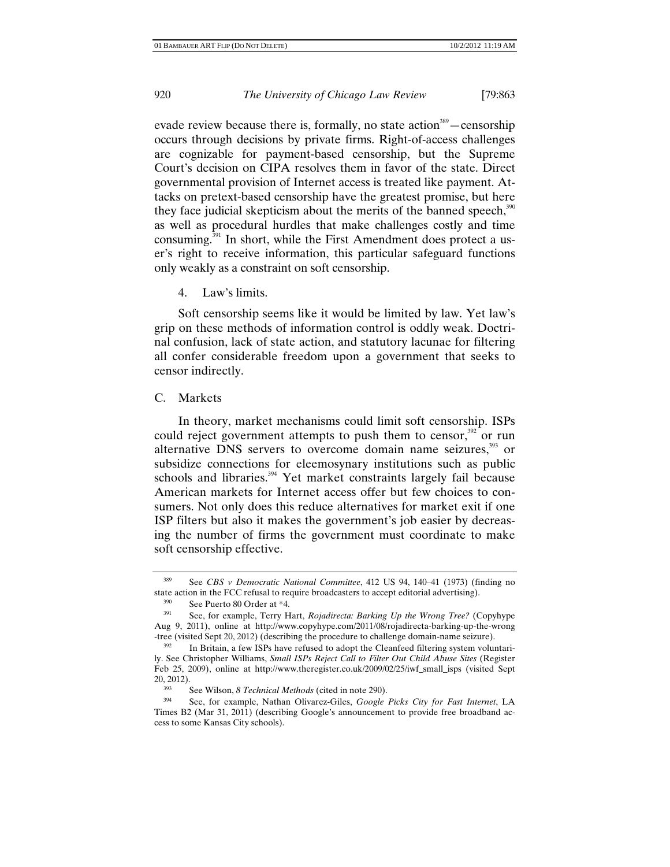evade review because there is, formally, no state action<sup>389</sup> — censorship occurs through decisions by private firms. Right-of-access challenges are cognizable for payment-based censorship, but the Supreme Court's decision on CIPA resolves them in favor of the state. Direct governmental provision of Internet access is treated like payment. Attacks on pretext-based censorship have the greatest promise, but here they face judicial skepticism about the merits of the banned speech, $390$ as well as procedural hurdles that make challenges costly and time consuming.<sup>391</sup> In short, while the First Amendment does protect a user's right to receive information, this particular safeguard functions only weakly as a constraint on soft censorship.

4. Law's limits.

Soft censorship seems like it would be limited by law. Yet law's grip on these methods of information control is oddly weak. Doctrinal confusion, lack of state action, and statutory lacunae for filtering all confer considerable freedom upon a government that seeks to censor indirectly.

#### C. Markets

In theory, market mechanisms could limit soft censorship. ISPs could reject government attempts to push them to censor, $392$  or run alternative DNS servers to overcome domain name seizures, $393$  or subsidize connections for eleemosynary institutions such as public schools and libraries.<sup>394</sup> Yet market constraints largely fail because American markets for Internet access offer but few choices to consumers. Not only does this reduce alternatives for market exit if one ISP filters but also it makes the government's job easier by decreasing the number of firms the government must coordinate to make soft censorship effective.

<sup>389</sup> See *CBS v Democratic National Committee*, 412 US 94, 140–41 (1973) (finding no state action in the FCC refusal to require broadcasters to accept editorial advertising).<br><sup>390</sup> See Puerto 80 Order at \*4.<br><sup>391</sup> See for example Terry Hert, *Poindirecty, Parking Un the Wrong Tree?* (C

<sup>391</sup> See, for example, Terry Hart, *Rojadirecta: Barking Up the Wrong Tree?* (Copyhype Aug 9, 2011), online at http://www.copyhype.com/2011/08/rojadirecta-barking-up-the-wrong -tree (visited Sept 20, 2012) (describing the procedure to challenge domain-name seizure). 392 In Britain, a few ISPs have refused to adopt the Cleanfeed filtering system voluntari-

ly. See Christopher Williams, *Small ISPs Reject Call to Filter Out Child Abuse Sites* (Register Feb 25, 2009), online at http://www.theregister.co.uk/2009/02/25/iwf\_small\_isps (visited Sept 20, 2012).

<sup>393</sup> See Wilson, *8 Technical Methods* (cited in note 290). 394 See, for example, Nathan Olivarez-Giles, *Google Picks City for Fast Internet*, LA Times B2 (Mar 31, 2011) (describing Google's announcement to provide free broadband access to some Kansas City schools).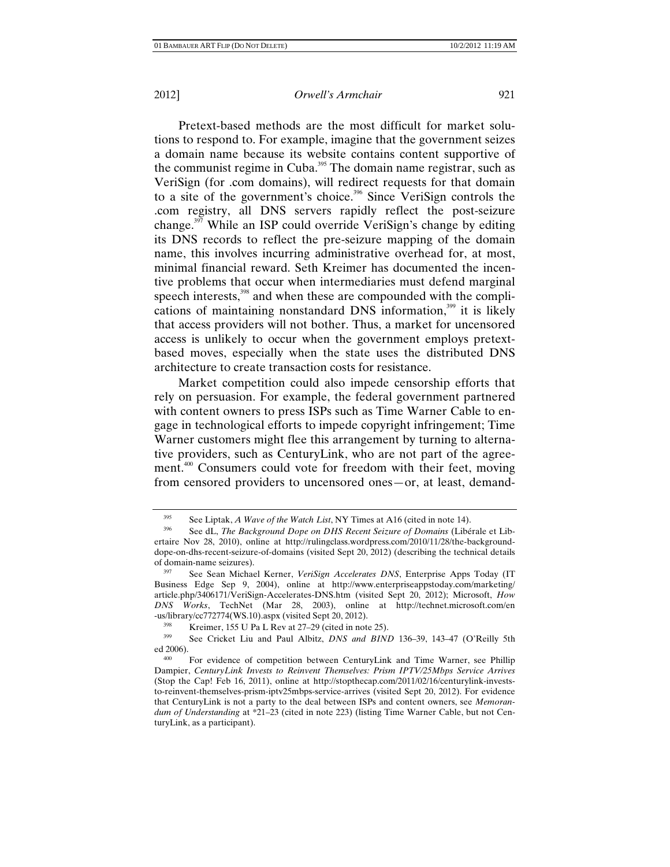Pretext-based methods are the most difficult for market solutions to respond to. For example, imagine that the government seizes a domain name because its website contains content supportive of the communist regime in Cuba.<sup>395</sup> The domain name registrar, such as VeriSign (for .com domains), will redirect requests for that domain to a site of the government's choice.<sup>396</sup> Since VeriSign controls the .com registry, all DNS servers rapidly reflect the post-seizure change.<sup>397</sup> While an ISP could override VeriSign's change by editing its DNS records to reflect the pre-seizure mapping of the domain name, this involves incurring administrative overhead for, at most, minimal financial reward. Seth Kreimer has documented the incentive problems that occur when intermediaries must defend marginal speech interests,<sup>398</sup> and when these are compounded with the complications of maintaining nonstandard DNS information, $399$  it is likely that access providers will not bother. Thus, a market for uncensored access is unlikely to occur when the government employs pretextbased moves, especially when the state uses the distributed DNS architecture to create transaction costs for resistance.

Market competition could also impede censorship efforts that rely on persuasion. For example, the federal government partnered with content owners to press ISPs such as Time Warner Cable to engage in technological efforts to impede copyright infringement; Time Warner customers might flee this arrangement by turning to alternative providers, such as CenturyLink, who are not part of the agreement.<sup>400</sup> Consumers could vote for freedom with their feet, moving from censored providers to uncensored ones—or, at least, demand-

<sup>&</sup>lt;sup>395</sup> See Liptak, *A Wave of the Watch List*, NY Times at A16 (cited in note 14).

<sup>396</sup> See dL, *The Background Dope on DHS Recent Seizure of Domains* (Libérale et Libertaire Nov 28, 2010), online at http://rulingclass.wordpress.com/2010/11/28/the-backgrounddope-on-dhs-recent-seizure-of-domains (visited Sept 20, 2012) (describing the technical details of domain-name seizures).<br><sup>397</sup> See Sean Michael Kerner, *VeriSign Accelerates DNS*, Enterprise Apps Today (IT

Business Edge Sep 9, 2004), online at http://www.enterpriseappstoday.com/marketing/ article.php/3406171/VeriSign-Accelerates-DNS.htm (visited Sept 20, 2012); Microsoft, *How DNS Works*, TechNet (Mar 28, 2003), online at http://technet.microsoft.com/en -us/library/cc772774(WS.10).aspx (visited Sept 20, 2012).<br><sup>398</sup> Kreimer, 155 U Pa L Rev at 27–29 (cited in note 25).<br><sup>399</sup> See Cricket Liu and Paul Alkita, DNS and PMM

<sup>&</sup>lt;sup>399</sup> See Cricket Liu and Paul Albitz, *DNS and BIND* 136–39, 143–47 (O'Reilly 5th ed 2006).

<sup>&</sup>lt;sup>400</sup> For evidence of competition between CenturyLink and Time Warner, see Phillip Dampier, *CenturyLink Invests to Reinvent Themselves: Prism IPTV/25Mbps Service Arrives* (Stop the Cap! Feb 16, 2011), online at http://stopthecap.com/2011/02/16/centurylink-investsto-reinvent-themselves-prism-iptv25mbps-service-arrives (visited Sept 20, 2012). For evidence that CenturyLink is not a party to the deal between ISPs and content owners, see *Memorandum of Understanding* at \*21–23 (cited in note 223) (listing Time Warner Cable, but not CenturyLink, as a participant).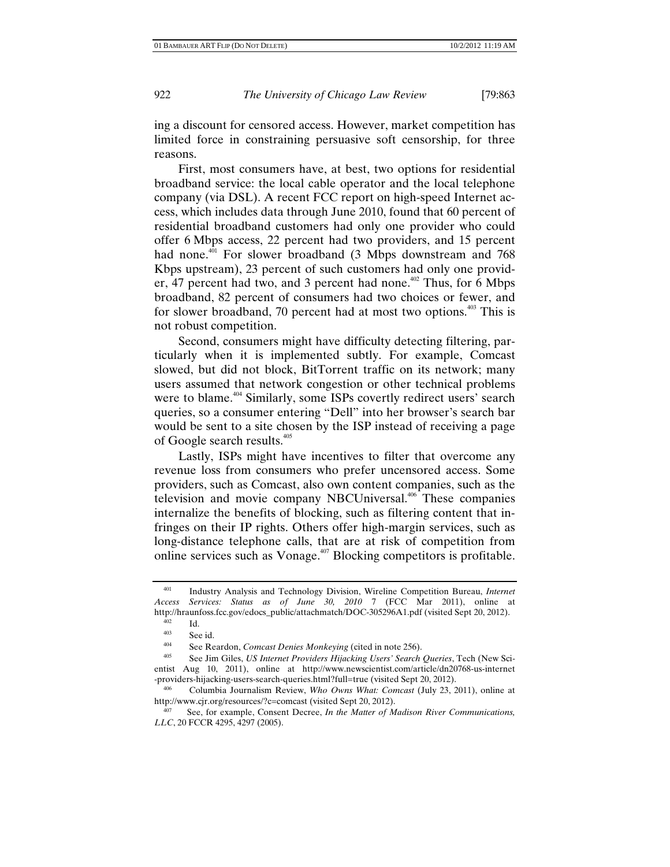ing a discount for censored access. However, market competition has limited force in constraining persuasive soft censorship, for three reasons.

First, most consumers have, at best, two options for residential broadband service: the local cable operator and the local telephone company (via DSL). A recent FCC report on high-speed Internet access, which includes data through June 2010, found that 60 percent of residential broadband customers had only one provider who could offer 6 Mbps access, 22 percent had two providers, and 15 percent had none.<sup>401</sup> For slower broadband (3 Mbps downstream and 768 Kbps upstream), 23 percent of such customers had only one provider, 47 percent had two, and 3 percent had none.<sup>402</sup> Thus, for  $6$  Mbps broadband, 82 percent of consumers had two choices or fewer, and for slower broadband, 70 percent had at most two options.<sup>403</sup> This is not robust competition.

Second, consumers might have difficulty detecting filtering, particularly when it is implemented subtly. For example, Comcast slowed, but did not block, BitTorrent traffic on its network; many users assumed that network congestion or other technical problems were to blame.<sup>404</sup> Similarly, some ISPs covertly redirect users' search queries, so a consumer entering "Dell" into her browser's search bar would be sent to a site chosen by the ISP instead of receiving a page of Google search results.<sup>405</sup>

Lastly, ISPs might have incentives to filter that overcome any revenue loss from consumers who prefer uncensored access. Some providers, such as Comcast, also own content companies, such as the television and movie company NBCUniversal.<sup>406</sup> These companies internalize the benefits of blocking, such as filtering content that infringes on their IP rights. Others offer high-margin services, such as long-distance telephone calls, that are at risk of competition from online services such as Vonage.407 Blocking competitors is profitable.

<sup>401</sup> Industry Analysis and Technology Division, Wireline Competition Bureau, *Internet Access Services: Status as of June 30, 2010* 7 (FCC Mar 2011), online at http://hraunfoss.fcc.gov/edocs\_public/attachmatch/DOC-305296A1.pdf (visited Sept 20, 2012).

 $^{402}$  Id.<br>  $^{403}$  Sec

 $\frac{403}{404}$  See id.

<sup>&</sup>lt;sup>404</sup> See Reardon, *Comcast Denies Monkeying* (cited in note 256).<br><sup>405</sup> See Jim Giles, *US Internet Providers Hijacking Users' Search Queries*, Tech (New Scientist Aug 10, 2011), online at http://www.newscientist.com/article/dn20768-us-internet -providers-hijacking-users-search-queries.html?full=true (visited Sept 20, 2012).

<sup>&</sup>lt;sup>406</sup> Columbia Journalism Review, *Who Owns What: Comcast* (July 23, 2011), online at http://www.cjr.org/resources/?c=comcast (visited Sept 20, 2012).

<sup>407</sup> See, for example, Consent Decree, *In the Matter of Madison River Communications, LLC*, 20 FCCR 4295, 4297 (2005).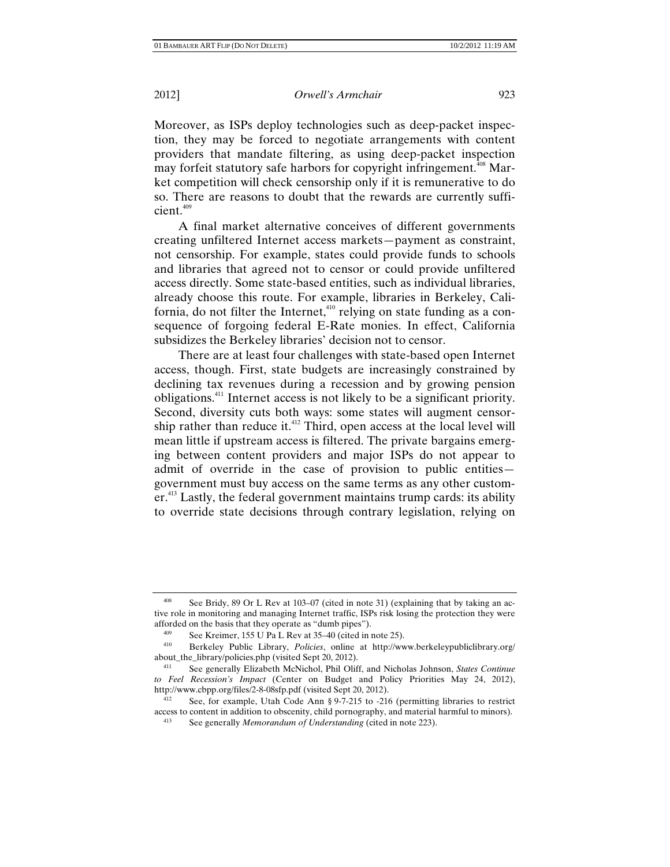Moreover, as ISPs deploy technologies such as deep-packet inspection, they may be forced to negotiate arrangements with content providers that mandate filtering, as using deep-packet inspection may forfeit statutory safe harbors for copyright infringement.<sup>408</sup> Market competition will check censorship only if it is remunerative to do so. There are reasons to doubt that the rewards are currently sufficient.<sup>409</sup>

A final market alternative conceives of different governments creating unfiltered Internet access markets—payment as constraint, not censorship. For example, states could provide funds to schools and libraries that agreed not to censor or could provide unfiltered access directly. Some state-based entities, such as individual libraries, already choose this route. For example, libraries in Berkeley, California, do not filter the Internet,<sup>410</sup> relying on state funding as a consequence of forgoing federal E-Rate monies. In effect, California subsidizes the Berkeley libraries' decision not to censor.

There are at least four challenges with state-based open Internet access, though. First, state budgets are increasingly constrained by declining tax revenues during a recession and by growing pension obligations.411 Internet access is not likely to be a significant priority. Second, diversity cuts both ways: some states will augment censorship rather than reduce it. $412$  Third, open access at the local level will mean little if upstream access is filtered. The private bargains emerging between content providers and major ISPs do not appear to admit of override in the case of provision to public entities government must buy access on the same terms as any other custom $er<sup>413</sup>$  Lastly, the federal government maintains trump cards: its ability to override state decisions through contrary legislation, relying on

See Bridy, 89 Or L Rev at 103–07 (cited in note 31) (explaining that by taking an active role in monitoring and managing Internet traffic, ISPs risk losing the protection they were afforded on the basis that they operate as "dumb pipes").

<sup>409</sup> See Kreimer, 155 U Pa L Rev at 35–40 (cited in note 25). 410 Berkeley Public Library, *Policies*, online at http://www.berkeleypubliclibrary.org/ about\_the\_library/policies.php (visited Sept 20, 2012).

<sup>411</sup> See generally Elizabeth McNichol, Phil Oliff, and Nicholas Johnson, *States Continue to Feel Recession's Impact* (Center on Budget and Policy Priorities May 24, 2012), http://www.cbpp.org/files/2-8-08sfp.pdf (visited Sept 20, 2012).<br><sup>412</sup> See, for example, Utah Code Ann § 9-7-215 to -216 (permitting libraries to restrict

access to content in addition to obscenity, child pornography, and material harmful to minors).<br><sup>413</sup> See generally *Memorandum of Understanding* (cited in note 223).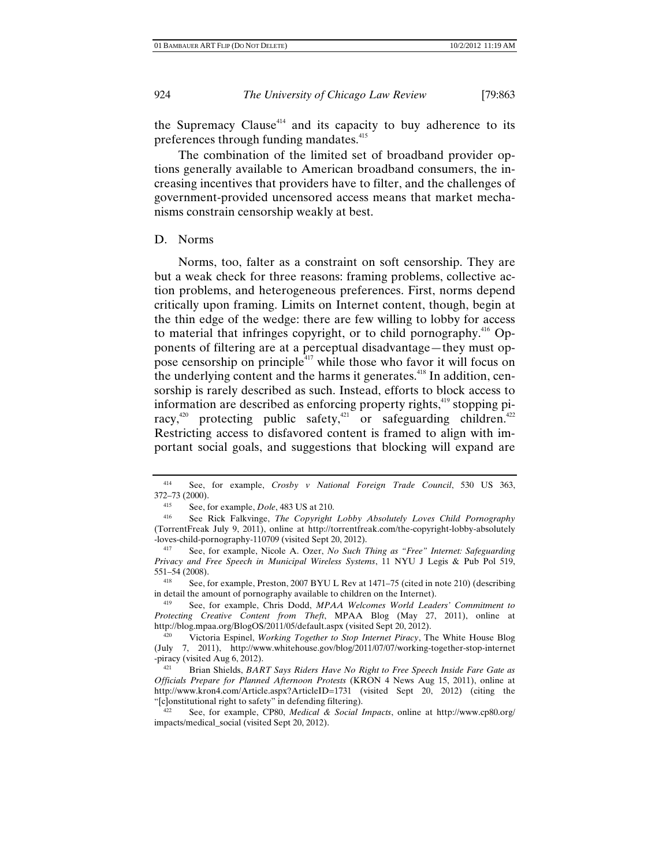the Supremacy Clause<sup> $414$ </sup> and its capacity to buy adherence to its preferences through funding mandates.<sup>415</sup>

The combination of the limited set of broadband provider options generally available to American broadband consumers, the increasing incentives that providers have to filter, and the challenges of government-provided uncensored access means that market mechanisms constrain censorship weakly at best.

#### D. Norms

Norms, too, falter as a constraint on soft censorship. They are but a weak check for three reasons: framing problems, collective action problems, and heterogeneous preferences. First, norms depend critically upon framing. Limits on Internet content, though, begin at the thin edge of the wedge: there are few willing to lobby for access to material that infringes copyright, or to child pornography.<sup>416</sup> Opponents of filtering are at a perceptual disadvantage—they must oppose censorship on principle $4^{417}$  while those who favor it will focus on the underlying content and the harms it generates.<sup>418</sup> In addition, censorship is rarely described as such. Instead, efforts to block access to information are described as enforcing property rights,<sup>419</sup> stopping piracy,<sup>420</sup> protecting public safety,<sup>421</sup> or safeguarding children.<sup>422</sup> Restricting access to disfavored content is framed to align with important social goals, and suggestions that blocking will expand are

<sup>414</sup> See, for example, *Crosby v National Foreign Trade Council*, 530 US 363,  $372-73$  (2000).

<sup>&</sup>lt;sup>415</sup> See, for example, *Dole*, 483 US at 210.<br><sup>416</sup> See Rick Falkvinge, *The Copyright Lobby Absolutely Loves Child Pornography* (TorrentFreak July 9, 2011), online at http://torrentfreak.com/the-copyright-lobby-absolutely -loves-child-pornography-110709 (visited Sept 20, 2012).

<sup>417</sup> See, for example, Nicole A. Ozer, *No Such Thing as "Free" Internet: Safeguarding Privacy and Free Speech in Municipal Wireless Systems*, 11 NYU J Legis & Pub Pol 519, 551–54 (2008).

<sup>418</sup> See, for example, Preston, 2007 BYU L Rev at 1471–75 (cited in note 210) (describing in detail the amount of pornography available to children on the Internet). 419 See, for example, Chris Dodd, *MPAA Welcomes World Leaders' Commitment to* 

*Protecting Creative Content from Theft*, MPAA Blog (May 27, 2011), online at http://blog.mpaa.org/BlogOS/2011/05/default.aspx (visited Sept 20, 2012).

<sup>420</sup> Victoria Espinel, *Working Together to Stop Internet Piracy*, The White House Blog (July 7, 2011), http://www.whitehouse.gov/blog/2011/07/07/working-together-stop-internet -piracy (visited Aug 6, 2012).

<sup>421</sup> Brian Shields, *BART Says Riders Have No Right to Free Speech Inside Fare Gate as Officials Prepare for Planned Afternoon Protests* (KRON 4 News Aug 15, 2011), online at http://www.kron4.com/Article.aspx?ArticleID=1731 (visited Sept 20, 2012) (citing the "[c]onstitutional right to safety" in defending filtering).

<sup>422</sup> See, for example, CP80, *Medical & Social Impacts*, online at http://www.cp80.org/ impacts/medical\_social (visited Sept 20, 2012).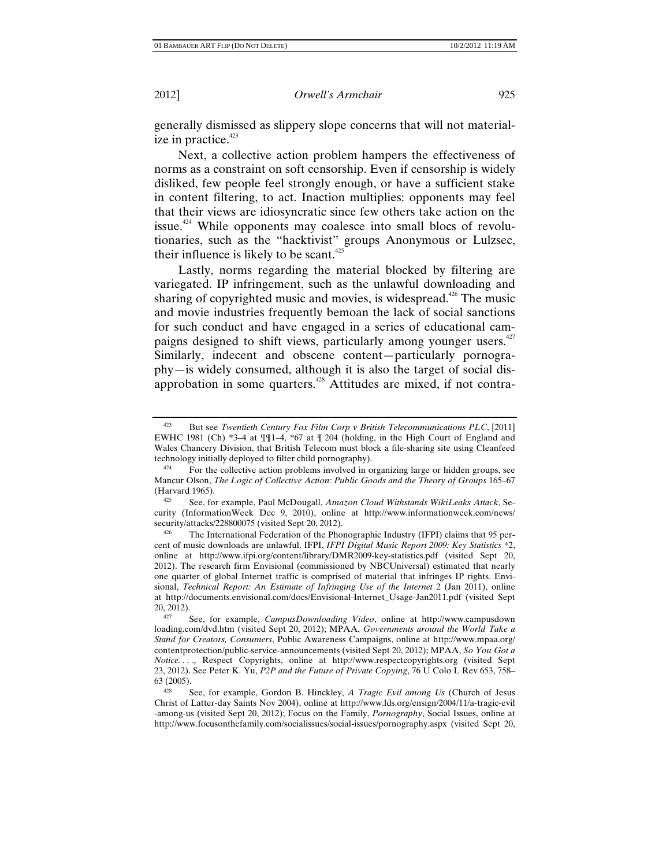generally dismissed as slippery slope concerns that will not materialize in practice. $423$ 

Next, a collective action problem hampers the effectiveness of norms as a constraint on soft censorship. Even if censorship is widely disliked, few people feel strongly enough, or have a sufficient stake in content filtering, to act. Inaction multiplies: opponents may feel that their views are idiosyncratic since few others take action on the issue.<sup>424</sup> While opponents may coalesce into small blocs of revolutionaries, such as the "hacktivist" groups Anonymous or Lulzsec, their influence is likely to be scant.<sup>425</sup>

Lastly, norms regarding the material blocked by filtering are variegated. IP infringement, such as the unlawful downloading and sharing of copyrighted music and movies, is widespread.<sup>426</sup> The music and movie industries frequently bemoan the lack of social sanctions for such conduct and have engaged in a series of educational campaigns designed to shift views, particularly among younger users.<sup>427</sup> Similarly, indecent and obscene content—particularly pornography—is widely consumed, although it is also the target of social disapprobation in some quarters.<sup>428</sup> Attitudes are mixed, if not contra-

<sup>423</sup> But see *Twentieth Century Fox Film Corp v British Telecommunications PLC*, [2011] EWHC 1981 (Ch) \*3–4 at ¶¶1–4, \*67 at ¶ 204 (holding, in the High Court of England and Wales Chancery Division, that British Telecom must block a file-sharing site using Cleanfeed

technology initially deployed to filter child pornography).<br><sup>424</sup> For the collective action problems involved in organizing large or hidden groups, see Mancur Olson, *The Logic of Collective Action: Public Goods and the Theory of Groups* 165–67 (Harvard 1965).<br><sup>425</sup> See for

<sup>425</sup> See, for example, Paul McDougall, *Amazon Cloud Withstands WikiLeaks Attack*, Security (InformationWeek Dec 9, 2010), online at http://www.informationweek.com/news/ security/attacks/228800075 (visited Sept 20, 2012).<br><sup>426</sup> The International Federation of the Phonographic Industry (IFPI) claims that 95 per-

cent of music downloads are unlawful. IFPI, *IFPI Digital Music Report 2009: Key Statistics* \*2, online at http://www.ifpi.org/content/library/DMR2009-key-statistics.pdf (visited Sept 20, 2012). The research firm Envisional (commissioned by NBCUniversal) estimated that nearly one quarter of global Internet traffic is comprised of material that infringes IP rights. Envisional, *Technical Report: An Estimate of Infringing Use of the Internet* 2 (Jan 2011), online at http://documents.envisional.com/docs/Envisional-Internet\_Usage-Jan2011.pdf (visited Sept

<sup>&</sup>lt;sup>427</sup> See, for example, *CampusDownloading Video*, online at http://www.campusdown loading.com/dvd.htm (visited Sept 20, 2012); MPAA, *Governments around the World Take a Stand for Creators, Consumers*, Public Awareness Campaigns, online at http://www.mpaa.org/ contentprotection/public-service-announcements (visited Sept 20, 2012); MPAA, *So You Got a Notice. . . .*, Respect Copyrights, online at http://www.respectcopyrights.org (visited Sept 23, 2012). See Peter K. Yu, *P2P and the Future of Private Copying*, 76 U Colo L Rev 653, 758– 63 (2005).

See, for example, Gordon B. Hinckley, *A Tragic Evil among Us* (Church of Jesus Christ of Latter-day Saints Nov 2004), online at http://www.lds.org/ensign/2004/11/a-tragic-evil -among-us (visited Sept 20, 2012); Focus on the Family, *Pornography*, Social Issues, online at http://www.focusonthefamily.com/socialissues/social-issues/pornography.aspx (visited Sept 20,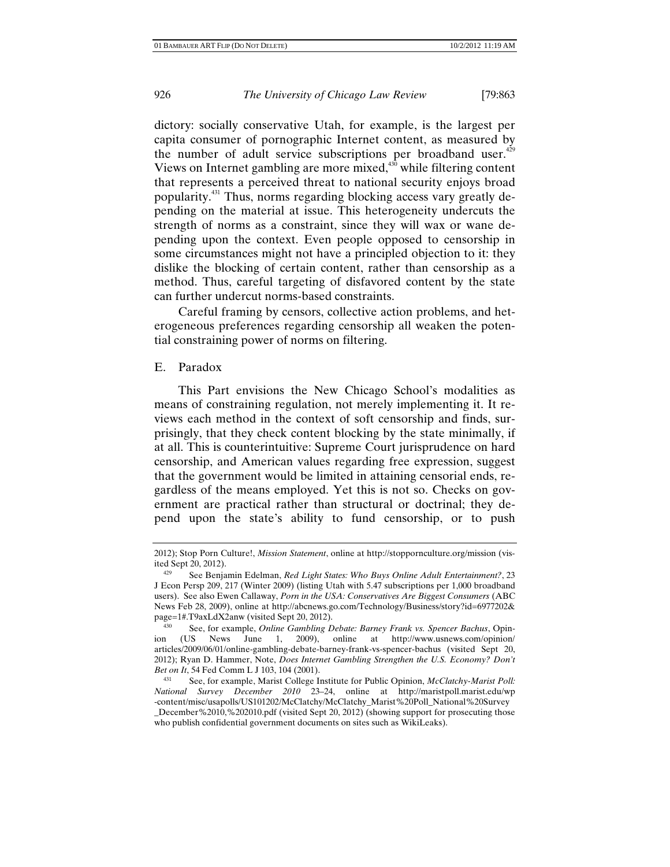dictory: socially conservative Utah, for example, is the largest per capita consumer of pornographic Internet content, as measured by the number of adult service subscriptions per broadband user. $429$ Views on Internet gambling are more mixed, $430$  while filtering content that represents a perceived threat to national security enjoys broad popularity.431 Thus, norms regarding blocking access vary greatly depending on the material at issue. This heterogeneity undercuts the strength of norms as a constraint, since they will wax or wane depending upon the context. Even people opposed to censorship in some circumstances might not have a principled objection to it: they dislike the blocking of certain content, rather than censorship as a method. Thus, careful targeting of disfavored content by the state can further undercut norms-based constraints.

Careful framing by censors, collective action problems, and heterogeneous preferences regarding censorship all weaken the potential constraining power of norms on filtering.

## E. Paradox

This Part envisions the New Chicago School's modalities as means of constraining regulation, not merely implementing it. It reviews each method in the context of soft censorship and finds, surprisingly, that they check content blocking by the state minimally, if at all. This is counterintuitive: Supreme Court jurisprudence on hard censorship, and American values regarding free expression, suggest that the government would be limited in attaining censorial ends, regardless of the means employed. Yet this is not so. Checks on government are practical rather than structural or doctrinal; they depend upon the state's ability to fund censorship, or to push

<sup>2012);</sup> Stop Porn Culture!, *Mission Statement*, online at http://stoppornculture.org/mission (visited Sept 20, 2012).<br><sup>429</sup> See Benjamin Edelman, *Red Light States: Who Buys Online Adult Entertainment?*, 23

J Econ Persp 209, 217 (Winter 2009) (listing Utah with 5.47 subscriptions per 1,000 broadband users). See also Ewen Callaway, *Porn in the USA: Conservatives Are Biggest Consumers* (ABC News Feb 28, 2009), online at http://abcnews.go.com/Technology/Business/story?id=6977202& page=1#.T9axLdX2anw (visited Sept 20, 2012).<br><sup>430</sup> See, for example, *Online Gambling Debate: Barney Frank vs. Spencer Bachus*, Opin-

ion (US News June 1, 2009), online at http://www.usnews.com/opinion/ articles/2009/06/01/online-gambling-debate-barney-frank-vs-spencer-bachus (visited Sept 20, 2012); Ryan D. Hammer, Note, *Does Internet Gambling Strengthen the U.S. Economy? Don't Bet on It*, 54 Fed Comm L J 103, 104 (2001).<br><sup>431</sup> See, for example, Marist College Institute for Public Opinion, *McClatchy-Marist Poll:* 

*National Survey December 2010* 23–24, online at http://maristpoll.marist.edu/wp -content/misc/usapolls/US101202/McClatchy/McClatchy\_Marist%20Poll\_National%20Survey \_December%2010,%202010.pdf (visited Sept 20, 2012) (showing support for prosecuting those who publish confidential government documents on sites such as WikiLeaks).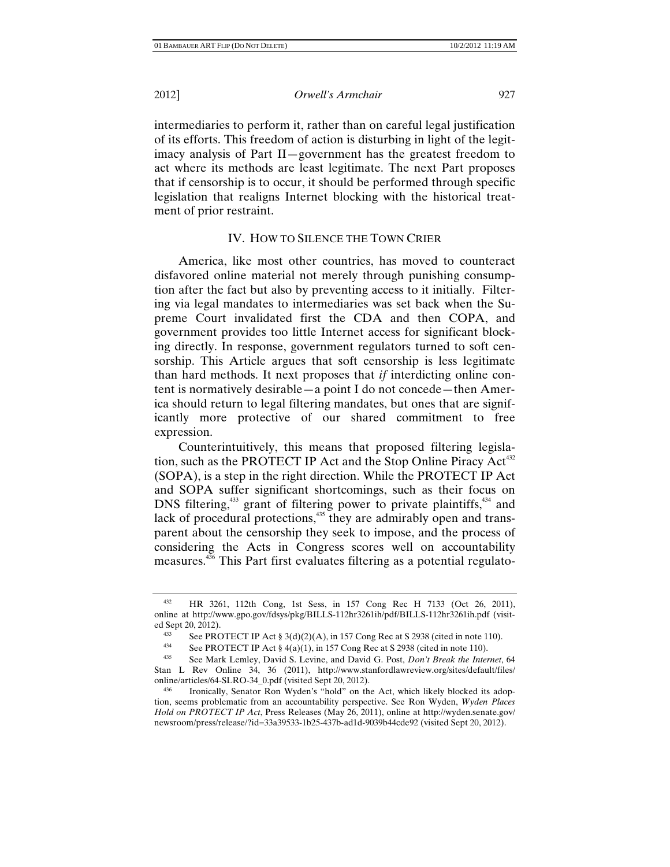intermediaries to perform it, rather than on careful legal justification of its efforts. This freedom of action is disturbing in light of the legitimacy analysis of Part II—government has the greatest freedom to act where its methods are least legitimate. The next Part proposes that if censorship is to occur, it should be performed through specific legislation that realigns Internet blocking with the historical treatment of prior restraint.

### IV. HOW TO SILENCE THE TOWN CRIER

America, like most other countries, has moved to counteract disfavored online material not merely through punishing consumption after the fact but also by preventing access to it initially. Filtering via legal mandates to intermediaries was set back when the Supreme Court invalidated first the CDA and then COPA, and government provides too little Internet access for significant blocking directly. In response, government regulators turned to soft censorship. This Article argues that soft censorship is less legitimate than hard methods. It next proposes that *if* interdicting online content is normatively desirable—a point I do not concede—then America should return to legal filtering mandates, but ones that are significantly more protective of our shared commitment to free expression.

Counterintuitively, this means that proposed filtering legislation, such as the PROTECT IP Act and the Stop Online Piracy Act<sup>432</sup> (SOPA), is a step in the right direction. While the PROTECT IP Act and SOPA suffer significant shortcomings, such as their focus on DNS filtering, $433$  grant of filtering power to private plaintiffs, $434$  and lack of procedural protections, $435$  they are admirably open and transparent about the censorship they seek to impose, and the process of considering the Acts in Congress scores well on accountability measures.<sup>436</sup> This Part first evaluates filtering as a potential regulato-

<sup>432</sup> HR 3261, 112th Cong, 1st Sess, in 157 Cong Rec H 7133 (Oct 26, 2011), online at http://www.gpo.gov/fdsys/pkg/BILLS-112hr3261ih/pdf/BILLS-112hr3261ih.pdf (visited Sept 20, 2012).

<sup>433</sup> See PROTECT IP Act § 3(d)(2)(A), in 157 Cong Rec at S 2938 (cited in note 110).

<sup>434</sup> See PROTECT IP Act § 4(a)(1), in 157 Cong Rec at S 2938 (cited in note 110).<br><sup>435</sup> See Mark Lemley, David S. Levine, and David G. Post, *Don't Break the Internet*, 64

Stan L Rev Online 34, 36 (2011), http://www.stanfordlawreview.org/sites/default/files/

<sup>436</sup> Ironically, Senator Ron Wyden's "hold" on the Act, which likely blocked its adoption, seems problematic from an accountability perspective. See Ron Wyden, *Wyden Places Hold on PROTECT IP Act*, Press Releases (May 26, 2011), online at http://wyden.senate.gov/ newsroom/press/release/?id=33a39533-1b25-437b-ad1d-9039b44cde92 (visited Sept 20, 2012).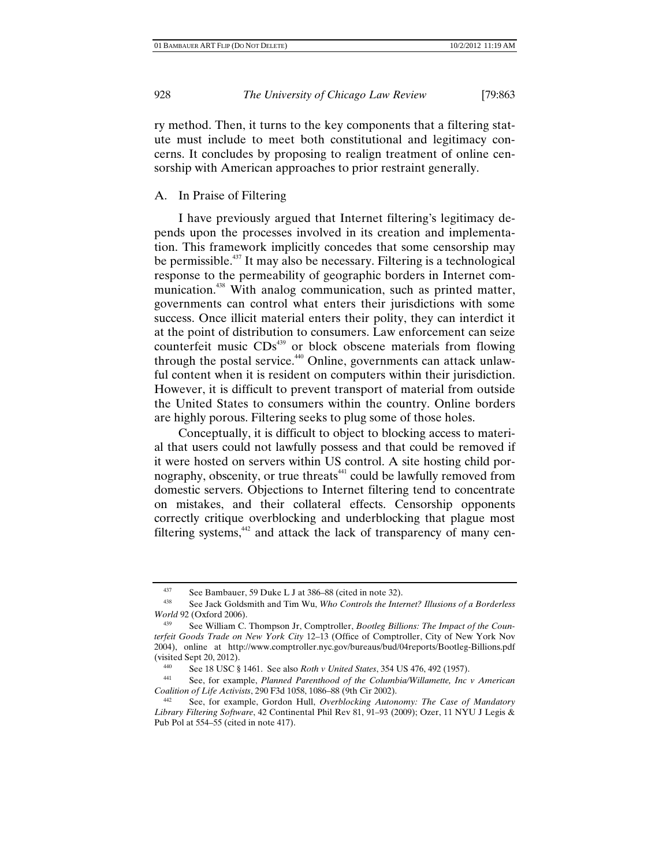ry method. Then, it turns to the key components that a filtering statute must include to meet both constitutional and legitimacy concerns. It concludes by proposing to realign treatment of online censorship with American approaches to prior restraint generally.

#### A. In Praise of Filtering

I have previously argued that Internet filtering's legitimacy depends upon the processes involved in its creation and implementation. This framework implicitly concedes that some censorship may be permissible.<sup>437</sup> It may also be necessary. Filtering is a technological response to the permeability of geographic borders in Internet communication.<sup>438</sup> With analog communication, such as printed matter, governments can control what enters their jurisdictions with some success. Once illicit material enters their polity, they can interdict it at the point of distribution to consumers. Law enforcement can seize counterfeit music CDs<sup>439</sup> or block obscene materials from flowing through the postal service.<sup>440</sup> Online, governments can attack unlawful content when it is resident on computers within their jurisdiction. However, it is difficult to prevent transport of material from outside the United States to consumers within the country. Online borders are highly porous. Filtering seeks to plug some of those holes.

Conceptually, it is difficult to object to blocking access to material that users could not lawfully possess and that could be removed if it were hosted on servers within US control. A site hosting child pornography, obscenity, or true threats<sup>441</sup> could be lawfully removed from domestic servers. Objections to Internet filtering tend to concentrate on mistakes, and their collateral effects. Censorship opponents correctly critique overblocking and underblocking that plague most filtering systems,<sup>442</sup> and attack the lack of transparency of many cen-

<sup>437</sup> See Bambauer, 59 Duke L J at 386–88 (cited in note 32).

<sup>438</sup> See Jack Goldsmith and Tim Wu, *Who Controls the Internet? Illusions of a Borderless World* 92 (Oxford 2006).<br><sup>439</sup> See William C. Thompson Jr, Comptroller, *Bootleg Billions: The Impact of the Coun-*

*terfeit Goods Trade on New York City* 12–13 (Office of Comptroller, City of New York Nov 2004), online at http://www.comptroller.nyc.gov/bureaus/bud/04reports/Bootleg-Billions.pdf

<sup>(</sup>visited Sept 20, 2012). 440 See 18 USC § 1461. See also *Roth v United States*, 354 US 476, 492 (1957). 441 See, for example, *Planned Parenthood of the Columbia/Willamette, Inc v American Coalition of Life Activists*, 290 F3d 1058, 1086–88 (9th Cir 2002).

<sup>442</sup> See, for example, Gordon Hull, *Overblocking Autonomy: The Case of Mandatory Library Filtering Software*, 42 Continental Phil Rev 81, 91–93 (2009); Ozer, 11 NYU J Legis & Pub Pol at 554–55 (cited in note 417).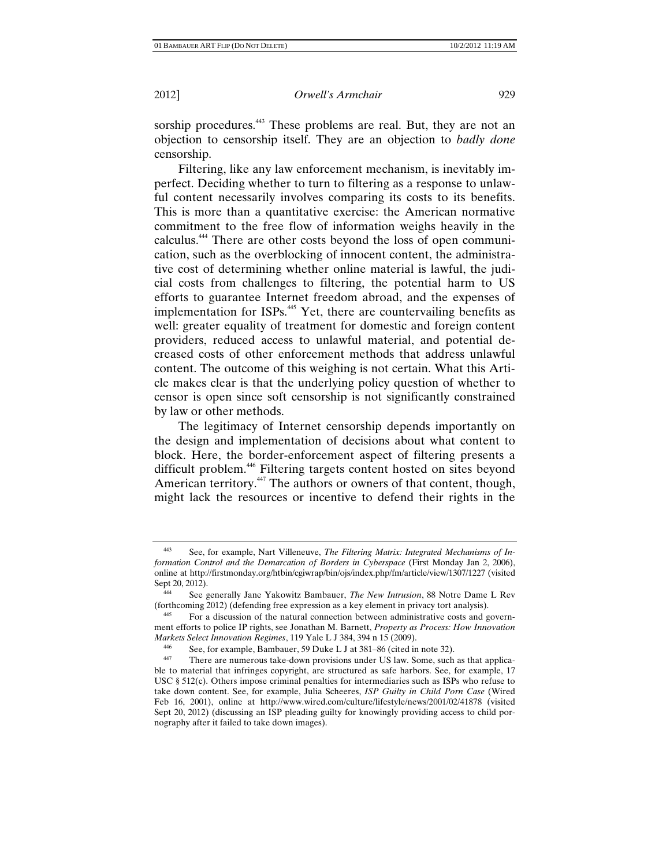sorship procedures.<sup>443</sup> These problems are real. But, they are not an objection to censorship itself. They are an objection to *badly done* censorship.

Filtering, like any law enforcement mechanism, is inevitably imperfect. Deciding whether to turn to filtering as a response to unlawful content necessarily involves comparing its costs to its benefits. This is more than a quantitative exercise: the American normative commitment to the free flow of information weighs heavily in the calculus.444 There are other costs beyond the loss of open communication, such as the overblocking of innocent content, the administrative cost of determining whether online material is lawful, the judicial costs from challenges to filtering, the potential harm to US efforts to guarantee Internet freedom abroad, and the expenses of implementation for ISPs.<sup>445</sup> Yet, there are countervailing benefits as well: greater equality of treatment for domestic and foreign content providers, reduced access to unlawful material, and potential decreased costs of other enforcement methods that address unlawful content. The outcome of this weighing is not certain. What this Article makes clear is that the underlying policy question of whether to censor is open since soft censorship is not significantly constrained by law or other methods.

The legitimacy of Internet censorship depends importantly on the design and implementation of decisions about what content to block. Here, the border-enforcement aspect of filtering presents a difficult problem.<sup>446</sup> Filtering targets content hosted on sites beyond American territory.<sup>447</sup> The authors or owners of that content, though, might lack the resources or incentive to defend their rights in the

<sup>443</sup> See, for example, Nart Villeneuve, *The Filtering Matrix: Integrated Mechanisms of Information Control and the Demarcation of Borders in Cyberspace* (First Monday Jan 2, 2006), online at http://firstmonday.org/htbin/cgiwrap/bin/ojs/index.php/fm/article/view/1307/1227 (visited Sept 20, 2012).

<sup>444</sup> See generally Jane Yakowitz Bambauer, *The New Intrusion*, 88 Notre Dame L Rev (forthcoming 2012) (defending free expression as a key element in privacy tort analysis).

<sup>445</sup> For a discussion of the natural connection between administrative costs and government efforts to police IP rights, see Jonathan M. Barnett, *Property as Process: How Innovation Markets Select Innovation Regimes*, 119 Yale L J 384, 394 n 15 (2009).<br><sup>446</sup> See, for example, Bambauer, 59 Duke L J at 381–86 (cited in note 32).<br><sup>447</sup> There are numerous take down provisions under US law. Some such

There are numerous take-down provisions under US law. Some, such as that applicable to material that infringes copyright, are structured as safe harbors. See, for example, 17 USC § 512(c). Others impose criminal penalties for intermediaries such as ISPs who refuse to take down content. See, for example, Julia Scheeres, *ISP Guilty in Child Porn Case* (Wired Feb 16, 2001), online at http://www.wired.com/culture/lifestyle/news/2001/02/41878 (visited Sept 20, 2012) (discussing an ISP pleading guilty for knowingly providing access to child pornography after it failed to take down images).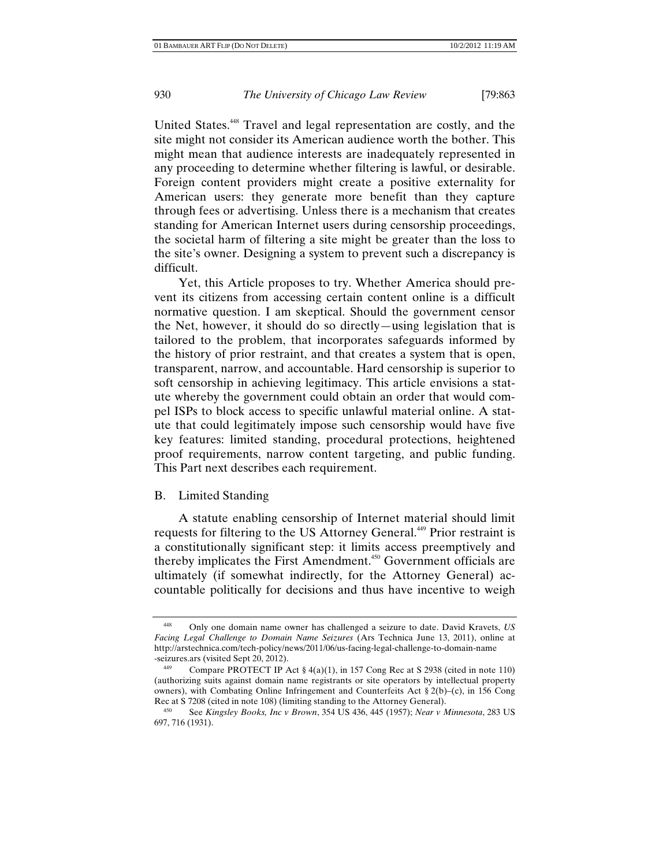United States.<sup>448</sup> Travel and legal representation are costly, and the site might not consider its American audience worth the bother. This might mean that audience interests are inadequately represented in any proceeding to determine whether filtering is lawful, or desirable. Foreign content providers might create a positive externality for American users: they generate more benefit than they capture through fees or advertising. Unless there is a mechanism that creates standing for American Internet users during censorship proceedings, the societal harm of filtering a site might be greater than the loss to the site's owner. Designing a system to prevent such a discrepancy is difficult.

Yet, this Article proposes to try. Whether America should prevent its citizens from accessing certain content online is a difficult normative question. I am skeptical. Should the government censor the Net, however, it should do so directly—using legislation that is tailored to the problem, that incorporates safeguards informed by the history of prior restraint, and that creates a system that is open, transparent, narrow, and accountable. Hard censorship is superior to soft censorship in achieving legitimacy. This article envisions a statute whereby the government could obtain an order that would compel ISPs to block access to specific unlawful material online. A statute that could legitimately impose such censorship would have five key features: limited standing, procedural protections, heightened proof requirements, narrow content targeting, and public funding. This Part next describes each requirement.

## B. Limited Standing

A statute enabling censorship of Internet material should limit requests for filtering to the US Attorney General.<sup>449</sup> Prior restraint is a constitutionally significant step: it limits access preemptively and thereby implicates the First Amendment.<sup>450</sup> Government officials are ultimately (if somewhat indirectly, for the Attorney General) accountable politically for decisions and thus have incentive to weigh

<sup>448</sup> Only one domain name owner has challenged a seizure to date. David Kravets, *US Facing Legal Challenge to Domain Name Seizures* (Ars Technica June 13, 2011), online at http://arstechnica.com/tech-policy/news/2011/06/us-facing-legal-challenge-to-domain-name -seizures.ars (visited Sept 20, 2012).

Compare PROTECT IP Act  $\S 4(a)(1)$ , in 157 Cong Rec at S 2938 (cited in note 110) (authorizing suits against domain name registrants or site operators by intellectual property owners), with Combating Online Infringement and Counterfeits Act  $\S 2(b)$ –(c), in 156 Cong Rec at S 7208 (cited in note 108) (limiting standing to the Attorney General).

<sup>450</sup> See *Kingsley Books, Inc v Brown*, 354 US 436, 445 (1957); *Near v Minnesota*, 283 US 697, 716 (1931).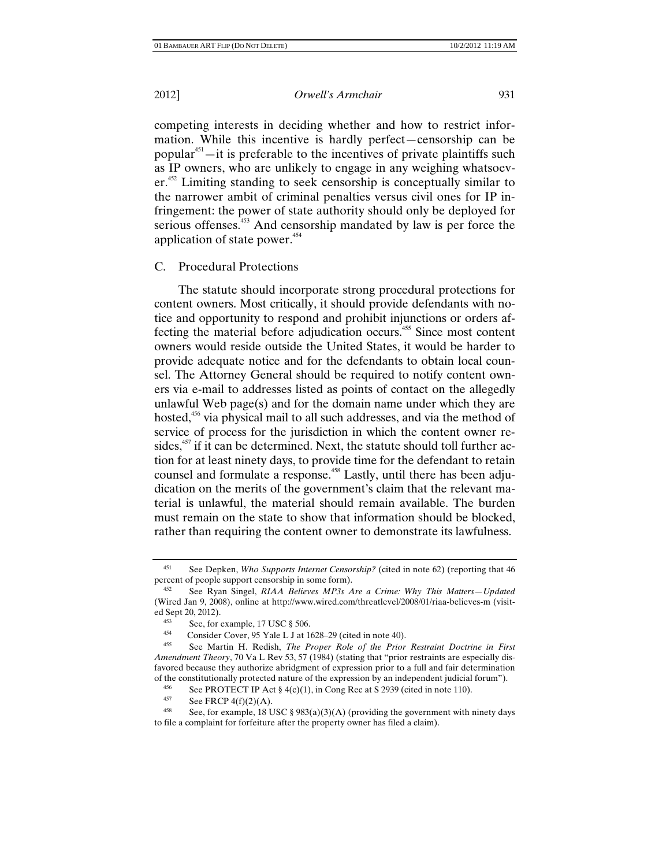competing interests in deciding whether and how to restrict information. While this incentive is hardly perfect—censorship can be popular<sup> $451$ </sup>—it is preferable to the incentives of private plaintiffs such as IP owners, who are unlikely to engage in any weighing whatsoev $er<sup>452</sup>$  Limiting standing to seek censorship is conceptually similar to the narrower ambit of criminal penalties versus civil ones for IP infringement: the power of state authority should only be deployed for serious offenses.<sup>453</sup> And censorship mandated by law is per force the application of state power. $454$ 

#### C. Procedural Protections

The statute should incorporate strong procedural protections for content owners. Most critically, it should provide defendants with notice and opportunity to respond and prohibit injunctions or orders affecting the material before adjudication occurs.<sup>455</sup> Since most content owners would reside outside the United States, it would be harder to provide adequate notice and for the defendants to obtain local counsel. The Attorney General should be required to notify content owners via e-mail to addresses listed as points of contact on the allegedly unlawful Web page(s) and for the domain name under which they are hosted,<sup>456</sup> via physical mail to all such addresses, and via the method of service of process for the jurisdiction in which the content owner resides, $457$  if it can be determined. Next, the statute should toll further action for at least ninety days, to provide time for the defendant to retain counsel and formulate a response.<sup>458</sup> Lastly, until there has been adjudication on the merits of the government's claim that the relevant material is unlawful, the material should remain available. The burden must remain on the state to show that information should be blocked, rather than requiring the content owner to demonstrate its lawfulness.

<sup>451</sup> See Depken, *Who Supports Internet Censorship?* (cited in note 62) (reporting that 46 percent of people support censorship in some form).<br><sup>452</sup> See Ryan Singel, *RIAA Believes MP3s Are a Crime: Why This Matters—Updated* 

<sup>(</sup>Wired Jan 9, 2008), online at http://www.wired.com/threatlevel/2008/01/riaa-believes-m (visited Sept 20, 2012).<br>
<sup>453</sup> See, for example, 17 USC § 506.<br>
<sup>454</sup> Consider Cover, 95 Yale L J at 1628–29 (cited in note 40).<br>
<sup>455</sup> See, Mertin H. Bedish, *The Prepar Bele of the Prior* 

<sup>455</sup> See Martin H. Redish, *The Proper Role of the Prior Restraint Doctrine in First Amendment Theory*, 70 Va L Rev 53, 57 (1984) (stating that "prior restraints are especially disfavored because they authorize abridgment of expression prior to a full and fair determination of the constitutionally protected nature of the expression by an independent judicial forum").<br>
See PROTECT IP Act  $\delta A(c)(1)$  in Cong Rec at S 2030 (cited in note 110)

<sup>456</sup> See PROTECT IP Act § 4(c)(1), in Cong Rec at S 2939 (cited in note 110).<br>457 See FRCP 4(f)(2)(A)

<sup>&</sup>lt;sup>457</sup> See FRCP 4(f)(2)(A).<br><sup>458</sup> See, for example, 18 USC § 983(a)(3)(A) (providing the government with ninety days to file a complaint for forfeiture after the property owner has filed a claim).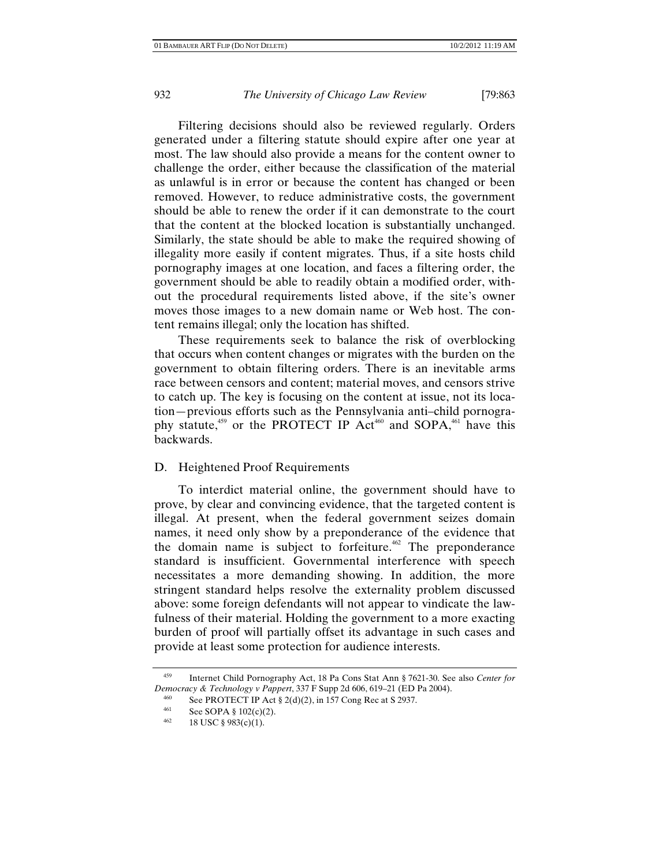Filtering decisions should also be reviewed regularly. Orders generated under a filtering statute should expire after one year at most. The law should also provide a means for the content owner to challenge the order, either because the classification of the material as unlawful is in error or because the content has changed or been removed. However, to reduce administrative costs, the government should be able to renew the order if it can demonstrate to the court that the content at the blocked location is substantially unchanged. Similarly, the state should be able to make the required showing of illegality more easily if content migrates. Thus, if a site hosts child pornography images at one location, and faces a filtering order, the government should be able to readily obtain a modified order, without the procedural requirements listed above, if the site's owner moves those images to a new domain name or Web host. The content remains illegal; only the location has shifted.

These requirements seek to balance the risk of overblocking that occurs when content changes or migrates with the burden on the government to obtain filtering orders. There is an inevitable arms race between censors and content; material moves, and censors strive to catch up. The key is focusing on the content at issue, not its location—previous efforts such as the Pennsylvania anti–child pornography statute,<sup>459</sup> or the PROTECT IP Act<sup>460</sup> and SOPA,<sup>461</sup> have this backwards.

#### D. Heightened Proof Requirements

To interdict material online, the government should have to prove, by clear and convincing evidence, that the targeted content is illegal. At present, when the federal government seizes domain names, it need only show by a preponderance of the evidence that the domain name is subject to forfeiture.<sup> $462$ </sup> The preponderance standard is insufficient. Governmental interference with speech necessitates a more demanding showing. In addition, the more stringent standard helps resolve the externality problem discussed above: some foreign defendants will not appear to vindicate the lawfulness of their material. Holding the government to a more exacting burden of proof will partially offset its advantage in such cases and provide at least some protection for audience interests.

<sup>459</sup> Internet Child Pornography Act, 18 Pa Cons Stat Ann § 7621-30. See also *Center for Democracy & Technology v Pappert*, 337 F Supp 2d 606, 619–21 (ED Pa 2004).<br>
<sup>460</sup> See PROTECT IP Act § 2(d)(2), in 157 Cong Rec at S 2937.

<sup>461</sup> See SOPA § 102(c)(2).<br>462 18 USC § 983(c)(1).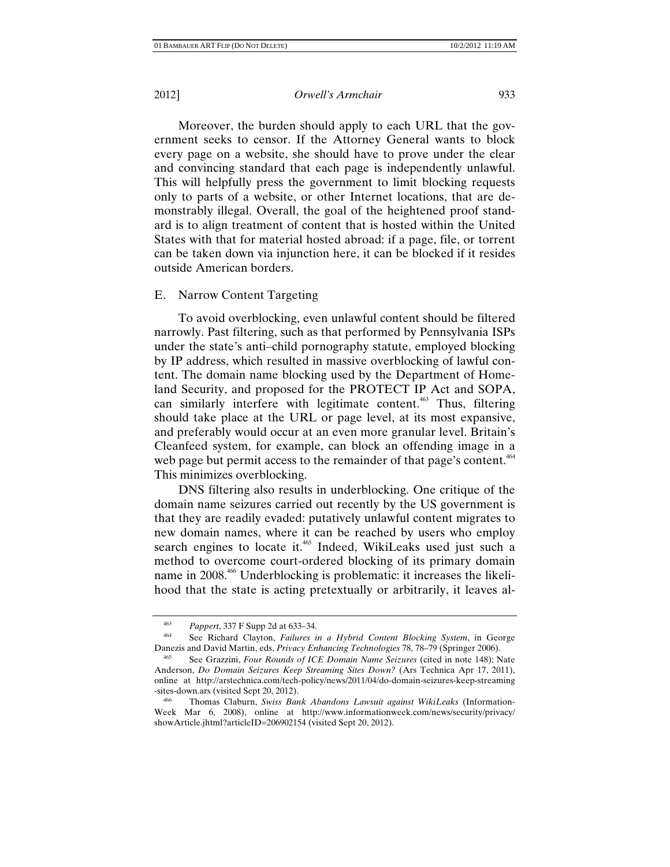Moreover, the burden should apply to each URL that the government seeks to censor. If the Attorney General wants to block every page on a website, she should have to prove under the clear and convincing standard that each page is independently unlawful. This will helpfully press the government to limit blocking requests only to parts of a website, or other Internet locations, that are demonstrably illegal. Overall, the goal of the heightened proof standard is to align treatment of content that is hosted within the United States with that for material hosted abroad: if a page, file, or torrent can be taken down via injunction here, it can be blocked if it resides outside American borders.

## E. Narrow Content Targeting

To avoid overblocking, even unlawful content should be filtered narrowly. Past filtering, such as that performed by Pennsylvania ISPs under the state's anti–child pornography statute, employed blocking by IP address, which resulted in massive overblocking of lawful content. The domain name blocking used by the Department of Homeland Security, and proposed for the PROTECT IP Act and SOPA, can similarly interfere with legitimate content.<sup> $463$ </sup> Thus, filtering should take place at the URL or page level, at its most expansive, and preferably would occur at an even more granular level. Britain's Cleanfeed system, for example, can block an offending image in a web page but permit access to the remainder of that page's content.<sup>464</sup> This minimizes overblocking.

DNS filtering also results in underblocking. One critique of the domain name seizures carried out recently by the US government is that they are readily evaded: putatively unlawful content migrates to new domain names, where it can be reached by users who employ search engines to locate it.<sup>465</sup> Indeed, WikiLeaks used just such a method to overcome court-ordered blocking of its primary domain name in 2008.466 Underblocking is problematic: it increases the likelihood that the state is acting pretextually or arbitrarily, it leaves al-

<sup>463</sup>*Pappert*, 337 F Supp 2d at 633–34. 464 See Richard Clayton, *Failures in a Hybrid Content Blocking System*, in George Danezis and David Martin, eds, *Privacy Enhancing Technologies* 78, 78–79 (Springer 2006).

<sup>465</sup> See Grazzini, *Four Rounds of ICE Domain Name Seizures* (cited in note 148); Nate Anderson, *Do Domain Seizures Keep Streaming Sites Down?* (Ars Technica Apr 17, 2011), online at http://arstechnica.com/tech-policy/news/2011/04/do-domain-seizures-keep-streaming -sites-down.ars (visited Sept 20, 2012).

<sup>466</sup> Thomas Claburn, *Swiss Bank Abandons Lawsuit against WikiLeaks* (Information-Week Mar 6, 2008), online at http://www.informationweek.com/news/security/privacy/ showArticle.jhtml?articleID=206902154 (visited Sept 20, 2012).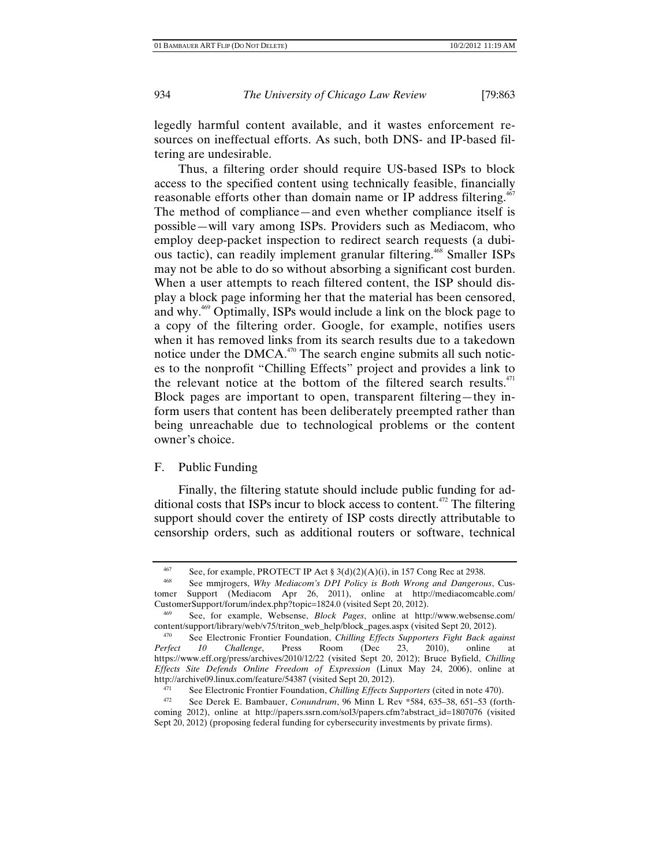legedly harmful content available, and it wastes enforcement resources on ineffectual efforts. As such, both DNS- and IP-based filtering are undesirable.

Thus, a filtering order should require US-based ISPs to block access to the specified content using technically feasible, financially reasonable efforts other than domain name or IP address filtering.<sup>467</sup> The method of compliance—and even whether compliance itself is possible—will vary among ISPs. Providers such as Mediacom, who employ deep-packet inspection to redirect search requests (a dubious tactic), can readily implement granular filtering.<sup>468</sup> Smaller ISPs may not be able to do so without absorbing a significant cost burden. When a user attempts to reach filtered content, the ISP should display a block page informing her that the material has been censored, and why.<sup>469</sup> Optimally, ISPs would include a link on the block page to a copy of the filtering order. Google, for example, notifies users when it has removed links from its search results due to a takedown notice under the DMCA. $470$  The search engine submits all such notices to the nonprofit "Chilling Effects" project and provides a link to the relevant notice at the bottom of the filtered search results. $471$ Block pages are important to open, transparent filtering—they inform users that content has been deliberately preempted rather than being unreachable due to technological problems or the content owner's choice.

### F. Public Funding

Finally, the filtering statute should include public funding for additional costs that ISPs incur to block access to content.<sup> $472$ </sup> The filtering support should cover the entirety of ISP costs directly attributable to censorship orders, such as additional routers or software, technical

<sup>467</sup> See, for example, PROTECT IP Act  $\S 3(d)(2)(A)(i)$ , in 157 Cong Rec at 2938.

See mmjrogers, *Why Mediacom's DPI Policy is Both Wrong and Dangerous*, Customer Support (Mediacom Apr 26, 2011), online at http://mediacomcable.com/ CustomerSupport/forum/index.php?topic=1824.0 (visited Sept 20, 2012). 469 See, for example, Websense, *Block Pages*, online at http://www.websense.com/

content/support/library/web/v75/triton\_web\_help/block\_pages.aspx (visited Sept 20, 2012).<br><sup>470</sup> See Electronic Frontier Foundation, *Chilling Effects Supporters Fight Back against* 

*Perfect 10 Challenge*, Press Room (Dec 23, 2010), online at https://www.eff.org/press/archives/2010/12/22 (visited Sept 20, 2012); Bruce Byfield, *Chilling Effects Site Defends Online Freedom of Expression* (Linux May 24, 2006), online at http://archive09.linux.com/feature/54387 (visited Sept 20, 2012).<br>
<sup>471</sup> See Electronic Frontier Foundation, *Chilling Effects Supporters* (cited in note 470).<br>
<sup>472</sup> See Darsk E. Rembeuer, *Consultant*y, 06 Minn J. Boy, \*

<sup>472</sup> See Derek E. Bambauer, *Conundrum*, 96 Minn L Rev \*584, 635–38, 651–53 (forthcoming 2012), online at http://papers.ssrn.com/sol3/papers.cfm?abstract\_id=1807076 (visited Sept 20, 2012) (proposing federal funding for cybersecurity investments by private firms).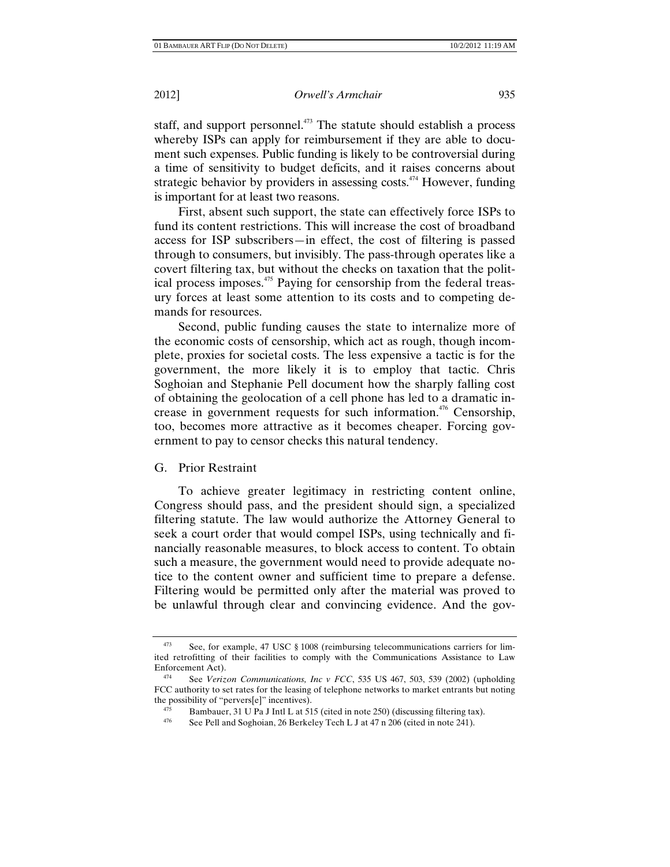staff, and support personnel.<sup>473</sup> The statute should establish a process whereby ISPs can apply for reimbursement if they are able to document such expenses. Public funding is likely to be controversial during a time of sensitivity to budget deficits, and it raises concerns about strategic behavior by providers in assessing costs. $474$  However, funding is important for at least two reasons.

First, absent such support, the state can effectively force ISPs to fund its content restrictions. This will increase the cost of broadband access for ISP subscribers—in effect, the cost of filtering is passed through to consumers, but invisibly. The pass-through operates like a covert filtering tax, but without the checks on taxation that the political process imposes.<sup>475</sup> Paying for censorship from the federal treasury forces at least some attention to its costs and to competing demands for resources.

Second, public funding causes the state to internalize more of the economic costs of censorship, which act as rough, though incomplete, proxies for societal costs. The less expensive a tactic is for the government, the more likely it is to employ that tactic. Chris Soghoian and Stephanie Pell document how the sharply falling cost of obtaining the geolocation of a cell phone has led to a dramatic increase in government requests for such information.<sup> $476$ </sup> Censorship, too, becomes more attractive as it becomes cheaper. Forcing government to pay to censor checks this natural tendency.

G. Prior Restraint

To achieve greater legitimacy in restricting content online, Congress should pass, and the president should sign, a specialized filtering statute. The law would authorize the Attorney General to seek a court order that would compel ISPs, using technically and financially reasonable measures, to block access to content. To obtain such a measure, the government would need to provide adequate notice to the content owner and sufficient time to prepare a defense. Filtering would be permitted only after the material was proved to be unlawful through clear and convincing evidence. And the gov-

See, for example, 47 USC § 1008 (reimbursing telecommunications carriers for limited retrofitting of their facilities to comply with the Communications Assistance to Law Enforcement Act). 474 See *Verizon Communications, Inc v FCC*, 535 US 467, 503, 539 (2002) (upholding

FCC authority to set rates for the leasing of telephone networks to market entrants but noting the possibility of "pervers<sup>[e]"</sup> incentives).

<sup>&</sup>lt;sup>475</sup> Bambauer, 31 U Pa J Intl L at 515 (cited in note 250) (discussing filtering tax). See Pell and Soghoian, 26 Berkeley Tech L J at 47 n 206 (cited in note 241).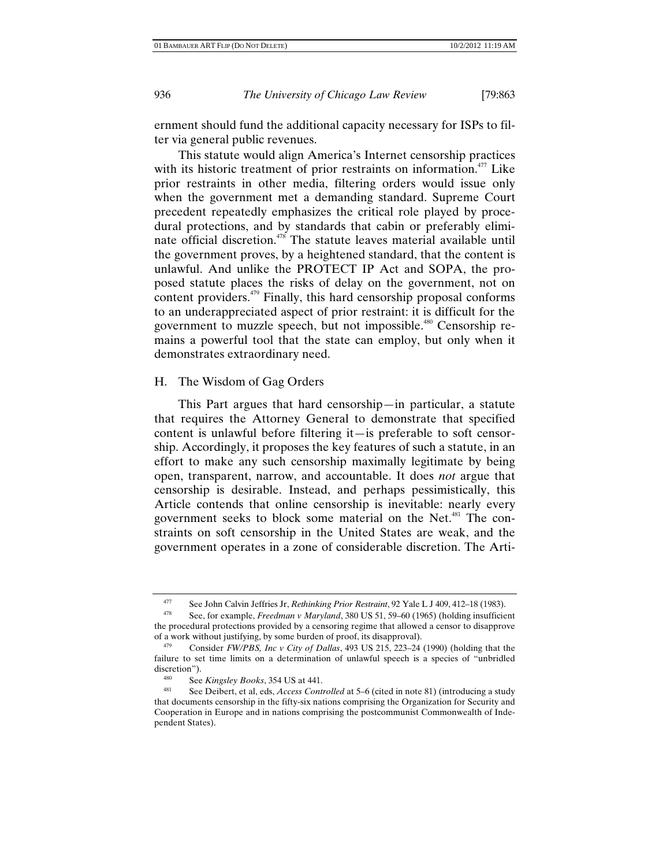ernment should fund the additional capacity necessary for ISPs to filter via general public revenues.

This statute would align America's Internet censorship practices with its historic treatment of prior restraints on information.<sup> $477$ </sup> Like prior restraints in other media, filtering orders would issue only when the government met a demanding standard. Supreme Court precedent repeatedly emphasizes the critical role played by procedural protections, and by standards that cabin or preferably eliminate official discretion.<sup>478</sup> The statute leaves material available until the government proves, by a heightened standard, that the content is unlawful. And unlike the PROTECT IP Act and SOPA, the proposed statute places the risks of delay on the government, not on content providers.<sup>479</sup> Finally, this hard censorship proposal conforms to an underappreciated aspect of prior restraint: it is difficult for the government to muzzle speech, but not impossible.<sup>480</sup> Censorship remains a powerful tool that the state can employ, but only when it demonstrates extraordinary need.

## H. The Wisdom of Gag Orders

This Part argues that hard censorship—in particular, a statute that requires the Attorney General to demonstrate that specified content is unlawful before filtering it—is preferable to soft censorship. Accordingly, it proposes the key features of such a statute, in an effort to make any such censorship maximally legitimate by being open, transparent, narrow, and accountable. It does *not* argue that censorship is desirable. Instead, and perhaps pessimistically, this Article contends that online censorship is inevitable: nearly every government seeks to block some material on the Net.<sup>481</sup> The constraints on soft censorship in the United States are weak, and the government operates in a zone of considerable discretion. The Arti-

<sup>477</sup> See John Calvin Jeffries Jr, *Rethinking Prior Restraint*, 92 Yale L J 409, 412–18 (1983).<br><sup>478</sup> See, for example, *Freedman v Maryland*, 380 US 51, 59–60 (1965) (holding insufficient

the procedural protections provided by a censoring regime that allowed a censor to disapprove of a work without justifying, by some burden of proof, its disapproval). 479 Consider *FW/PBS, Inc v City of Dallas*, 493 US 215, 223–24 (1990) (holding that the

failure to set time limits on a determination of unlawful speech is a species of "unbridled discretion").

<sup>480</sup> See *Kingsley Books*, 354 US at 441.<br><sup>481</sup> See Deibert, et al, eds, *Access Controlled* at 5–6 (cited in note 81) (introducing a study that documents censorship in the fifty-six nations comprising the Organization for Security and Cooperation in Europe and in nations comprising the postcommunist Commonwealth of Independent States).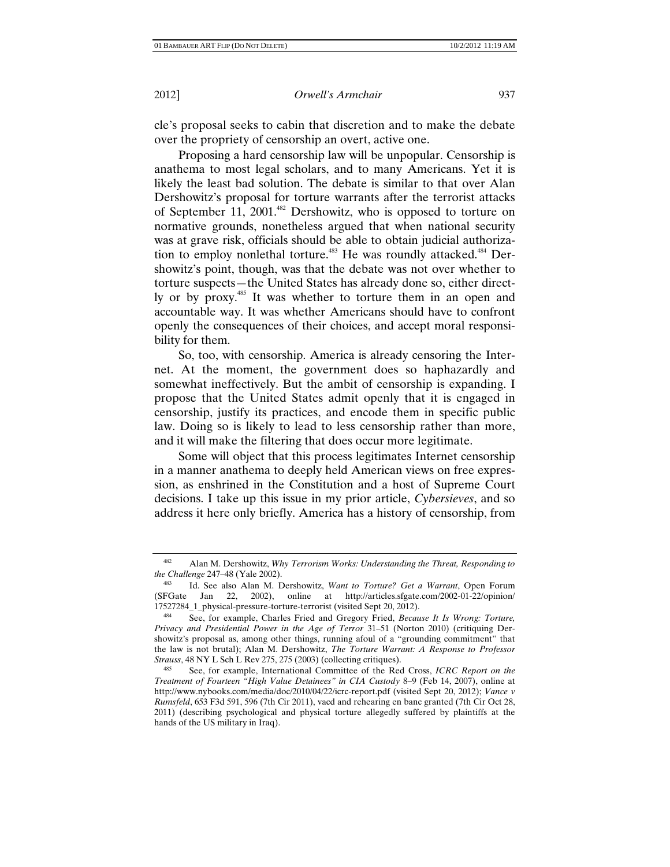cle's proposal seeks to cabin that discretion and to make the debate over the propriety of censorship an overt, active one.

Proposing a hard censorship law will be unpopular. Censorship is anathema to most legal scholars, and to many Americans. Yet it is likely the least bad solution. The debate is similar to that over Alan Dershowitz's proposal for torture warrants after the terrorist attacks of September 11, 2001.<sup>482</sup> Dershowitz, who is opposed to torture on normative grounds, nonetheless argued that when national security was at grave risk, officials should be able to obtain judicial authorization to employ nonlethal torture.<sup>483</sup> He was roundly attacked.<sup>484</sup> Dershowitz's point, though, was that the debate was not over whether to torture suspects—the United States has already done so, either directly or by proxy.485 It was whether to torture them in an open and accountable way. It was whether Americans should have to confront openly the consequences of their choices, and accept moral responsibility for them.

So, too, with censorship. America is already censoring the Internet. At the moment, the government does so haphazardly and somewhat ineffectively. But the ambit of censorship is expanding. I propose that the United States admit openly that it is engaged in censorship, justify its practices, and encode them in specific public law. Doing so is likely to lead to less censorship rather than more, and it will make the filtering that does occur more legitimate.

Some will object that this process legitimates Internet censorship in a manner anathema to deeply held American views on free expression, as enshrined in the Constitution and a host of Supreme Court decisions. I take up this issue in my prior article, *Cybersieves*, and so address it here only briefly. America has a history of censorship, from

<sup>482</sup> Alan M. Dershowitz, *Why Terrorism Works: Understanding the Threat, Responding to the Challenge* 247–48 (Yale 2002). 483 Id. See also Alan M. Dershowitz, *Want to Torture? Get a Warrant*, Open Forum

<sup>(</sup>SFGate Jan 22, 2002), online at http://articles.sfgate.com/2002-01-22/opinion/

See, for example, Charles Fried and Gregory Fried, *Because It Is Wrong: Torture, Privacy and Presidential Power in the Age of Terror* 31–51 (Norton 2010) (critiquing Dershowitz's proposal as, among other things, running afoul of a "grounding commitment" that the law is not brutal); Alan M. Dershowitz, *The Torture Warrant: A Response to Professor Strauss*, 48 NY L Sch L Rev 275, 275 (2003) (collecting critiques).<br><sup>485</sup> See, for example, International Committee of the Red Cross, *ICRC Report on the* 

*Treatment of Fourteen "High Value Detainees" in CIA Custody* 8–9 (Feb 14, 2007), online at http://www.nybooks.com/media/doc/2010/04/22/icrc-report.pdf (visited Sept 20, 2012); *Vance v Rumsfeld*, 653 F3d 591, 596 (7th Cir 2011), vacd and rehearing en banc granted (7th Cir Oct 28, 2011) (describing psychological and physical torture allegedly suffered by plaintiffs at the hands of the US military in Iraq).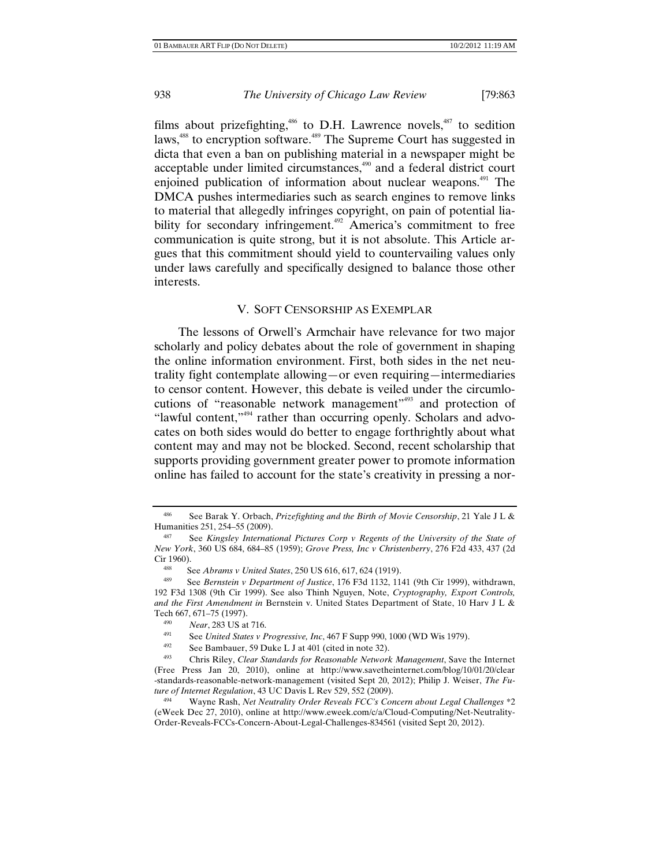films about prizefighting,<sup>486</sup> to D.H. Lawrence novels,<sup>487</sup> to sedition laws,<sup>488</sup> to encryption software.<sup>489</sup> The Supreme Court has suggested in dicta that even a ban on publishing material in a newspaper might be acceptable under limited circumstances,<sup>490</sup> and a federal district court enjoined publication of information about nuclear weapons.<sup>491</sup> The DMCA pushes intermediaries such as search engines to remove links to material that allegedly infringes copyright, on pain of potential liability for secondary infringement.<sup>492</sup> America's commitment to free communication is quite strong, but it is not absolute. This Article argues that this commitment should yield to countervailing values only under laws carefully and specifically designed to balance those other interests.

## V. SOFT CENSORSHIP AS EXEMPLAR

The lessons of Orwell's Armchair have relevance for two major scholarly and policy debates about the role of government in shaping the online information environment. First, both sides in the net neutrality fight contemplate allowing—or even requiring—intermediaries to censor content. However, this debate is veiled under the circumlocutions of "reasonable network management"<sup>493</sup> and protection of "lawful content,"<sup>494</sup> rather than occurring openly. Scholars and advocates on both sides would do better to engage forthrightly about what content may and may not be blocked. Second, recent scholarship that supports providing government greater power to promote information online has failed to account for the state's creativity in pressing a nor-

See Barak Y. Orbach, *Prizefighting and the Birth of Movie Censorship*, 21 Yale J L & Humanities 251, 254–55 (2009).

See *Kingsley International Pictures Corp v Regents of the University of the State of New York*, 360 US 684, 684–85 (1959); *Grove Press, Inc v Christenberry*, 276 F2d 433, 437 (2d Cir 1960).

<sup>488</sup> See *Abrams v United States*, 250 US 616, 617, 624 (1919).

<sup>489</sup> See *Bernstein v Department of Justice*, 176 F3d 1132, 1141 (9th Cir 1999), withdrawn, 192 F3d 1308 (9th Cir 1999). See also Thinh Nguyen, Note, *Cryptography, Export Controls, and the First Amendment in* Bernstein v. United States Department of State, 10 Harv J L & Tech 667, 671–75 (1997).<br>
<sup>490</sup> Near, 283 US at 716.<br>
<sup>491</sup> See United States v Progressive, Inc, 467 F Supp 990, 1000 (WD Wis 1979).<br>
<sup>492</sup> See Bambauer, 59 Duke L J at 401 (cited in note 32).<br>
<sup>493</sup> Chris Riley, *Clear* 

<sup>(</sup>Free Press Jan 20, 2010), online at http://www.savetheinternet.com/blog/10/01/20/clear -standards-reasonable-network-management (visited Sept 20, 2012); Philip J. Weiser, *The Future of Internet Regulation*, 43 UC Davis L Rev 529, 552 (2009).

<sup>494</sup> Wayne Rash, *Net Neutrality Order Reveals FCC's Concern about Legal Challenges* \*2 (eWeek Dec 27, 2010), online at http://www.eweek.com/c/a/Cloud-Computing/Net-Neutrality-Order-Reveals-FCCs-Concern-About-Legal-Challenges-834561 (visited Sept 20, 2012).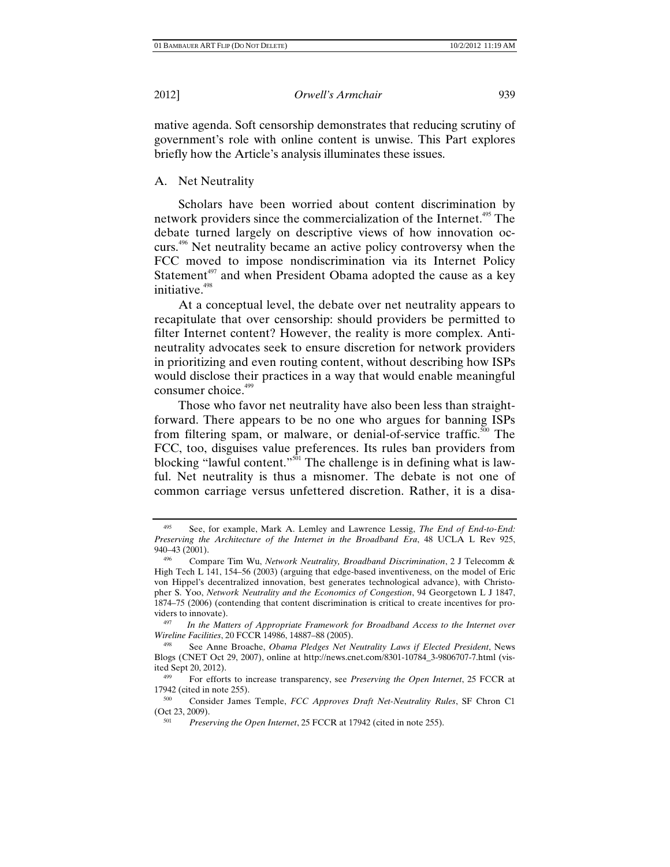mative agenda. Soft censorship demonstrates that reducing scrutiny of government's role with online content is unwise. This Part explores briefly how the Article's analysis illuminates these issues.

A. Net Neutrality

Scholars have been worried about content discrimination by network providers since the commercialization of the Internet.<sup>495</sup> The debate turned largely on descriptive views of how innovation occurs.<sup>496</sup> Net neutrality became an active policy controversy when the FCC moved to impose nondiscrimination via its Internet Policy Statement<sup>497</sup> and when President Obama adopted the cause as a key initiative.<sup>498</sup>

At a conceptual level, the debate over net neutrality appears to recapitulate that over censorship: should providers be permitted to filter Internet content? However, the reality is more complex. Antineutrality advocates seek to ensure discretion for network providers in prioritizing and even routing content, without describing how ISPs would disclose their practices in a way that would enable meaningful consumer choice.<sup>499</sup>

Those who favor net neutrality have also been less than straightforward. There appears to be no one who argues for banning ISPs from filtering spam, or malware, or denial-of-service traffic.<sup>500</sup> The FCC, too, disguises value preferences. Its rules ban providers from blocking "lawful content."<sup>501</sup> The challenge is in defining what is lawful. Net neutrality is thus a misnomer. The debate is not one of common carriage versus unfettered discretion. Rather, it is a disa-

<sup>495</sup> See, for example, Mark A. Lemley and Lawrence Lessig, *The End of End-to-End: Preserving the Architecture of the Internet in the Broadband Era*, 48 UCLA L Rev 925, 940–43 (2001).

<sup>496</sup> Compare Tim Wu, *Network Neutrality, Broadband Discrimination*, 2 J Telecomm & High Tech L 141, 154–56 (2003) (arguing that edge-based inventiveness, on the model of Eric von Hippel's decentralized innovation, best generates technological advance), with Christopher S. Yoo, *Network Neutrality and the Economics of Congestion*, 94 Georgetown L J 1847, 1874–75 (2006) (contending that content discrimination is critical to create incentives for providers to innovate).<br><sup>497</sup> *In the Matters of Appropriate Framework for Broadband Access to the Internet over* 

*Wireline Facilities*, 20 FCCR 14986, 14887–88 (2005).<br><sup>498</sup> See Anne Broache, *Obama Pledges Net Neutrality Laws if Elected President*, News

Blogs (CNET Oct 29, 2007), online at http://news.cnet.com/8301-10784\_3-9806707-7.html (visited Sept 20, 2012).

<sup>499</sup> For efforts to increase transparency, see *Preserving the Open Internet*, 25 FCCR at

<sup>17942 (</sup>cited in note 255).<br><sup>500</sup> Consider James Temple, *FCC Approves Draft Net-Neutrality Rules*, SF Chron C1<br>(Oct 23, 2009).

<sup>&</sup>lt;sup>501</sup> *Preserving the Open Internet*, 25 FCCR at 17942 (cited in note 255).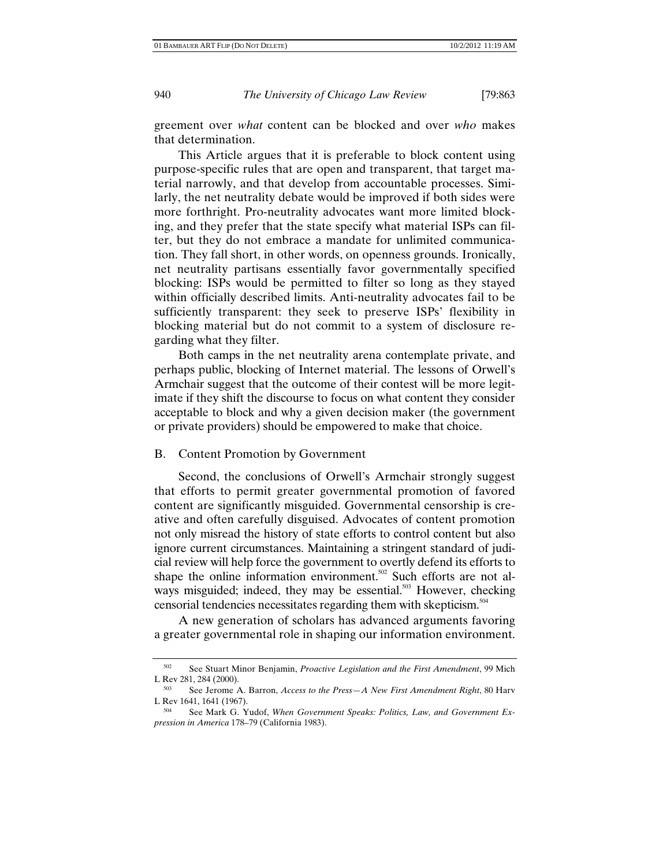greement over *what* content can be blocked and over *who* makes that determination.

This Article argues that it is preferable to block content using purpose-specific rules that are open and transparent, that target material narrowly, and that develop from accountable processes. Similarly, the net neutrality debate would be improved if both sides were more forthright. Pro-neutrality advocates want more limited blocking, and they prefer that the state specify what material ISPs can filter, but they do not embrace a mandate for unlimited communication. They fall short, in other words, on openness grounds. Ironically, net neutrality partisans essentially favor governmentally specified blocking: ISPs would be permitted to filter so long as they stayed within officially described limits. Anti-neutrality advocates fail to be sufficiently transparent: they seek to preserve ISPs' flexibility in blocking material but do not commit to a system of disclosure regarding what they filter.

Both camps in the net neutrality arena contemplate private, and perhaps public, blocking of Internet material. The lessons of Orwell's Armchair suggest that the outcome of their contest will be more legitimate if they shift the discourse to focus on what content they consider acceptable to block and why a given decision maker (the government or private providers) should be empowered to make that choice.

## B. Content Promotion by Government

Second, the conclusions of Orwell's Armchair strongly suggest that efforts to permit greater governmental promotion of favored content are significantly misguided. Governmental censorship is creative and often carefully disguised. Advocates of content promotion not only misread the history of state efforts to control content but also ignore current circumstances. Maintaining a stringent standard of judicial review will help force the government to overtly defend its efforts to shape the online information environment.<sup>502</sup> Such efforts are not always misguided; indeed, they may be essential.<sup>503</sup> However, checking censorial tendencies necessitates regarding them with skepticism.<sup>504</sup>

A new generation of scholars has advanced arguments favoring a greater governmental role in shaping our information environment.

<sup>502</sup> See Stuart Minor Benjamin, *Proactive Legislation and the First Amendment*, 99 Mich L Rev 281, 284 (2000).<br><sup>503</sup> See Jerome A. Barron, *Access to the Press—A New First Amendment Right*, 80 Harv

L Rev 1641, 1641 (1967).<br><sup>504</sup> See Mark G. Yudof, *When Government Speaks: Politics, Law, and Government Ex-*

*pression in America* 178–79 (California 1983).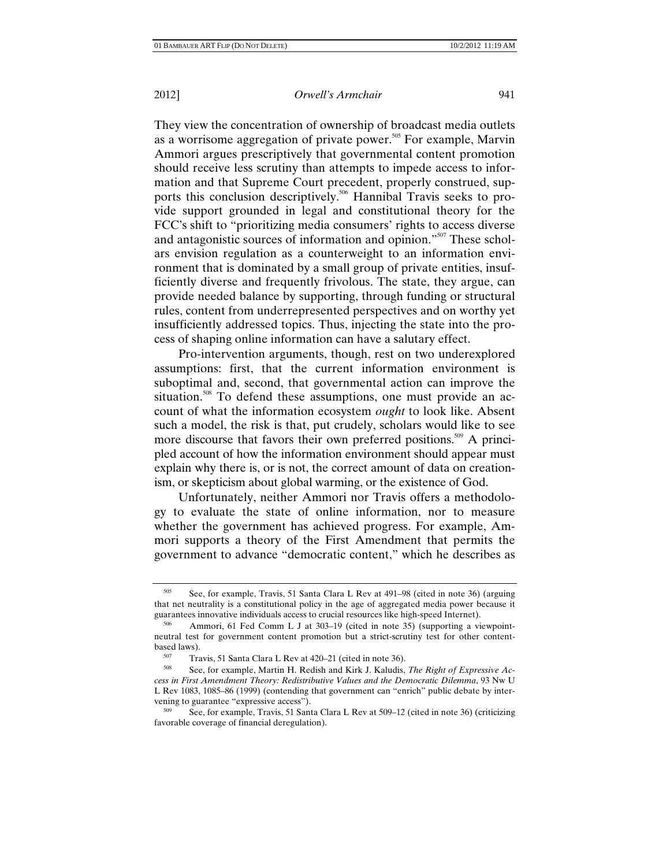They view the concentration of ownership of broadcast media outlets as a worrisome aggregation of private power.<sup>505</sup> For example, Marvin Ammori argues prescriptively that governmental content promotion should receive less scrutiny than attempts to impede access to information and that Supreme Court precedent, properly construed, supports this conclusion descriptively.<sup>506</sup> Hannibal Travis seeks to provide support grounded in legal and constitutional theory for the FCC's shift to "prioritizing media consumers' rights to access diverse and antagonistic sources of information and opinion."<sup>507</sup> These scholars envision regulation as a counterweight to an information environment that is dominated by a small group of private entities, insufficiently diverse and frequently frivolous. The state, they argue, can provide needed balance by supporting, through funding or structural rules, content from underrepresented perspectives and on worthy yet insufficiently addressed topics. Thus, injecting the state into the process of shaping online information can have a salutary effect.

Pro-intervention arguments, though, rest on two underexplored assumptions: first, that the current information environment is suboptimal and, second, that governmental action can improve the situation.<sup>508</sup> To defend these assumptions, one must provide an account of what the information ecosystem *ought* to look like. Absent such a model, the risk is that, put crudely, scholars would like to see more discourse that favors their own preferred positions.<sup>509</sup> A principled account of how the information environment should appear must explain why there is, or is not, the correct amount of data on creationism, or skepticism about global warming, or the existence of God.

Unfortunately, neither Ammori nor Travis offers a methodology to evaluate the state of online information, nor to measure whether the government has achieved progress. For example, Ammori supports a theory of the First Amendment that permits the government to advance "democratic content," which he describes as

<sup>505</sup> See, for example, Travis, 51 Santa Clara L Rev at 491–98 (cited in note 36) (arguing that net neutrality is a constitutional policy in the age of aggregated media power because it guarantees innovative individuals access to crucial resources like high-speed Internet).<br><sup>506</sup> Ammori, 61 Fed Comm L J at 303–19 (cited in note 35) (supporting a viewpoint-

neutral test for government content promotion but a strict-scrutiny test for other contentbased laws).<br><sup>507</sup> Travis, 51 Santa Clara L Rev at 420–21 (cited in note 36).<br><sup>508</sup> See, for example, Martin H. Redish and Kirk J. Kaludis, *The Right of Expressive Ac-*

*cess in First Amendment Theory: Redistributive Values and the Democratic Dilemma*, 93 Nw U L Rev 1083, 1085–86 (1999) (contending that government can "enrich" public debate by intervening to guarantee "expressive access").

<sup>509</sup> See, for example, Travis, 51 Santa Clara L Rev at 509–12 (cited in note 36) (criticizing favorable coverage of financial deregulation).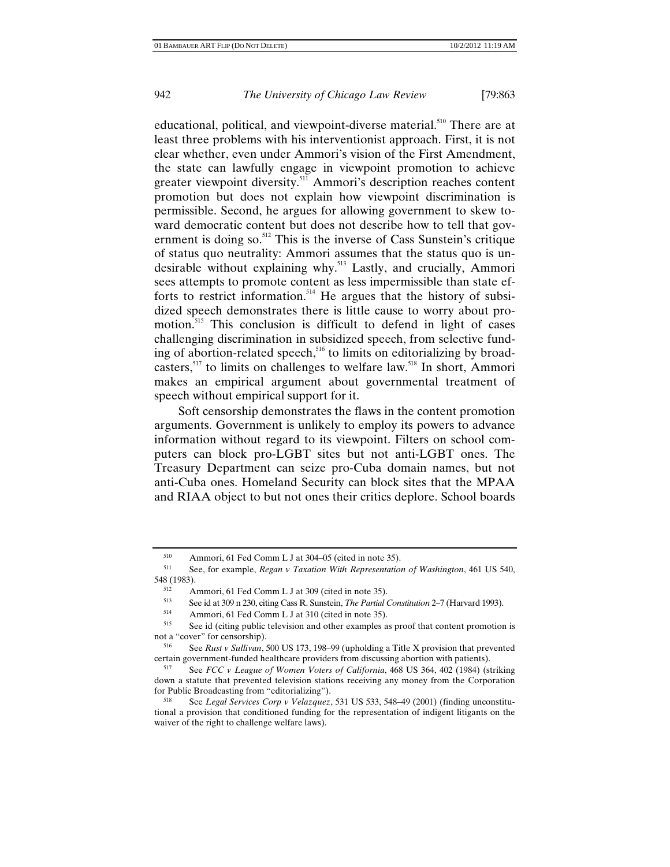educational, political, and viewpoint-diverse material.<sup>510</sup> There are at least three problems with his interventionist approach. First, it is not clear whether, even under Ammori's vision of the First Amendment, the state can lawfully engage in viewpoint promotion to achieve greater viewpoint diversity.<sup>511</sup> Ammori's description reaches content promotion but does not explain how viewpoint discrimination is permissible. Second, he argues for allowing government to skew toward democratic content but does not describe how to tell that government is doing so. $512$  This is the inverse of Cass Sunstein's critique of status quo neutrality: Ammori assumes that the status quo is undesirable without explaining why.<sup>513</sup> Lastly, and crucially, Ammori sees attempts to promote content as less impermissible than state efforts to restrict information.<sup>514</sup> He argues that the history of subsidized speech demonstrates there is little cause to worry about promotion.<sup>515</sup> This conclusion is difficult to defend in light of cases challenging discrimination in subsidized speech, from selective funding of abortion-related speech,<sup>516</sup> to limits on editorializing by broadcasters, $517$  to limits on challenges to welfare law.<sup>518</sup> In short, Ammori makes an empirical argument about governmental treatment of speech without empirical support for it.

Soft censorship demonstrates the flaws in the content promotion arguments. Government is unlikely to employ its powers to advance information without regard to its viewpoint. Filters on school computers can block pro-LGBT sites but not anti-LGBT ones. The Treasury Department can seize pro-Cuba domain names, but not anti-Cuba ones. Homeland Security can block sites that the MPAA and RIAA object to but not ones their critics deplore. School boards

<sup>510</sup> Ammori, 61 Fed Comm L J at 304–05 (cited in note 35).

<sup>511</sup> See, for example, *Regan v Taxation With Representation of Washington*, 461 US 540, 548 (1983).<br>  $\frac{512}{1}$  Ammori, 61 Fed Comm L J at 309 (cited in note 35).<br>
See id at 309 p 230 citing Cass B. Sungtain *The Partial* 

<sup>513</sup> See id at 309 n 230, citing Cass R. Sunstein, *The Partial Constitution* 2–7 (Harvard 1993).<br>
514 Ammori, 61 Fed Comm L J at 310 (cited in note 35).<br>
525 See id (citing public television and other examples as preaf th

See id (citing public television and other examples as proof that content promotion is not a "cover" for censorship).

<sup>516</sup> See *Rust v Sullivan*, 500 US 173, 198–99 (upholding a Title X provision that prevented certain government-funded healthcare providers from discussing abortion with patients).

<sup>517</sup> See *FCC v League of Women Voters of California*, 468 US 364, 402 (1984) (striking down a statute that prevented television stations receiving any money from the Corporation for Public Broadcasting from "editorializing"). 518 See *Legal Services Corp v Velazquez*, 531 US 533, 548–49 (2001) (finding unconstitu-

tional a provision that conditioned funding for the representation of indigent litigants on the waiver of the right to challenge welfare laws).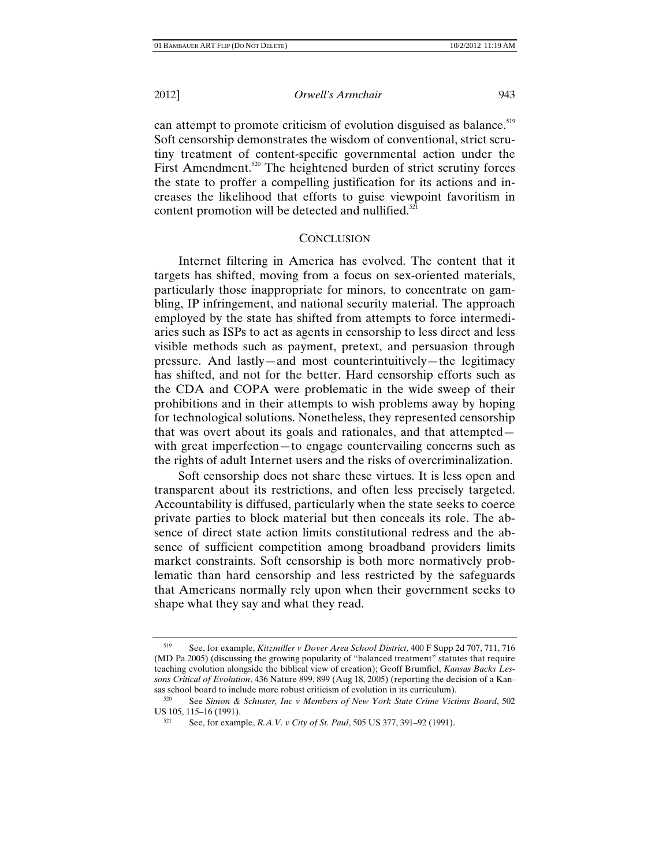can attempt to promote criticism of evolution disguised as balance.<sup>519</sup> Soft censorship demonstrates the wisdom of conventional, strict scrutiny treatment of content-specific governmental action under the First Amendment.<sup>520</sup> The heightened burden of strict scrutiny forces the state to proffer a compelling justification for its actions and increases the likelihood that efforts to guise viewpoint favoritism in content promotion will be detected and nullified. $521$ 

#### **CONCLUSION**

Internet filtering in America has evolved. The content that it targets has shifted, moving from a focus on sex-oriented materials, particularly those inappropriate for minors, to concentrate on gambling, IP infringement, and national security material. The approach employed by the state has shifted from attempts to force intermediaries such as ISPs to act as agents in censorship to less direct and less visible methods such as payment, pretext, and persuasion through pressure. And lastly—and most counterintuitively—the legitimacy has shifted, and not for the better. Hard censorship efforts such as the CDA and COPA were problematic in the wide sweep of their prohibitions and in their attempts to wish problems away by hoping for technological solutions. Nonetheless, they represented censorship that was overt about its goals and rationales, and that attempted with great imperfection—to engage countervailing concerns such as the rights of adult Internet users and the risks of overcriminalization.

Soft censorship does not share these virtues. It is less open and transparent about its restrictions, and often less precisely targeted. Accountability is diffused, particularly when the state seeks to coerce private parties to block material but then conceals its role. The absence of direct state action limits constitutional redress and the absence of sufficient competition among broadband providers limits market constraints. Soft censorship is both more normatively problematic than hard censorship and less restricted by the safeguards that Americans normally rely upon when their government seeks to shape what they say and what they read.

<sup>519</sup> See, for example, *Kitzmiller v Dover Area School District*, 400 F Supp 2d 707, 711, 716 (MD Pa 2005) (discussing the growing popularity of "balanced treatment" statutes that require teaching evolution alongside the biblical view of creation); Geoff Brumfiel, *Kansas Backs Lessons Critical of Evolution*, 436 Nature 899, 899 (Aug 18, 2005) (reporting the decision of a Kansas school board to include more robust criticism of evolution in its curriculum).<br><sup>520</sup> See *Simon & Schuster, Inc v Members of New York State Crime Victims Board*, 502

US 105, 115–16 (1991).

<sup>521</sup> See, for example, *R.A.V. v City of St. Paul*, 505 US 377, 391–92 (1991).